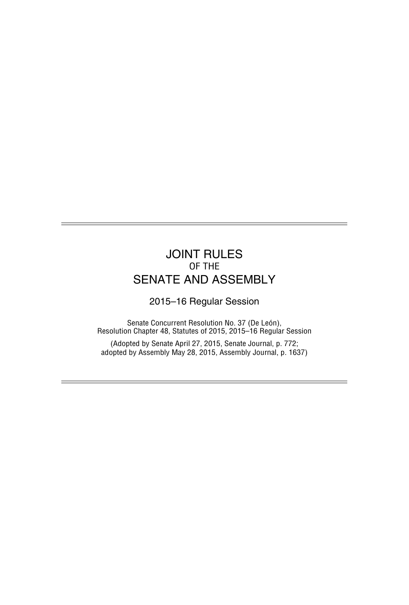# JOINT RULES OF THE SENATE AND ASSEMBLY

# 2015–16 Regular Session

Senate Concurrent Resolution No. 37 (De León), Resolution Chapter 48, Statutes of 2015, 2015–16 Regular Session

(Adopted by Senate April 27, 2015, Senate Journal, p. 772; adopted by Assembly May 28, 2015, Assembly Journal, p. 1637)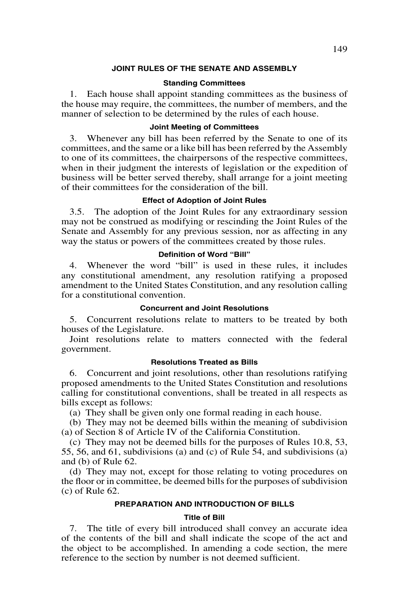### **JOINT RULES OF THE SENATE AND ASSEMBLY**

#### **Standing Committees**

1. Each house shall appoint standing committees as the business of the house may require, the committees, the number of members, and the manner of selection to be determined by the rules of each house.

#### **Joint Meeting of Committees**

3. Whenever any bill has been referred by the Senate to one of its committees, and the same or a like bill has been referred by the Assembly to one of its committees, the chairpersons of the respective committees, when in their judgment the interests of legislation or the expedition of business will be better served thereby, shall arrange for a joint meeting of their committees for the consideration of the bill.

### **Effect of Adoption of Joint Rules**

3.5. The adoption of the Joint Rules for any extraordinary session may not be construed as modifying or rescinding the Joint Rules of the Senate and Assembly for any previous session, nor as affecting in any way the status or powers of the committees created by those rules.

# **Definition of Word "Bill"**

4. Whenever the word "bill" is used in these rules, it includes any constitutional amendment, any resolution ratifying a proposed amendment to the United States Constitution, and any resolution calling for a constitutional convention.

#### **Concurrent and Joint Resolutions**

5. Concurrent resolutions relate to matters to be treated by both houses of the Legislature.

Joint resolutions relate to matters connected with the federal government.

# **Resolutions Treated as Bills**

6. Concurrent and joint resolutions, other than resolutions ratifying proposed amendments to the United States Constitution and resolutions calling for constitutional conventions, shall be treated in all respects as bills except as follows:

(a) They shall be given only one formal reading in each house.

(b) They may not be deemed bills within the meaning of subdivision (a) of Section 8 of Article IV of the California Constitution.

(c) They may not be deemed bills for the purposes of Rules 10.8, 53, 55, 56, and 61, subdivisions (a) and (c) of Rule 54, and subdivisions (a) and (b) of Rule 62.

(d) They may not, except for those relating to voting procedures on the floor or in committee, be deemed bills for the purposes of subdivision (c) of Rule 62.

#### **PREPARATION AND INTRODUCTION OF BILLS**

### **Title of Bill**

7. The title of every bill introduced shall convey an accurate idea of the contents of the bill and shall indicate the scope of the act and the object to be accomplished. In amending a code section, the mere reference to the section by number is not deemed sufficient.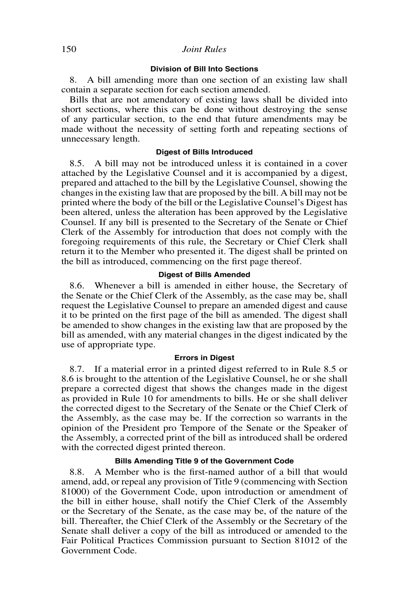#### **Division of Bill Into Sections**

8. A bill amending more than one section of an existing law shall contain a separate section for each section amended.

Bills that are not amendatory of existing laws shall be divided into short sections, where this can be done without destroying the sense of any particular section, to the end that future amendments may be made without the necessity of setting forth and repeating sections of unnecessary length.

# **Digest of Bills Introduced**

8.5. A bill may not be introduced unless it is contained in a cover attached by the Legislative Counsel and it is accompanied by a digest, prepared and attached to the bill by the Legislative Counsel, showing the changes in the existing law that are proposed by the bill. A bill may not be printed where the body of the bill or the Legislative Counsel's Digest has been altered, unless the alteration has been approved by the Legislative Counsel. If any bill is presented to the Secretary of the Senate or Chief Clerk of the Assembly for introduction that does not comply with the foregoing requirements of this rule, the Secretary or Chief Clerk shall return it to the Member who presented it. The digest shall be printed on the bill as introduced, commencing on the first page thereof.

# **Digest of Bills Amended**

8.6. Whenever a bill is amended in either house, the Secretary of the Senate or the Chief Clerk of the Assembly, as the case may be, shall request the Legislative Counsel to prepare an amended digest and cause it to be printed on the first page of the bill as amended. The digest shall be amended to show changes in the existing law that are proposed by the bill as amended, with any material changes in the digest indicated by the use of appropriate type.

# **Errors in Digest**

8.7. If a material error in a printed digest referred to in Rule 8.5 or 8.6 is brought to the attention of the Legislative Counsel, he or she shall prepare a corrected digest that shows the changes made in the digest as provided in Rule 10 for amendments to bills. He or she shall deliver the corrected digest to the Secretary of the Senate or the Chief Clerk of the Assembly, as the case may be. If the correction so warrants in the opinion of the President pro Tempore of the Senate or the Speaker of the Assembly, a corrected print of the bill as introduced shall be ordered with the corrected digest printed thereon.

# **Bills Amending Title 9 of the Government Code**

8.8. A Member who is the first-named author of a bill that would amend, add, or repeal any provision of Title 9 (commencing with Section 81000) of the Government Code, upon introduction or amendment of the bill in either house, shall notify the Chief Clerk of the Assembly or the Secretary of the Senate, as the case may be, of the nature of the bill. Thereafter, the Chief Clerk of the Assembly or the Secretary of the Senate shall deliver a copy of the bill as introduced or amended to the Fair Political Practices Commission pursuant to Section 81012 of the Government Code.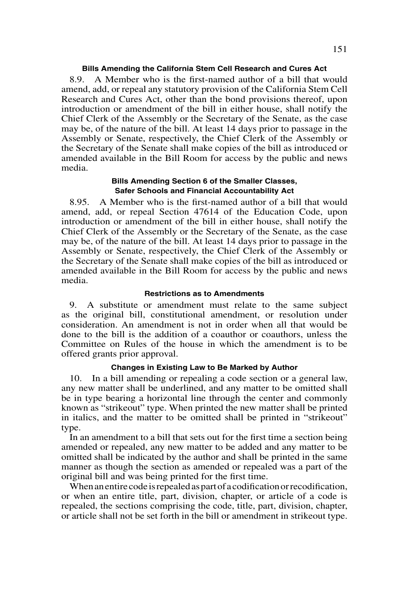#### **Bills Amending the California Stem Cell Research and Cures Act**

8.9. A Member who is the first-named author of a bill that would amend, add, or repeal any statutory provision of the California Stem Cell Research and Cures Act, other than the bond provisions thereof, upon introduction or amendment of the bill in either house, shall notify the Chief Clerk of the Assembly or the Secretary of the Senate, as the case may be, of the nature of the bill. At least 14 days prior to passage in the Assembly or Senate, respectively, the Chief Clerk of the Assembly or the Secretary of the Senate shall make copies of the bill as introduced or amended available in the Bill Room for access by the public and news media.

### **Bills Amending Section 6 of the Smaller Classes, Safer Schools and Financial Accountability Act**

8.95. A Member who is the first-named author of a bill that would amend, add, or repeal Section 47614 of the Education Code, upon introduction or amendment of the bill in either house, shall notify the Chief Clerk of the Assembly or the Secretary of the Senate, as the case may be, of the nature of the bill. At least 14 days prior to passage in the Assembly or Senate, respectively, the Chief Clerk of the Assembly or the Secretary of the Senate shall make copies of the bill as introduced or amended available in the Bill Room for access by the public and news media.

### **Restrictions as to Amendments**

9. A substitute or amendment must relate to the same subject as the original bill, constitutional amendment, or resolution under consideration. An amendment is not in order when all that would be done to the bill is the addition of a coauthor or coauthors, unless the Committee on Rules of the house in which the amendment is to be offered grants prior approval.

### **Changes in Existing Law to Be Marked by Author**

10. In a bill amending or repealing a code section or a general law, any new matter shall be underlined, and any matter to be omitted shall be in type bearing a horizontal line through the center and commonly known as "strikeout" type. When printed the new matter shall be printed in italics, and the matter to be omitted shall be printed in "strikeout" type.

In an amendment to a bill that sets out for the first time a section being amended or repealed, any new matter to be added and any matter to be omitted shall be indicated by the author and shall be printed in the same manner as though the section as amended or repealed was a part of the original bill and was being printed for the first time.

When an entire code is repealed as part of a codification or recodification, or when an entire title, part, division, chapter, or article of a code is repealed, the sections comprising the code, title, part, division, chapter, or article shall not be set forth in the bill or amendment in strikeout type.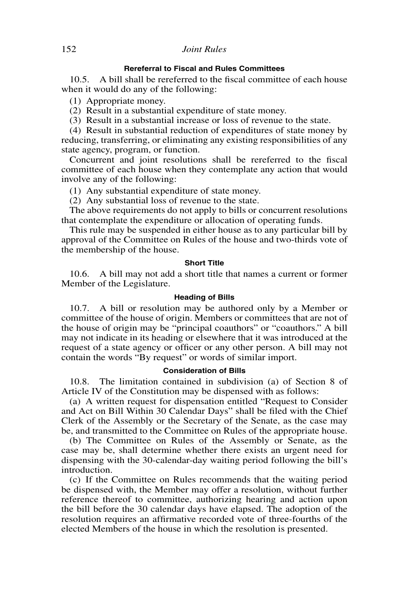# **Rereferral to Fiscal and Rules Committees**

10.5. A bill shall be rereferred to the fiscal committee of each house when it would do any of the following:

(1) Appropriate money.

(2) Result in a substantial expenditure of state money.

(3) Result in a substantial increase or loss of revenue to the state.

(4) Result in substantial reduction of expenditures of state money by reducing, transferring, or eliminating any existing responsibilities of any state agency, program, or function.

Concurrent and joint resolutions shall be rereferred to the fiscal committee of each house when they contemplate any action that would involve any of the following:

(1) Any substantial expenditure of state money.

(2) Any substantial loss of revenue to the state.

The above requirements do not apply to bills or concurrent resolutions that contemplate the expenditure or allocation of operating funds.

This rule may be suspended in either house as to any particular bill by approval of the Committee on Rules of the house and two-thirds vote of the membership of the house.

#### **Short Title**

10.6. A bill may not add a short title that names a current or former Member of the Legislature.

#### **Heading of Bills**

10.7. A bill or resolution may be authored only by a Member or committee of the house of origin. Members or committees that are not of the house of origin may be "principal coauthors" or "coauthors." A bill may not indicate in its heading or elsewhere that it was introduced at the request of a state agency or officer or any other person. A bill may not contain the words "By request" or words of similar import.

### **Consideration of Bills**

10.8. The limitation contained in subdivision (a) of Section 8 of Article IV of the Constitution may be dispensed with as follows:

(a) A written request for dispensation entitled "Request to Consider and Act on Bill Within 30 Calendar Days" shall be filed with the Chief Clerk of the Assembly or the Secretary of the Senate, as the case may be, and transmitted to the Committee on Rules of the appropriate house.

(b) The Committee on Rules of the Assembly or Senate, as the case may be, shall determine whether there exists an urgent need for dispensing with the 30-calendar-day waiting period following the bill's introduction.

(c) If the Committee on Rules recommends that the waiting period be dispensed with, the Member may offer a resolution, without further reference thereof to committee, authorizing hearing and action upon the bill before the 30 calendar days have elapsed. The adoption of the resolution requires an affirmative recorded vote of three-fourths of the elected Members of the house in which the resolution is presented.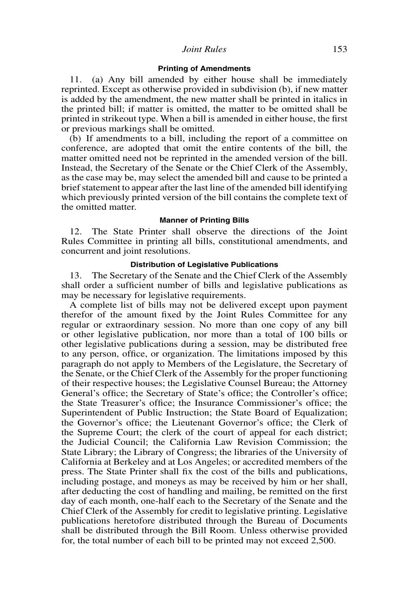#### **Printing of Amendments**

11. (a) Any bill amended by either house shall be immediately reprinted. Except as otherwise provided in subdivision (b), if new matter is added by the amendment, the new matter shall be printed in italics in the printed bill; if matter is omitted, the matter to be omitted shall be printed in strike out type. When a bill is amended in either house, the first or previous markings shall be omitted.

(b) If amendments to a bill, including the report of a committee on conference, are adopted that omit the entire contents of the bill, the matter omitted need not be reprinted in the amended version of the bill. Instead, the Secretary of the Senate or the Chief Clerk of the Assembly, as the case may be, may select the amended bill and cause to be printed a brief statement to appear after the last line of the amended bill identifying which previously printed version of the bill contains the complete text of the omitted matter.

#### **Manner of Printing Bills**

12. The State Printer shall observe the directions of the Joint Rules Committee in printing all bills, constitutional amendments, and concurrent and joint resolutions.

#### **Distribution of Legislative Publications**

13. The Secretary of the Senate and the Chief Clerk of the Assembly shall order a sufficient number of bills and legislative publications as may be necessary for legislative requirements.

A complete list of bills may not be delivered except upon payment therefor of the amount fixed by the Joint Rules Committee for any regular or extraordinary session. No more than one copy of any bill or other legislative publication, nor more than a total of 100 bills or other legislative publications during a session, may be distributed free to any person, office, or organization. The limitations imposed by this paragraph do not apply to Members of the Legislature, the Secretary of the Senate, or the Chief Clerk of the Assembly for the proper functioning of their respective houses; the Legislative Counsel Bureau; the Attorney General's office; the Secretary of State's office; the Controller's office; the State Treasurer's office; the Insurance Commissioner's office; the Superintendent of Public Instruction; the State Board of Equalization; the Governor's office; the Lieutenant Governor's office; the Clerk of the Supreme Court; the clerk of the court of appeal for each district; the Judicial Council; the California Law Revision Commission; the State Library; the Library of Congress; the libraries of the University of California at Berkeley and at Los Angeles; or accredited members of the press. The State Printer shall fix the cost of the bills and publications, including postage, and moneys as may be received by him or her shall, after deducting the cost of handling and mailing, be remitted on the first day of each month, one-half each to the Secretary of the Senate and the Chief Clerk of the Assembly for credit to legislative printing. Legislative publications heretofore distributed through the Bureau of Documents shall be distributed through the Bill Room. Unless otherwise provided for, the total number of each bill to be printed may not exceed 2,500.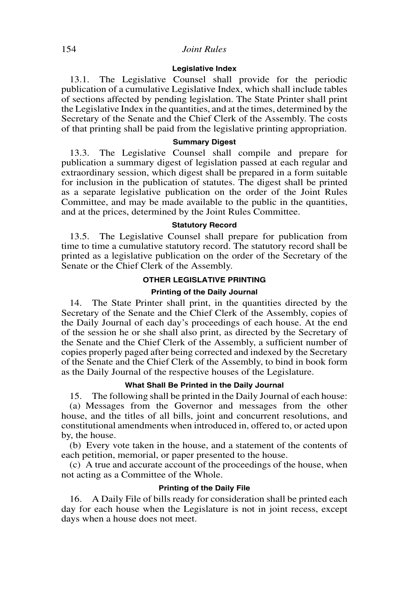### **Legislative Index**

13.1. The Legislative Counsel shall provide for the periodic publication of a cumulative Legislative Index, which shall include tables of sections affected by pending legislation. The State Printer shall print the Legislative Index in the quantities, and at the times, determined by the Secretary of the Senate and the Chief Clerk of the Assembly. The costs of that printing shall be paid from the legislative printing appropriation.

# **Summary Digest**

13.3. The Legislative Counsel shall compile and prepare for publication a summary digest of legislation passed at each regular and extraordinary session, which digest shall be prepared in a form suitable for inclusion in the publication of statutes. The digest shall be printed as a separate legislative publication on the order of the Joint Rules Committee, and may be made available to the public in the quantities, and at the prices, determined by the Joint Rules Committee.

### **Statutory Record**

13.5. The Legislative Counsel shall prepare for publication from time to time a cumulative statutory record. The statutory record shall be printed as a legislative publication on the order of the Secretary of the Senate or the Chief Clerk of the Assembly.

# **OTHER LEGISLATIVE PRINTING**

### **Printing of the Daily Journal**

14. The State Printer shall print, in the quantities directed by the Secretary of the Senate and the Chief Clerk of the Assembly, copies of the Daily Journal of each day's proceedings of each house. At the end of the session he or she shall also print, as directed by the Secretary of the Senate and the Chief Clerk of the Assembly, a sufficient number of copies properly paged after being corrected and indexed by the Secretary of the Senate and the Chief Clerk of the Assembly, to bind in book form as the Daily Journal of the respective houses of the Legislature.

# **What Shall Be Printed in the Daily Journal**

15. The following shall be printed in the Daily Journal of each house:

(a) Messages from the Governor and messages from the other house, and the titles of all bills, joint and concurrent resolutions, and constitutional amendments when introduced in, offered to, or acted upon by, the house.

(b) Every vote taken in the house, and a statement of the contents of each petition, memorial, or paper presented to the house.

(c) A true and accurate account of the proceedings of the house, when not acting as a Committee of the Whole.

### **Printing of the Daily File**

16. A Daily File of bills ready for consideration shall be printed each day for each house when the Legislature is not in joint recess, except days when a house does not meet.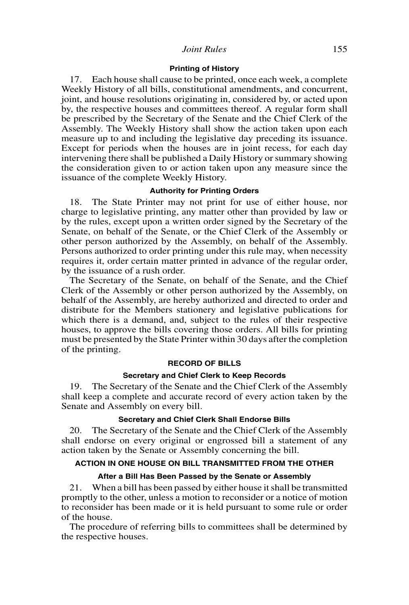#### **Printing of History**

17. Each house shall cause to be printed, once each week, a complete Weekly History of all bills, constitutional amendments, and concurrent, joint, and house resolutions originating in, considered by, or acted upon by, the respective houses and committees thereof. A regular form shall be prescribed by the Secretary of the Senate and the Chief Clerk of the Assembly. The Weekly History shall show the action taken upon each measure up to and including the legislative day preceding its issuance. Except for periods when the houses are in joint recess, for each day intervening there shall be published a Daily History or summary showing the consideration given to or action taken upon any measure since the issuance of the complete Weekly History.

# **Authority for Printing Orders**

18. The State Printer may not print for use of either house, nor charge to legislative printing, any matter other than provided by law or by the rules, except upon a written order signed by the Secretary of the Senate, on behalf of the Senate, or the Chief Clerk of the Assembly or other person authorized by the Assembly, on behalf of the Assembly. Persons authorized to order printing under this rule may, when necessity requires it, order certain matter printed in advance of the regular order, by the issuance of a rush order.

The Secretary of the Senate, on behalf of the Senate, and the Chief Clerk of the Assembly or other person authorized by the Assembly, on behalf of the Assembly, are hereby authorized and directed to order and distribute for the Members stationery and legislative publications for which there is a demand, and, subject to the rules of their respective houses, to approve the bills covering those orders. All bills for printing must be presented by the State Printer within 30 days after the completion of the printing.

#### **RECORD OF BILLS**

#### **Secretary and Chief Clerk to Keep Records**

19. The Secretary of the Senate and the Chief Clerk of the Assembly shall keep a complete and accurate record of every action taken by the Senate and Assembly on every bill.

#### **Secretary and Chief Clerk Shall Endorse Bills**

20. The Secretary of the Senate and the Chief Clerk of the Assembly shall endorse on every original or engrossed bill a statement of any action taken by the Senate or Assembly concerning the bill.

# **ACTION IN ONE HOUSE ON BILL TRANSMITTED FROM THE OTHER**

#### **After a Bill Has Been Passed by the Senate or Assembly**

21. When a bill has been passed by either house it shall be transmitted promptly to the other, unless a motion to reconsider or a notice of motion to reconsider has been made or it is held pursuant to some rule or order of the house.

The procedure of referring bills to committees shall be determined by the respective houses.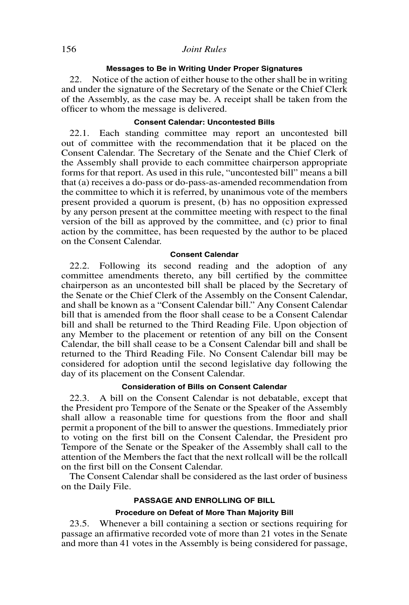# **Messages to Be in Writing Under Proper Signatures**

22. Notice of the action of either house to the other shall be in writing and under the signature of the Secretary of the Senate or the Chief Clerk of the Assembly, as the case may be. A receipt shall be taken from the officer to whom the message is delivered.

# **Consent Calendar: Uncontested Bills**

22.1. Each standing committee may report an uncontested bill out of committee with the recommendation that it be placed on the Consent Calendar. The Secretary of the Senate and the Chief Clerk of the Assembly shall provide to each committee chairperson appropriate forms for that report. As used in this rule, "uncontested bill" means a bill that (a) receives a do-pass or do-pass-as-amended recommendation from the committee to which it is referred, by unanimous vote of the members present provided a quorum is present, (b) has no opposition expressed by any person present at the committee meeting with respect to the final version of the bill as approved by the committee, and  $(c)$  prior to final action by the committee, has been requested by the author to be placed on the Consent Calendar.

# **Consent Calendar**

22.2. Following its second reading and the adoption of any committee amendments thereto, any bill certified by the committee chairperson as an uncontested bill shall be placed by the Secretary of the Senate or the Chief Clerk of the Assembly on the Consent Calendar, and shall be known as a "Consent Calendar bill." Any Consent Calendar bill that is amended from the floor shall cease to be a Consent Calendar bill and shall be returned to the Third Reading File. Upon objection of any Member to the placement or retention of any bill on the Consent Calendar, the bill shall cease to be a Consent Calendar bill and shall be returned to the Third Reading File. No Consent Calendar bill may be considered for adoption until the second legislative day following the day of its placement on the Consent Calendar.

# **Consideration of Bills on Consent Calendar**

22.3. A bill on the Consent Calendar is not debatable, except that the President pro Tempore of the Senate or the Speaker of the Assembly shall allow a reasonable time for questions from the floor and shall permit a proponent of the bill to answer the questions. Immediately prior to voting on the first bill on the Consent Calendar, the President pro Tempore of the Senate or the Speaker of the Assembly shall call to the attention of the Members the fact that the next rollcall will be the rollcall on the first bill on the Consent Calendar.

The Consent Calendar shall be considered as the last order of business on the Daily File.

# **PASSAGE AND ENROLLING OF BILL**

# **Procedure on Defeat of More Than Majority Bill**

23.5. Whenever a bill containing a section or sections requiring for passage an affirmative recorded vote of more than 21 votes in the Senate and more than 41 votes in the Assembly is being considered for passage,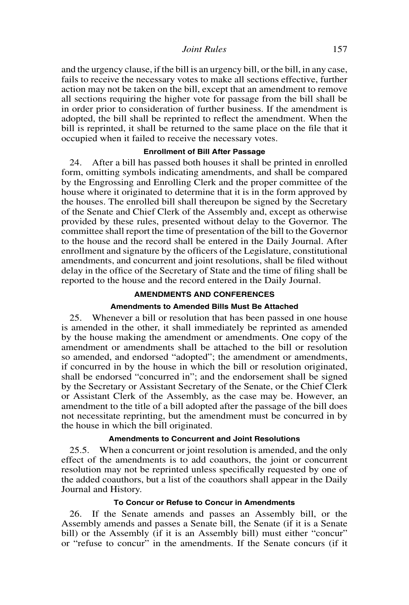and the urgency clause, if the bill is an urgency bill, or the bill, in any case, fails to receive the necessary votes to make all sections effective, further action may not be taken on the bill, except that an amendment to remove all sections requiring the higher vote for passage from the bill shall be in order prior to consideration of further business. If the amendment is adopted, the bill shall be reprinted to reflect the amendment. When the bill is reprinted, it shall be returned to the same place on the file that it occupied when it failed to receive the necessary votes.

# **Enrollment of Bill After Passage**

24. After a bill has passed both houses it shall be printed in enrolled form, omitting symbols indicating amendments, and shall be compared by the Engrossing and Enrolling Clerk and the proper committee of the house where it originated to determine that it is in the form approved by the houses. The enrolled bill shall thereupon be signed by the Secretary of the Senate and Chief Clerk of the Assembly and, except as otherwise provided by these rules, presented without delay to the Governor. The committee shall report the time of presentation of the bill to the Governor to the house and the record shall be entered in the Daily Journal. After enrollment and signature by the officers of the Legislature, constitutional amendments, and concurrent and joint resolutions, shall be filed without delay in the office of the Secretary of State and the time of filing shall be reported to the house and the record entered in the Daily Journal.

## **AMENDMENTS AND CONFERENCES**

# **Amendments to Amended Bills Must Be Attached**

25. Whenever a bill or resolution that has been passed in one house is amended in the other, it shall immediately be reprinted as amended by the house making the amendment or amendments. One copy of the amendment or amendments shall be attached to the bill or resolution so amended, and endorsed "adopted"; the amendment or amendments, if concurred in by the house in which the bill or resolution originated, shall be endorsed "concurred in"; and the endorsement shall be signed by the Secretary or Assistant Secretary of the Senate, or the Chief Clerk or Assistant Clerk of the Assembly, as the case may be. However, an amendment to the title of a bill adopted after the passage of the bill does not necessitate reprinting, but the amendment must be concurred in by the house in which the bill originated.

# **Amendments to Concurrent and Joint Resolutions**

25.5. When a concurrent or joint resolution is amended, and the only effect of the amendments is to add coauthors, the joint or concurrent resolution may not be reprinted unless specifically requested by one of the added coauthors, but a list of the coauthors shall appear in the Daily Journal and History.

# **To Concur or Refuse to Concur in Amendments**

26. If the Senate amends and passes an Assembly bill, or the Assembly amends and passes a Senate bill, the Senate (if it is a Senate bill) or the Assembly (if it is an Assembly bill) must either "concur" or "refuse to concur" in the amendments. If the Senate concurs (if it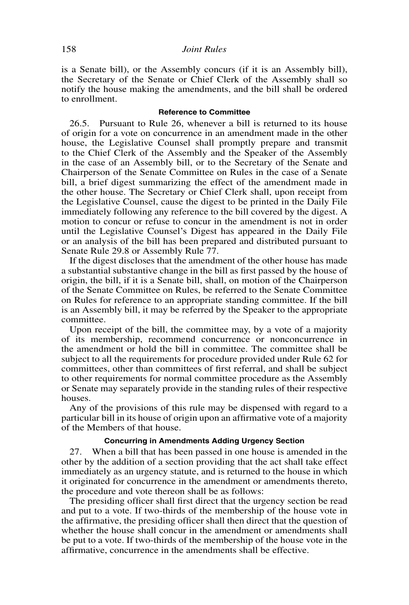is a Senate bill), or the Assembly concurs (if it is an Assembly bill), the Secretary of the Senate or Chief Clerk of the Assembly shall so notify the house making the amendments, and the bill shall be ordered to enrollment.

# **Reference to Committee**

26.5. Pursuant to Rule 26, whenever a bill is returned to its house of origin for a vote on concurrence in an amendment made in the other house, the Legislative Counsel shall promptly prepare and transmit to the Chief Clerk of the Assembly and the Speaker of the Assembly in the case of an Assembly bill, or to the Secretary of the Senate and Chairperson of the Senate Committee on Rules in the case of a Senate bill, a brief digest summarizing the effect of the amendment made in the other house. The Secretary or Chief Clerk shall, upon receipt from the Legislative Counsel, cause the digest to be printed in the Daily File immediately following any reference to the bill covered by the digest. A motion to concur or refuse to concur in the amendment is not in order until the Legislative Counsel's Digest has appeared in the Daily File or an analysis of the bill has been prepared and distributed pursuant to Senate Rule 29.8 or Assembly Rule 77.

If the digest discloses that the amendment of the other house has made a substantial substantive change in the bill as first passed by the house of origin, the bill, if it is a Senate bill, shall, on motion of the Chairperson of the Senate Committee on Rules, be referred to the Senate Committee on Rules for reference to an appropriate standing committee. If the bill is an Assembly bill, it may be referred by the Speaker to the appropriate committee.

Upon receipt of the bill, the committee may, by a vote of a majority of its membership, recommend concurrence or nonconcurrence in the amendment or hold the bill in committee. The committee shall be subject to all the requirements for procedure provided under Rule 62 for committees, other than committees of first referral, and shall be subject to other requirements for normal committee procedure as the Assembly or Senate may separately provide in the standing rules of their respective houses.

Any of the provisions of this rule may be dispensed with regard to a particular bill in its house of origin upon an affirmative vote of a majority of the Members of that house.

#### **Concurring in Amendments Adding Urgency Section**

27. When a bill that has been passed in one house is amended in the other by the addition of a section providing that the act shall take effect immediately as an urgency statute, and is returned to the house in which it originated for concurrence in the amendment or amendments thereto, the procedure and vote thereon shall be as follows:

The presiding officer shall first direct that the urgency section be read and put to a vote. If two-thirds of the membership of the house vote in the affirmative, the presiding officer shall then direct that the question of whether the house shall concur in the amendment or amendments shall be put to a vote. If two-thirds of the membership of the house vote in the affirmative, concurrence in the amendments shall be effective.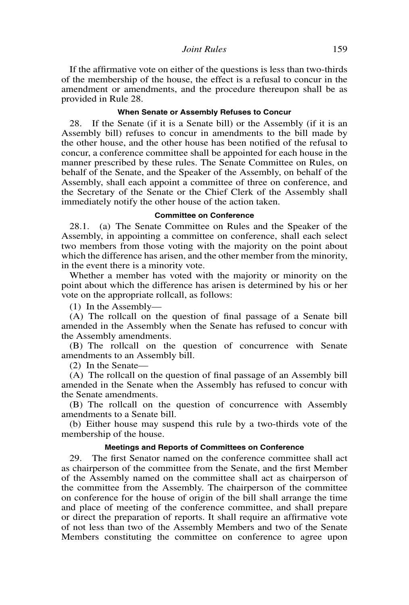If the affirmative vote on either of the questions is less than two-thirds of the membership of the house, the effect is a refusal to concur in the amendment or amendments, and the procedure thereupon shall be as provided in Rule 28.

#### **When Senate or Assembly Refuses to Concur**

28. If the Senate (if it is a Senate bill) or the Assembly (if it is an Assembly bill) refuses to concur in amendments to the bill made by the other house, and the other house has been notified of the refusal to concur, a conference committee shall be appointed for each house in the manner prescribed by these rules. The Senate Committee on Rules, on behalf of the Senate, and the Speaker of the Assembly, on behalf of the Assembly, shall each appoint a committee of three on conference, and the Secretary of the Senate or the Chief Clerk of the Assembly shall immediately notify the other house of the action taken.

#### **Committee on Conference**

28.1. (a) The Senate Committee on Rules and the Speaker of the Assembly, in appointing a committee on conference, shall each select two members from those voting with the majority on the point about which the difference has arisen, and the other member from the minority, in the event there is a minority vote.

Whether a member has voted with the majority or minority on the point about which the difference has arisen is determined by his or her vote on the appropriate rollcall, as follows:

(1) In the Assembly—

 $(A)$  The rollcall on the question of final passage of a Senate bill amended in the Assembly when the Senate has refused to concur with the Assembly amendments.

(B) The rollcall on the question of concurrence with Senate amendments to an Assembly bill.

(2) In the Senate—

(A) The rollcall on the question of final passage of an Assembly bill amended in the Senate when the Assembly has refused to concur with the Senate amendments.

(B) The rollcall on the question of concurrence with Assembly amendments to a Senate bill.

(b) Either house may suspend this rule by a two-thirds vote of the membership of the house.

#### **Meetings and Reports of Committees on Conference**

29. The first Senator named on the conference committee shall act as chairperson of the committee from the Senate, and the first Member of the Assembly named on the committee shall act as chairperson of the committee from the Assembly. The chairperson of the committee on conference for the house of origin of the bill shall arrange the time and place of meeting of the conference committee, and shall prepare or direct the preparation of reports. It shall require an affirmative vote of not less than two of the Assembly Members and two of the Senate Members constituting the committee on conference to agree upon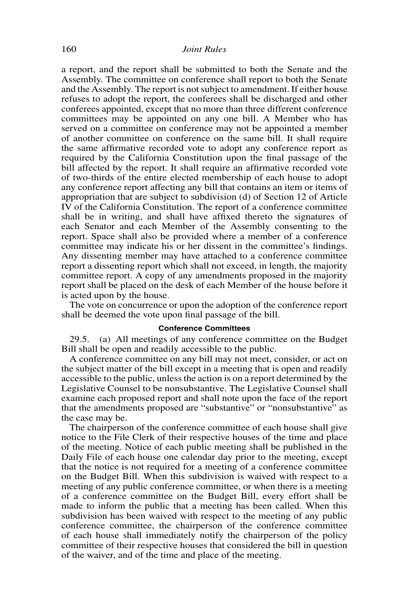a report, and the report shall be submitted to both the Senate and the Assembly. The committee on conference shall report to both the Senate and the Assembly. The report is not subject to amendment. If either house refuses to adopt the report, the conferees shall be discharged and other conferees appointed, except that no more than three different conference committees may be appointed on any one bill. A Member who has served on a committee on conference may not be appointed a member of another committee on conference on the same bill. It shall require the same affirmative recorded vote to adopt any conference report as required by the California Constitution upon the final passage of the bill affected by the report. It shall require an affirmative recorded vote of two-thirds of the entire elected membership of each house to adopt any conference report affecting any bill that contains an item or items of appropriation that are subject to subdivision (d) of Section 12 of Article IV of the California Constitution. The report of a conference committee shall be in writing, and shall have affixed thereto the signatures of each Senator and each Member of the Assembly consenting to the report. Space shall also be provided where a member of a conference committee may indicate his or her dissent in the committee's findings. Any dissenting member may have attached to a conference committee report a dissenting report which shall not exceed, in length, the majority committee report. A copy of any amendments proposed in the majority report shall be placed on the desk of each Member of the house before it is acted upon by the house.

The vote on concurrence or upon the adoption of the conference report shall be deemed the vote upon final passage of the bill.

#### **Conference Committees**

29.5. (a) All meetings of any conference committee on the Budget Bill shall be open and readily accessible to the public.

A conference committee on any bill may not meet, consider, or act on the subject matter of the bill except in a meeting that is open and readily accessible to the public, unless the action is on a report determined by the Legislative Counsel to be nonsubstantive. The Legislative Counsel shall examine each proposed report and shall note upon the face of the report that the amendments proposed are "substantive" or "nonsubstantive" as the case may be.

The chairperson of the conference committee of each house shall give notice to the File Clerk of their respective houses of the time and place of the meeting. Notice of each public meeting shall be published in the Daily File of each house one calendar day prior to the meeting, except that the notice is not required for a meeting of a conference committee on the Budget Bill. When this subdivision is waived with respect to a meeting of any public conference committee, or when there is a meeting of a conference committee on the Budget Bill, every effort shall be made to inform the public that a meeting has been called. When this subdivision has been waived with respect to the meeting of any public conference committee, the chairperson of the conference committee of each house shall immediately notify the chairperson of the policy committee of their respective houses that considered the bill in question of the waiver, and of the time and place of the meeting.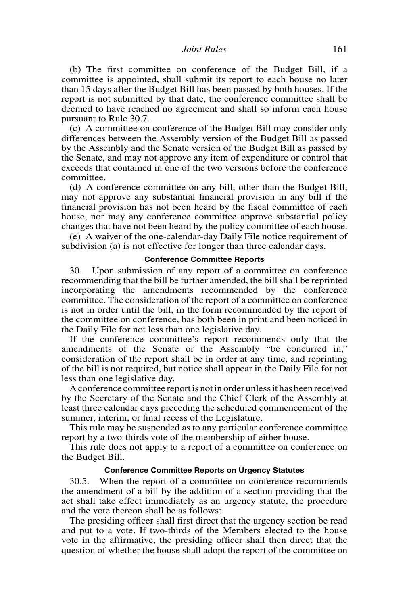(b) The first committee on conference of the Budget Bill, if a committee is appointed, shall submit its report to each house no later than 15 days after the Budget Bill has been passed by both houses. If the report is not submitted by that date, the conference committee shall be deemed to have reached no agreement and shall so inform each house pursuant to Rule 30.7.

(c) A committee on conference of the Budget Bill may consider only differences between the Assembly version of the Budget Bill as passed by the Assembly and the Senate version of the Budget Bill as passed by the Senate, and may not approve any item of expenditure or control that exceeds that contained in one of the two versions before the conference committee.

(d) A conference committee on any bill, other than the Budget Bill, may not approve any substantial financial provision in any bill if the financial provision has not been heard by the fiscal committee of each house, nor may any conference committee approve substantial policy changes that have not been heard by the policy committee of each house.

(e) A waiver of the one-calendar-day Daily File notice requirement of subdivision (a) is not effective for longer than three calendar days.

# **Conference Committee Reports**

30. Upon submission of any report of a committee on conference recommending that the bill be further amended, the bill shall be reprinted incorporating the amendments recommended by the conference committee. The consideration of the report of a committee on conference is not in order until the bill, in the form recommended by the report of the committee on conference, has both been in print and been noticed in the Daily File for not less than one legislative day.

If the conference committee's report recommends only that the amendments of the Senate or the Assembly "be concurred in," consideration of the report shall be in order at any time, and reprinting of the bill is not required, but notice shall appear in the Daily File for not less than one legislative day.

A conference committee report is not in order unless it has been received by the Secretary of the Senate and the Chief Clerk of the Assembly at least three calendar days preceding the scheduled commencement of the summer, interim, or final recess of the Legislature.

This rule may be suspended as to any particular conference committee report by a two-thirds vote of the membership of either house.

This rule does not apply to a report of a committee on conference on the Budget Bill.

#### **Conference Committee Reports on Urgency Statutes**

30.5. When the report of a committee on conference recommends the amendment of a bill by the addition of a section providing that the act shall take effect immediately as an urgency statute, the procedure and the vote thereon shall be as follows:

The presiding officer shall first direct that the urgency section be read and put to a vote. If two-thirds of the Members elected to the house vote in the affirmative, the presiding officer shall then direct that the question of whether the house shall adopt the report of the committee on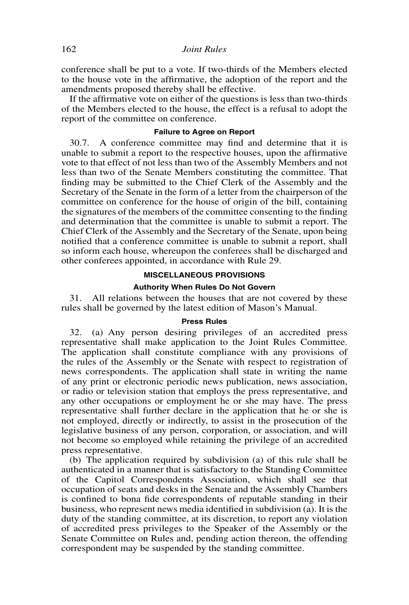conference shall be put to a vote. If two-thirds of the Members elected to the house vote in the affirmative, the adoption of the report and the amendments proposed thereby shall be effective.

If the affirmative vote on either of the questions is less than two-thirds of the Members elected to the house, the effect is a refusal to adopt the report of the committee on conference.

# **Failure to Agree on Report**

30.7. A conference committee may find and determine that it is unable to submit a report to the respective houses, upon the affirmative vote to that effect of not less than two of the Assembly Members and not less than two of the Senate Members constituting the committee. That finding may be submitted to the Chief Clerk of the Assembly and the Secretary of the Senate in the form of a letter from the chairperson of the committee on conference for the house of origin of the bill, containing the signatures of the members of the committee consenting to the finding and determination that the committee is unable to submit a report. The Chief Clerk of the Assembly and the Secretary of the Senate, upon being notified that a conference committee is unable to submit a report, shall so inform each house, whereupon the conferees shall be discharged and other conferees appointed, in accordance with Rule 29.

### **MISCELLANEOUS PROVISIONS**

### **Authority When Rules Do Not Govern**

31. All relations between the houses that are not covered by these rules shall be governed by the latest edition of Mason's Manual.

#### **Press Rules**

32. (a) Any person desiring privileges of an accredited press representative shall make application to the Joint Rules Committee. The application shall constitute compliance with any provisions of the rules of the Assembly or the Senate with respect to registration of news correspondents. The application shall state in writing the name of any print or electronic periodic news publication, news association, or radio or television station that employs the press representative, and any other occupations or employment he or she may have. The press representative shall further declare in the application that he or she is not employed, directly or indirectly, to assist in the prosecution of the legislative business of any person, corporation, or association, and will not become so employed while retaining the privilege of an accredited press representative.

(b) The application required by subdivision (a) of this rule shall be authenticated in a manner that is satisfactory to the Standing Committee of the Capitol Correspondents Association, which shall see that occupation of seats and desks in the Senate and the Assembly Chambers is confined to bona fide correspondents of reputable standing in their business, who represent news media identified in subdivision (a). It is the duty of the standing committee, at its discretion, to report any violation of accredited press privileges to the Speaker of the Assembly or the Senate Committee on Rules and, pending action thereon, the offending correspondent may be suspended by the standing committee.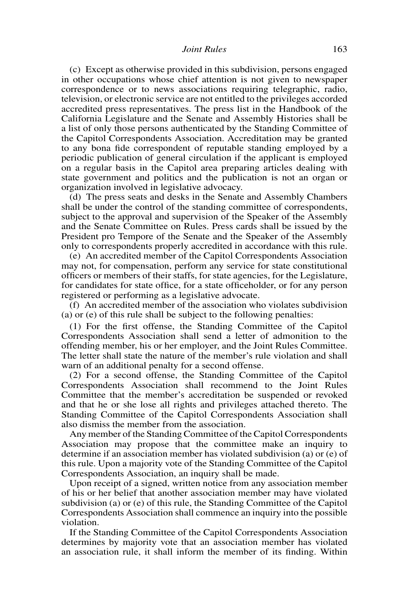(c) Except as otherwise provided in this subdivision, persons engaged in other occupations whose chief attention is not given to newspaper correspondence or to news associations requiring telegraphic, radio, television, or electronic service are not entitled to the privileges accorded accredited press representatives. The press list in the Handbook of the California Legislature and the Senate and Assembly Histories shall be a list of only those persons authenticated by the Standing Committee of the Capitol Correspondents Association. Accreditation may be granted to any bona fide correspondent of reputable standing employed by a periodic publication of general circulation if the applicant is employed on a regular basis in the Capitol area preparing articles dealing with state government and politics and the publication is not an organ or organization involved in legislative advocacy.

(d) The press seats and desks in the Senate and Assembly Chambers shall be under the control of the standing committee of correspondents, subject to the approval and supervision of the Speaker of the Assembly and the Senate Committee on Rules. Press cards shall be issued by the President pro Tempore of the Senate and the Speaker of the Assembly only to correspondents properly accredited in accordance with this rule.

(e) An accredited member of the Capitol Correspondents Association may not, for compensation, perform any service for state constitutional officers or members of their staffs, for state agencies, for the Legislature, for candidates for state office, for a state officeholder, or for any person registered or performing as a legislative advocate.

(f) An accredited member of the association who violates subdivision (a) or (e) of this rule shall be subject to the following penalties:

(1) For the first offense, the Standing Committee of the Capitol Correspondents Association shall send a letter of admonition to the offending member, his or her employer, and the Joint Rules Committee. The letter shall state the nature of the member's rule violation and shall warn of an additional penalty for a second offense.

(2) For a second offense, the Standing Committee of the Capitol Correspondents Association shall recommend to the Joint Rules Committee that the member's accreditation be suspended or revoked and that he or she lose all rights and privileges attached thereto. The Standing Committee of the Capitol Correspondents Association shall also dismiss the member from the association.

Any member of the Standing Committee of the Capitol Correspondents Association may propose that the committee make an inquiry to determine if an association member has violated subdivision (a) or (e) of this rule. Upon a majority vote of the Standing Committee of the Capitol Correspondents Association, an inquiry shall be made.

Upon receipt of a signed, written notice from any association member of his or her belief that another association member may have violated subdivision (a) or (e) of this rule, the Standing Committee of the Capitol Correspondents Association shall commence an inquiry into the possible violation.

If the Standing Committee of the Capitol Correspondents Association determines by majority vote that an association member has violated an association rule, it shall inform the member of its finding. Within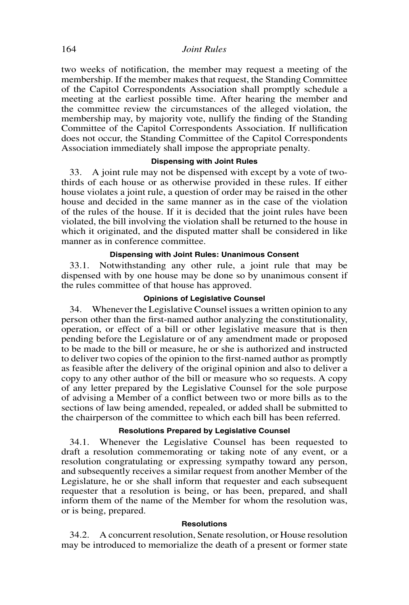two weeks of notification, the member may request a meeting of the membership. If the member makes that request, the Standing Committee of the Capitol Correspondents Association shall promptly schedule a meeting at the earliest possible time. After hearing the member and the committee review the circumstances of the alleged violation, the membership may, by majority vote, nullify the finding of the Standing Committee of the Capitol Correspondents Association. If nullification does not occur, the Standing Committee of the Capitol Correspondents Association immediately shall impose the appropriate penalty.

# **Dispensing with Joint Rules**

33. A joint rule may not be dispensed with except by a vote of twothirds of each house or as otherwise provided in these rules. If either house violates a joint rule, a question of order may be raised in the other house and decided in the same manner as in the case of the violation of the rules of the house. If it is decided that the joint rules have been violated, the bill involving the violation shall be returned to the house in which it originated, and the disputed matter shall be considered in like manner as in conference committee.

# **Dispensing with Joint Rules: Unanimous Consent**

33.1. Notwithstanding any other rule, a joint rule that may be dispensed with by one house may be done so by unanimous consent if the rules committee of that house has approved.

# **Opinions of Legislative Counsel**

34. Whenever the Legislative Counsel issues a written opinion to any person other than the first-named author analyzing the constitutionality, operation, or effect of a bill or other legislative measure that is then pending before the Legislature or of any amendment made or proposed to be made to the bill or measure, he or she is authorized and instructed to deliver two copies of the opinion to the first-named author as promptly as feasible after the delivery of the original opinion and also to deliver a copy to any other author of the bill or measure who so requests. A copy of any letter prepared by the Legislative Counsel for the sole purpose of advising a Member of a conflict between two or more bills as to the sections of law being amended, repealed, or added shall be submitted to the chairperson of the committee to which each bill has been referred.

# **Resolutions Prepared by Legislative Counsel**

34.1. Whenever the Legislative Counsel has been requested to draft a resolution commemorating or taking note of any event, or a resolution congratulating or expressing sympathy toward any person, and subsequently receives a similar request from another Member of the Legislature, he or she shall inform that requester and each subsequent requester that a resolution is being, or has been, prepared, and shall inform them of the name of the Member for whom the resolution was, or is being, prepared.

#### **Resolutions**

34.2. A concurrent resolution, Senate resolution, or House resolution may be introduced to memorialize the death of a present or former state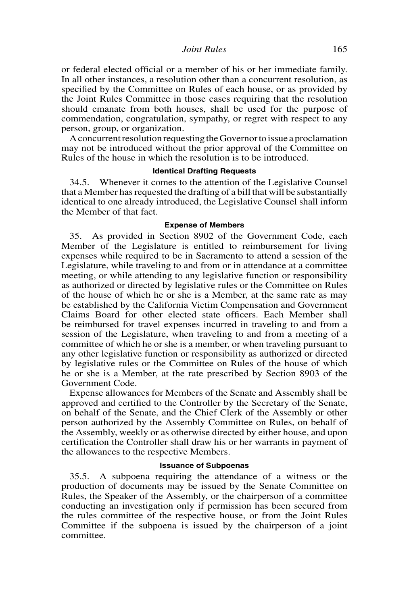or federal elected official or a member of his or her immediate family. In all other instances, a resolution other than a concurrent resolution, as specified by the Committee on Rules of each house, or as provided by the Joint Rules Committee in those cases requiring that the resolution should emanate from both houses, shall be used for the purpose of commendation, congratulation, sympathy, or regret with respect to any person, group, or organization.

A concurrent resolution requesting the Governor to issue a proclamation may not be introduced without the prior approval of the Committee on Rules of the house in which the resolution is to be introduced.

### **Identical Drafting Requests**

34.5. Whenever it comes to the attention of the Legislative Counsel that a Member has requested the drafting of a bill that will be substantially identical to one already introduced, the Legislative Counsel shall inform the Member of that fact.

### **Expense of Members**

35. As provided in Section 8902 of the Government Code, each Member of the Legislature is entitled to reimbursement for living expenses while required to be in Sacramento to attend a session of the Legislature, while traveling to and from or in attendance at a committee meeting, or while attending to any legislative function or responsibility as authorized or directed by legislative rules or the Committee on Rules of the house of which he or she is a Member, at the same rate as may be established by the California Victim Compensation and Government Claims Board for other elected state officers. Each Member shall be reimbursed for travel expenses incurred in traveling to and from a session of the Legislature, when traveling to and from a meeting of a committee of which he or she is a member, or when traveling pursuant to any other legislative function or responsibility as authorized or directed by legislative rules or the Committee on Rules of the house of which he or she is a Member, at the rate prescribed by Section 8903 of the Government Code.

Expense allowances for Members of the Senate and Assembly shall be approved and certified to the Controller by the Secretary of the Senate, on behalf of the Senate, and the Chief Clerk of the Assembly or other person authorized by the Assembly Committee on Rules, on behalf of the Assembly, weekly or as otherwise directed by either house, and upon certification the Controller shall draw his or her warrants in payment of the allowances to the respective Members.

#### **Issuance of Subpoenas**

35.5. A subpoena requiring the attendance of a witness or the production of documents may be issued by the Senate Committee on Rules, the Speaker of the Assembly, or the chairperson of a committee conducting an investigation only if permission has been secured from the rules committee of the respective house, or from the Joint Rules Committee if the subpoena is issued by the chairperson of a joint committee.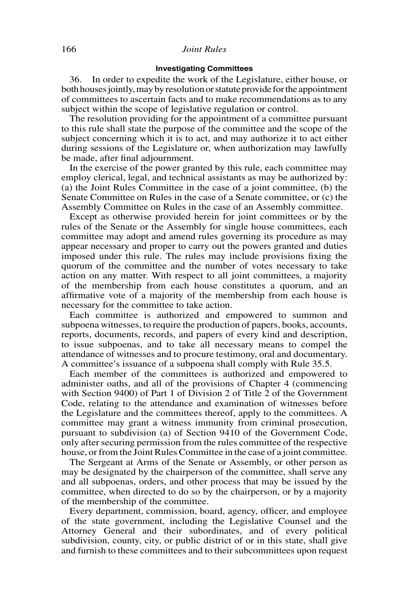#### **Investigating Committees**

36. In order to expedite the work of the Legislature, either house, or both houses jointly, may by resolution or statute provide for the appointment of committees to ascertain facts and to make recommendations as to any subject within the scope of legislative regulation or control.

The resolution providing for the appointment of a committee pursuant to this rule shall state the purpose of the committee and the scope of the subject concerning which it is to act, and may authorize it to act either during sessions of the Legislature or, when authorization may lawfully be made, after final adjournment.

In the exercise of the power granted by this rule, each committee may employ clerical, legal, and technical assistants as may be authorized by: (a) the Joint Rules Committee in the case of a joint committee, (b) the Senate Committee on Rules in the case of a Senate committee, or (c) the Assembly Committee on Rules in the case of an Assembly committee.

Except as otherwise provided herein for joint committees or by the rules of the Senate or the Assembly for single house committees, each committee may adopt and amend rules governing its procedure as may appear necessary and proper to carry out the powers granted and duties imposed under this rule. The rules may include provisions fixing the quorum of the committee and the number of votes necessary to take action on any matter. With respect to all joint committees, a majority of the membership from each house constitutes a quorum, and an affirmative vote of a majority of the membership from each house is necessary for the committee to take action.

Each committee is authorized and empowered to summon and subpoena witnesses, to require the production of papers, books, accounts, reports, documents, records, and papers of every kind and description, to issue subpoenas, and to take all necessary means to compel the attendance of witnesses and to procure testimony, oral and documentary. A committee's issuance of a subpoena shall comply with Rule 35.5.

Each member of the committees is authorized and empowered to administer oaths, and all of the provisions of Chapter 4 (commencing with Section 9400) of Part 1 of Division 2 of Title 2 of the Government Code, relating to the attendance and examination of witnesses before the Legislature and the committees thereof, apply to the committees. A committee may grant a witness immunity from criminal prosecution, pursuant to subdivision (a) of Section 9410 of the Government Code, only after securing permission from the rules committee of the respective house, or from the Joint Rules Committee in the case of a joint committee.

The Sergeant at Arms of the Senate or Assembly, or other person as may be designated by the chairperson of the committee, shall serve any and all subpoenas, orders, and other process that may be issued by the committee, when directed to do so by the chairperson, or by a majority of the membership of the committee.

Every department, commission, board, agency, officer, and employee of the state government, including the Legislative Counsel and the Attorney General and their subordinates, and of every political subdivision, county, city, or public district of or in this state, shall give and furnish to these committees and to their subcommittees upon request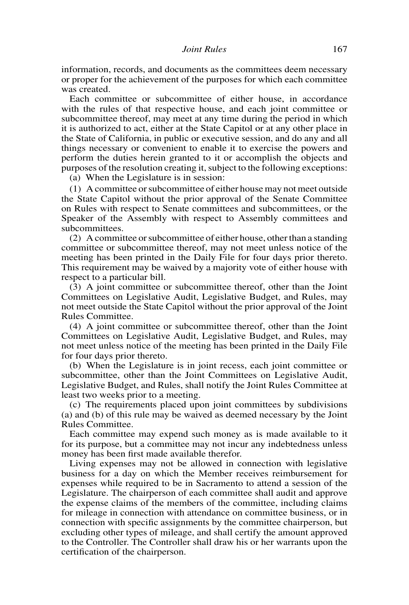information, records, and documents as the committees deem necessary or proper for the achievement of the purposes for which each committee was created.

Each committee or subcommittee of either house, in accordance with the rules of that respective house, and each joint committee or subcommittee thereof, may meet at any time during the period in which it is authorized to act, either at the State Capitol or at any other place in the State of California, in public or executive session, and do any and all things necessary or convenient to enable it to exercise the powers and perform the duties herein granted to it or accomplish the objects and purposes of the resolution creating it, subject to the following exceptions:

(a) When the Legislature is in session:

(1) A committee or subcommittee of either house may not meet outside the State Capitol without the prior approval of the Senate Committee on Rules with respect to Senate committees and subcommittees, or the Speaker of the Assembly with respect to Assembly committees and subcommittees.

(2) A committee or subcommittee of either house, other than a standing committee or subcommittee thereof, may not meet unless notice of the meeting has been printed in the Daily File for four days prior thereto. This requirement may be waived by a majority vote of either house with respect to a particular bill.

(3) A joint committee or subcommittee thereof, other than the Joint Committees on Legislative Audit, Legislative Budget, and Rules, may not meet outside the State Capitol without the prior approval of the Joint Rules Committee.

(4) A joint committee or subcommittee thereof, other than the Joint Committees on Legislative Audit, Legislative Budget, and Rules, may not meet unless notice of the meeting has been printed in the Daily File for four days prior thereto.

(b) When the Legislature is in joint recess, each joint committee or subcommittee, other than the Joint Committees on Legislative Audit, Legislative Budget, and Rules, shall notify the Joint Rules Committee at least two weeks prior to a meeting.

(c) The requirements placed upon joint committees by subdivisions (a) and (b) of this rule may be waived as deemed necessary by the Joint Rules Committee.

Each committee may expend such money as is made available to it for its purpose, but a committee may not incur any indebtedness unless money has been first made available therefor.

Living expenses may not be allowed in connection with legislative business for a day on which the Member receives reimbursement for expenses while required to be in Sacramento to attend a session of the Legislature. The chairperson of each committee shall audit and approve the expense claims of the members of the committee, including claims for mileage in connection with attendance on committee business, or in connection with specific assignments by the committee chairperson, but excluding other types of mileage, and shall certify the amount approved to the Controller. The Controller shall draw his or her warrants upon the certification of the chairperson.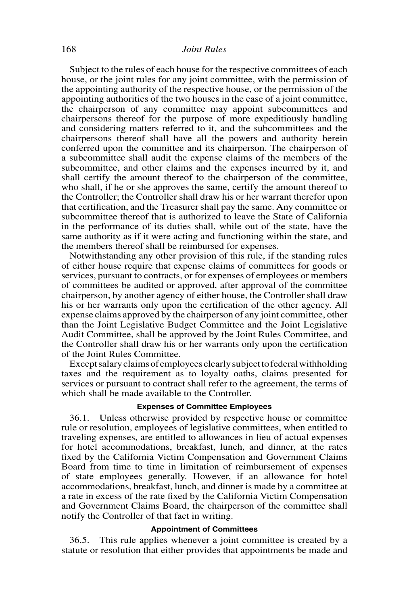Subject to the rules of each house for the respective committees of each house, or the joint rules for any joint committee, with the permission of the appointing authority of the respective house, or the permission of the appointing authorities of the two houses in the case of a joint committee, the chairperson of any committee may appoint subcommittees and chairpersons thereof for the purpose of more expeditiously handling and considering matters referred to it, and the subcommittees and the chairpersons thereof shall have all the powers and authority herein conferred upon the committee and its chairperson. The chairperson of a subcommittee shall audit the expense claims of the members of the subcommittee, and other claims and the expenses incurred by it, and shall certify the amount thereof to the chairperson of the committee, who shall, if he or she approves the same, certify the amount thereof to the Controller; the Controller shall draw his or her warrant therefor upon that certification, and the Treasurer shall pay the same. Any committee or subcommittee thereof that is authorized to leave the State of California in the performance of its duties shall, while out of the state, have the same authority as if it were acting and functioning within the state, and the members thereof shall be reimbursed for expenses.

Notwithstanding any other provision of this rule, if the standing rules of either house require that expense claims of committees for goods or services, pursuant to contracts, or for expenses of employees or members of committees be audited or approved, after approval of the committee chairperson, by another agency of either house, the Controller shall draw his or her warrants only upon the certification of the other agency. All expense claims approved by the chairperson of any joint committee, other than the Joint Legislative Budget Committee and the Joint Legislative Audit Committee, shall be approved by the Joint Rules Committee, and the Controller shall draw his or her warrants only upon the certification of the Joint Rules Committee.

Except salary claims of employees clearly subject to federal withholding taxes and the requirement as to loyalty oaths, claims presented for services or pursuant to contract shall refer to the agreement, the terms of which shall be made available to the Controller.

### **Expenses of Committee Employees**

36.1. Unless otherwise provided by respective house or committee rule or resolution, employees of legislative committees, when entitled to traveling expenses, are entitled to allowances in lieu of actual expenses for hotel accommodations, breakfast, lunch, and dinner, at the rates fixed by the California Victim Compensation and Government Claims Board from time to time in limitation of reimbursement of expenses of state employees generally. However, if an allowance for hotel accommodations, breakfast, lunch, and dinner is made by a committee at a rate in excess of the rate fixed by the California Victim Compensation and Government Claims Board, the chairperson of the committee shall notify the Controller of that fact in writing.

### **Appointment of Committees**

36.5. This rule applies whenever a joint committee is created by a statute or resolution that either provides that appointments be made and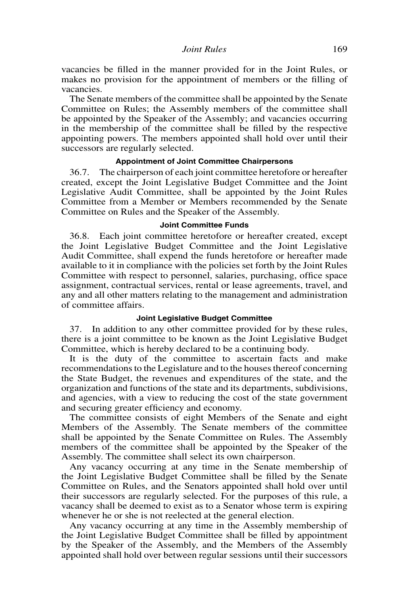vacancies be filled in the manner provided for in the Joint Rules, or makes no provision for the appointment of members or the filling of vacancies.

The Senate members of the committee shall be appointed by the Senate Committee on Rules; the Assembly members of the committee shall be appointed by the Speaker of the Assembly; and vacancies occurring in the membership of the committee shall be filled by the respective appointing powers. The members appointed shall hold over until their successors are regularly selected.

### **Appointment of Joint Committee Chairpersons**

36.7. The chairperson of each joint committee heretofore or hereafter created, except the Joint Legislative Budget Committee and the Joint Legislative Audit Committee, shall be appointed by the Joint Rules Committee from a Member or Members recommended by the Senate Committee on Rules and the Speaker of the Assembly.

### **Joint Committee Funds**

36.8. Each joint committee heretofore or hereafter created, except the Joint Legislative Budget Committee and the Joint Legislative Audit Committee, shall expend the funds heretofore or hereafter made available to it in compliance with the policies set forth by the Joint Rules Committee with respect to personnel, salaries, purchasing, office space assignment, contractual services, rental or lease agreements, travel, and any and all other matters relating to the management and administration of committee affairs.

### **Joint Legislative Budget Committee**

37. In addition to any other committee provided for by these rules, there is a joint committee to be known as the Joint Legislative Budget Committee, which is hereby declared to be a continuing body.

It is the duty of the committee to ascertain facts and make recommendations to the Legislature and to the houses thereof concerning the State Budget, the revenues and expenditures of the state, and the organization and functions of the state and its departments, subdivisions, and agencies, with a view to reducing the cost of the state government and securing greater efficiency and economy.

The committee consists of eight Members of the Senate and eight Members of the Assembly. The Senate members of the committee shall be appointed by the Senate Committee on Rules. The Assembly members of the committee shall be appointed by the Speaker of the Assembly. The committee shall select its own chairperson.

Any vacancy occurring at any time in the Senate membership of the Joint Legislative Budget Committee shall be filled by the Senate Committee on Rules, and the Senators appointed shall hold over until their successors are regularly selected. For the purposes of this rule, a vacancy shall be deemed to exist as to a Senator whose term is expiring whenever he or she is not reelected at the general election.

Any vacancy occurring at any time in the Assembly membership of the Joint Legislative Budget Committee shall be filled by appointment by the Speaker of the Assembly, and the Members of the Assembly appointed shall hold over between regular sessions until their successors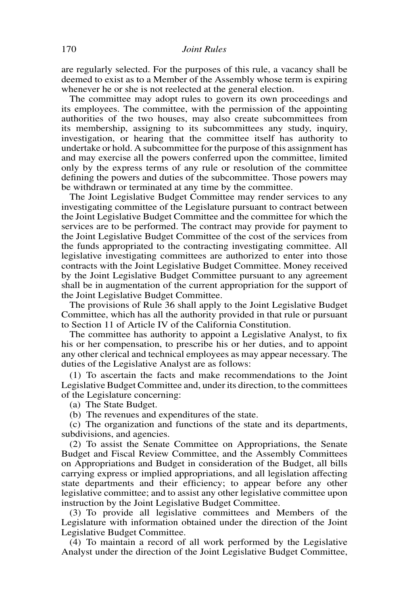are regularly selected. For the purposes of this rule, a vacancy shall be deemed to exist as to a Member of the Assembly whose term is expiring whenever he or she is not reelected at the general election.

The committee may adopt rules to govern its own proceedings and its employees. The committee, with the permission of the appointing authorities of the two houses, may also create subcommittees from its membership, assigning to its subcommittees any study, inquiry, investigation, or hearing that the committee itself has authority to undertake or hold. A subcommittee for the purpose of this assignment has and may exercise all the powers conferred upon the committee, limited only by the express terms of any rule or resolution of the committee defining the powers and duties of the subcommittee. Those powers may be withdrawn or terminated at any time by the committee.

The Joint Legislative Budget Committee may render services to any investigating committee of the Legislature pursuant to contract between the Joint Legislative Budget Committee and the committee for which the services are to be performed. The contract may provide for payment to the Joint Legislative Budget Committee of the cost of the services from the funds appropriated to the contracting investigating committee. All legislative investigating committees are authorized to enter into those contracts with the Joint Legislative Budget Committee. Money received by the Joint Legislative Budget Committee pursuant to any agreement shall be in augmentation of the current appropriation for the support of the Joint Legislative Budget Committee.

The provisions of Rule 36 shall apply to the Joint Legislative Budget Committee, which has all the authority provided in that rule or pursuant to Section 11 of Article IV of the California Constitution.

The committee has authority to appoint a Legislative Analyst, to fix his or her compensation, to prescribe his or her duties, and to appoint any other clerical and technical employees as may appear necessary. The duties of the Legislative Analyst are as follows:

(1) To ascertain the facts and make recommendations to the Joint Legislative Budget Committee and, under its direction, to the committees of the Legislature concerning:

(a) The State Budget.

(b) The revenues and expenditures of the state.

(c) The organization and functions of the state and its departments, subdivisions, and agencies.

(2) To assist the Senate Committee on Appropriations, the Senate Budget and Fiscal Review Committee, and the Assembly Committees on Appropriations and Budget in consideration of the Budget, all bills carrying express or implied appropriations, and all legislation affecting state departments and their efficiency; to appear before any other legislative committee; and to assist any other legislative committee upon instruction by the Joint Legislative Budget Committee.

(3) To provide all legislative committees and Members of the Legislature with information obtained under the direction of the Joint Legislative Budget Committee.

(4) To maintain a record of all work performed by the Legislative Analyst under the direction of the Joint Legislative Budget Committee,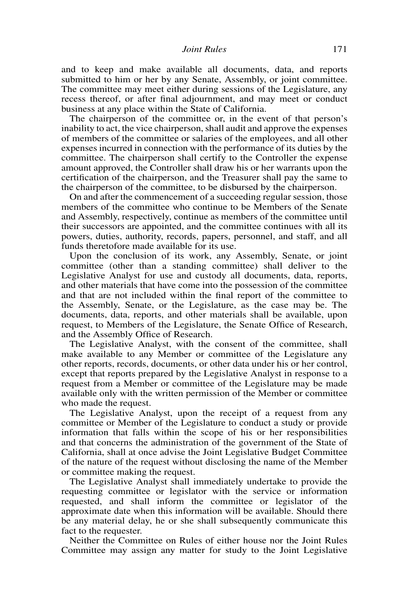and to keep and make available all documents, data, and reports submitted to him or her by any Senate, Assembly, or joint committee. The committee may meet either during sessions of the Legislature, any recess thereof, or after final adjournment, and may meet or conduct business at any place within the State of California.

The chairperson of the committee or, in the event of that person's inability to act, the vice chairperson, shall audit and approve the expenses of members of the committee or salaries of the employees, and all other expenses incurred in connection with the performance of its duties by the committee. The chairperson shall certify to the Controller the expense amount approved, the Controller shall draw his or her warrants upon the certification of the chairperson, and the Treasurer shall pay the same to the chairperson of the committee, to be disbursed by the chairperson.

On and after the commencement of a succeeding regular session, those members of the committee who continue to be Members of the Senate and Assembly, respectively, continue as members of the committee until their successors are appointed, and the committee continues with all its powers, duties, authority, records, papers, personnel, and staff, and all funds theretofore made available for its use.

Upon the conclusion of its work, any Assembly, Senate, or joint committee (other than a standing committee) shall deliver to the Legislative Analyst for use and custody all documents, data, reports, and other materials that have come into the possession of the committee and that are not included within the final report of the committee to the Assembly, Senate, or the Legislature, as the case may be. The documents, data, reports, and other materials shall be available, upon request, to Members of the Legislature, the Senate Office of Research, and the Assembly Office of Research.

The Legislative Analyst, with the consent of the committee, shall make available to any Member or committee of the Legislature any other reports, records, documents, or other data under his or her control, except that reports prepared by the Legislative Analyst in response to a request from a Member or committee of the Legislature may be made available only with the written permission of the Member or committee who made the request.

The Legislative Analyst, upon the receipt of a request from any committee or Member of the Legislature to conduct a study or provide information that falls within the scope of his or her responsibilities and that concerns the administration of the government of the State of California, shall at once advise the Joint Legislative Budget Committee of the nature of the request without disclosing the name of the Member or committee making the request.

The Legislative Analyst shall immediately undertake to provide the requesting committee or legislator with the service or information requested, and shall inform the committee or legislator of the approximate date when this information will be available. Should there be any material delay, he or she shall subsequently communicate this fact to the requester.

Neither the Committee on Rules of either house nor the Joint Rules Committee may assign any matter for study to the Joint Legislative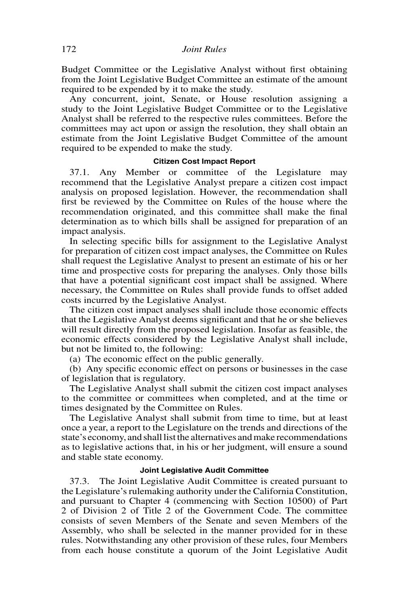Budget Committee or the Legislative Analyst without first obtaining from the Joint Legislative Budget Committee an estimate of the amount required to be expended by it to make the study.

Any concurrent, joint, Senate, or House resolution assigning a study to the Joint Legislative Budget Committee or to the Legislative Analyst shall be referred to the respective rules committees. Before the committees may act upon or assign the resolution, they shall obtain an estimate from the Joint Legislative Budget Committee of the amount required to be expended to make the study.

### **Citizen Cost Impact Report**

37.1. Any Member or committee of the Legislature may recommend that the Legislative Analyst prepare a citizen cost impact analysis on proposed legislation. However, the recommendation shall first be reviewed by the Committee on Rules of the house where the recommendation originated, and this committee shall make the final determination as to which bills shall be assigned for preparation of an impact analysis.

In selecting specific bills for assignment to the Legislative Analyst for preparation of citizen cost impact analyses, the Committee on Rules shall request the Legislative Analyst to present an estimate of his or her time and prospective costs for preparing the analyses. Only those bills that have a potential significant cost impact shall be assigned. Where necessary, the Committee on Rules shall provide funds to offset added costs incurred by the Legislative Analyst.

The citizen cost impact analyses shall include those economic effects that the Legislative Analyst deems significant and that he or she believes will result directly from the proposed legislation. Insofar as feasible, the economic effects considered by the Legislative Analyst shall include, but not be limited to, the following:

(a) The economic effect on the public generally.

(b) Any specific economic effect on persons or businesses in the case of legislation that is regulatory.

The Legislative Analyst shall submit the citizen cost impact analyses to the committee or committees when completed, and at the time or times designated by the Committee on Rules.

The Legislative Analyst shall submit from time to time, but at least once a year, a report to the Legislature on the trends and directions of the state's economy, and shall list the alternatives and make recommendations as to legislative actions that, in his or her judgment, will ensure a sound and stable state economy.

#### **Joint Legislative Audit Committee**

37.3. The Joint Legislative Audit Committee is created pursuant to the Legislature's rulemaking authority under the California Constitution, and pursuant to Chapter 4 (commencing with Section 10500) of Part 2 of Division 2 of Title 2 of the Government Code. The committee consists of seven Members of the Senate and seven Members of the Assembly, who shall be selected in the manner provided for in these rules. Notwithstanding any other provision of these rules, four Members from each house constitute a quorum of the Joint Legislative Audit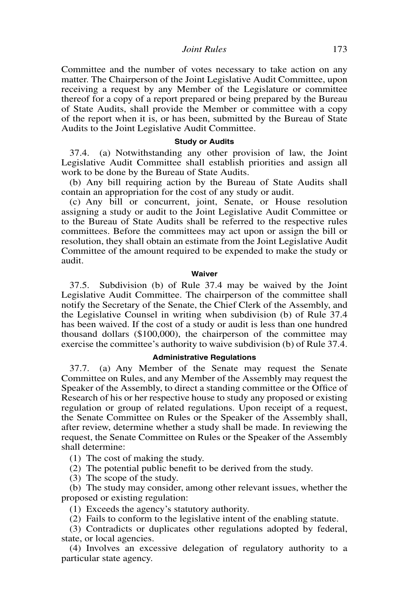Committee and the number of votes necessary to take action on any matter. The Chairperson of the Joint Legislative Audit Committee, upon receiving a request by any Member of the Legislature or committee thereof for a copy of a report prepared or being prepared by the Bureau of State Audits, shall provide the Member or committee with a copy of the report when it is, or has been, submitted by the Bureau of State Audits to the Joint Legislative Audit Committee.

#### **Study or Audits**

37.4. (a) Notwithstanding any other provision of law, the Joint Legislative Audit Committee shall establish priorities and assign all work to be done by the Bureau of State Audits.

(b) Any bill requiring action by the Bureau of State Audits shall contain an appropriation for the cost of any study or audit.

(c) Any bill or concurrent, joint, Senate, or House resolution assigning a study or audit to the Joint Legislative Audit Committee or to the Bureau of State Audits shall be referred to the respective rules committees. Before the committees may act upon or assign the bill or resolution, they shall obtain an estimate from the Joint Legislative Audit Committee of the amount required to be expended to make the study or audit.

### **Waiver**

37.5. Subdivision (b) of Rule 37.4 may be waived by the Joint Legislative Audit Committee. The chairperson of the committee shall notify the Secretary of the Senate, the Chief Clerk of the Assembly, and the Legislative Counsel in writing when subdivision (b) of Rule 37.4 has been waived. If the cost of a study or audit is less than one hundred thousand dollars (\$100,000), the chairperson of the committee may exercise the committee's authority to waive subdivision (b) of Rule 37.4.

#### **Administrative Regulations**

37.7. (a) Any Member of the Senate may request the Senate Committee on Rules, and any Member of the Assembly may request the Speaker of the Assembly, to direct a standing committee or the Office of Research of his or her respective house to study any proposed or existing regulation or group of related regulations. Upon receipt of a request, the Senate Committee on Rules or the Speaker of the Assembly shall, after review, determine whether a study shall be made. In reviewing the request, the Senate Committee on Rules or the Speaker of the Assembly shall determine:

(1) The cost of making the study.

(2) The potential public benefit to be derived from the study.

(3) The scope of the study.

(b) The study may consider, among other relevant issues, whether the proposed or existing regulation:

(1) Exceeds the agency's statutory authority.

(2) Fails to conform to the legislative intent of the enabling statute.

(3) Contradicts or duplicates other regulations adopted by federal, state, or local agencies.

(4) Involves an excessive delegation of regulatory authority to a particular state agency.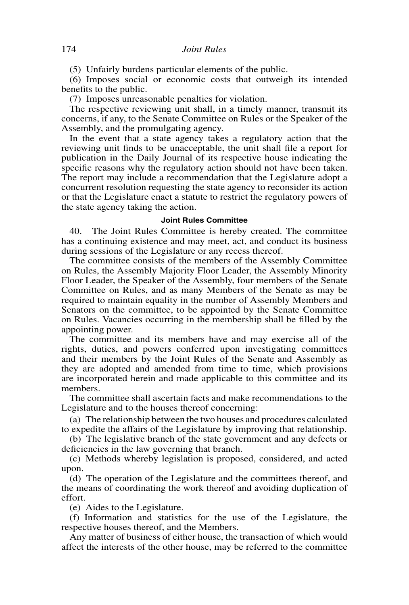(5) Unfairly burdens particular elements of the public.

(6) Imposes social or economic costs that outweigh its intended benefits to the public.

(7) Imposes unreasonable penalties for violation.

The respective reviewing unit shall, in a timely manner, transmit its concerns, if any, to the Senate Committee on Rules or the Speaker of the Assembly, and the promulgating agency.

In the event that a state agency takes a regulatory action that the reviewing unit finds to be unacceptable, the unit shall file a report for publication in the Daily Journal of its respective house indicating the specific reasons why the regulatory action should not have been taken. The report may include a recommendation that the Legislature adopt a concurrent resolution requesting the state agency to reconsider its action or that the Legislature enact a statute to restrict the regulatory powers of the state agency taking the action.

#### **Joint Rules Committee**

40. The Joint Rules Committee is hereby created. The committee has a continuing existence and may meet, act, and conduct its business during sessions of the Legislature or any recess thereof.

The committee consists of the members of the Assembly Committee on Rules, the Assembly Majority Floor Leader, the Assembly Minority Floor Leader, the Speaker of the Assembly, four members of the Senate Committee on Rules, and as many Members of the Senate as may be required to maintain equality in the number of Assembly Members and Senators on the committee, to be appointed by the Senate Committee on Rules. Vacancies occurring in the membership shall be filled by the appointing power.

The committee and its members have and may exercise all of the rights, duties, and powers conferred upon investigating committees and their members by the Joint Rules of the Senate and Assembly as they are adopted and amended from time to time, which provisions are incorporated herein and made applicable to this committee and its members.

The committee shall ascertain facts and make recommendations to the Legislature and to the houses thereof concerning:

(a) The relationship between the two houses and procedures calculated to expedite the affairs of the Legislature by improving that relationship.

(b) The legislative branch of the state government and any defects or deficiencies in the law governing that branch.

(c) Methods whereby legislation is proposed, considered, and acted upon.

(d) The operation of the Legislature and the committees thereof, and the means of coordinating the work thereof and avoiding duplication of effort.

(e) Aides to the Legislature.

(f) Information and statistics for the use of the Legislature, the respective houses thereof, and the Members.

Any matter of business of either house, the transaction of which would affect the interests of the other house, may be referred to the committee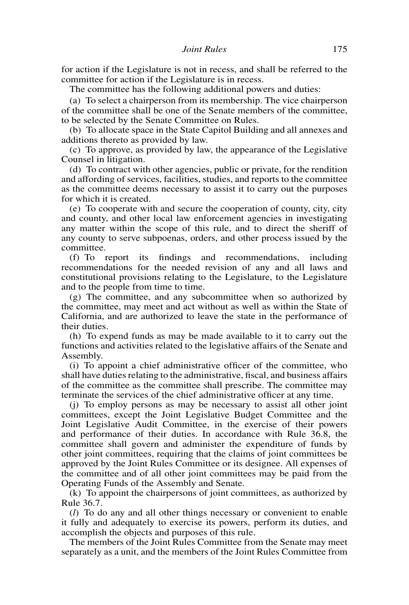for action if the Legislature is not in recess, and shall be referred to the committee for action if the Legislature is in recess.

The committee has the following additional powers and duties:

(a) To select a chairperson from its membership. The vice chairperson of the committee shall be one of the Senate members of the committee, to be selected by the Senate Committee on Rules.

(b) To allocate space in the State Capitol Building and all annexes and additions thereto as provided by law.

(c) To approve, as provided by law, the appearance of the Legislative Counsel in litigation.

(d) To contract with other agencies, public or private, for the rendition and affording of services, facilities, studies, and reports to the committee as the committee deems necessary to assist it to carry out the purposes for which it is created.

(e) To cooperate with and secure the cooperation of county, city, city and county, and other local law enforcement agencies in investigating any matter within the scope of this rule, and to direct the sheriff of any county to serve subpoenas, orders, and other process issued by the committee.<br>(f) To t

report its findings and recommendations, including recommendations for the needed revision of any and all laws and constitutional provisions relating to the Legislature, to the Legislature and to the people from time to time.

(g) The committee, and any subcommittee when so authorized by the committee, may meet and act without as well as within the State of California, and are authorized to leave the state in the performance of their duties.

(h) To expend funds as may be made available to it to carry out the functions and activities related to the legislative affairs of the Senate and Assembly.

(i) To appoint a chief administrative officer of the committee, who shall have duties relating to the administrative, fiscal, and business affairs of the committee as the committee shall prescribe. The committee may terminate the services of the chief administrative officer at any time.

(j) To employ persons as may be necessary to assist all other joint committees, except the Joint Legislative Budget Committee and the Joint Legislative Audit Committee, in the exercise of their powers and performance of their duties. In accordance with Rule 36.8, the committee shall govern and administer the expenditure of funds by other joint committees, requiring that the claims of joint committees be approved by the Joint Rules Committee or its designee. All expenses of the committee and of all other joint committees may be paid from the Operating Funds of the Assembly and Senate.

(k) To appoint the chairpersons of joint committees, as authorized by Rule 36.7.

(*l*) To do any and all other things necessary or convenient to enable it fully and adequately to exercise its powers, perform its duties, and accomplish the objects and purposes of this rule.

The members of the Joint Rules Committee from the Senate may meet separately as a unit, and the members of the Joint Rules Committee from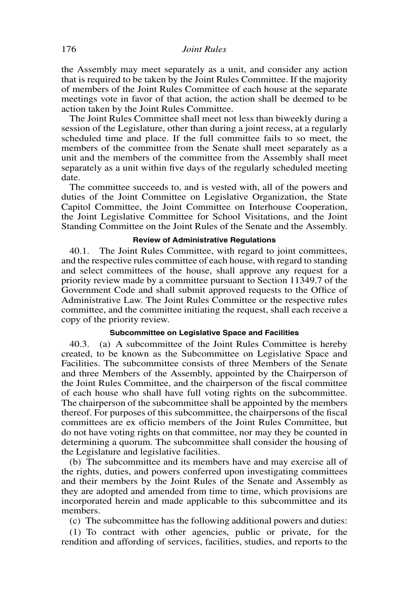the Assembly may meet separately as a unit, and consider any action that is required to be taken by the Joint Rules Committee. If the majority of members of the Joint Rules Committee of each house at the separate meetings vote in favor of that action, the action shall be deemed to be action taken by the Joint Rules Committee.

The Joint Rules Committee shall meet not less than biweekly during a session of the Legislature, other than during a joint recess, at a regularly scheduled time and place. If the full committee fails to so meet, the members of the committee from the Senate shall meet separately as a unit and the members of the committee from the Assembly shall meet separately as a unit within five days of the regularly scheduled meeting date.

The committee succeeds to, and is vested with, all of the powers and duties of the Joint Committee on Legislative Organization, the State Capitol Committee, the Joint Committee on Interhouse Cooperation, the Joint Legislative Committee for School Visitations, and the Joint Standing Committee on the Joint Rules of the Senate and the Assembly.

#### **Review of Administrative Regulations**

40.1. The Joint Rules Committee, with regard to joint committees, and the respective rules committee of each house, with regard to standing and select committees of the house, shall approve any request for a priority review made by a committee pursuant to Section 11349.7 of the Government Code and shall submit approved requests to the Office of Administrative Law. The Joint Rules Committee or the respective rules committee, and the committee initiating the request, shall each receive a copy of the priority review.

# **Subcommittee on Legislative Space and Facilities**

40.3. (a) A subcommittee of the Joint Rules Committee is hereby created, to be known as the Subcommittee on Legislative Space and Facilities. The subcommittee consists of three Members of the Senate and three Members of the Assembly, appointed by the Chairperson of the Joint Rules Committee, and the chairperson of the fiscal committee of each house who shall have full voting rights on the subcommittee. The chairperson of the subcommittee shall be appointed by the members thereof. For purposes of this subcommittee, the chairpersons of the fiscal committees are ex officio members of the Joint Rules Committee, but do not have voting rights on that committee, nor may they be counted in determining a quorum. The subcommittee shall consider the housing of the Legislature and legislative facilities.

(b) The subcommittee and its members have and may exercise all of the rights, duties, and powers conferred upon investigating committees and their members by the Joint Rules of the Senate and Assembly as they are adopted and amended from time to time, which provisions are incorporated herein and made applicable to this subcommittee and its members.

(c) The subcommittee has the following additional powers and duties:

(1) To contract with other agencies, public or private, for the rendition and affording of services, facilities, studies, and reports to the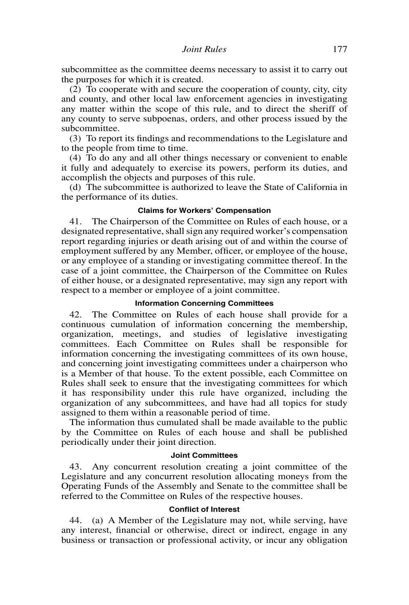subcommittee as the committee deems necessary to assist it to carry out the purposes for which it is created.

(2) To cooperate with and secure the cooperation of county, city, city and county, and other local law enforcement agencies in investigating any matter within the scope of this rule, and to direct the sheriff of any county to serve subpoenas, orders, and other process issued by the subcommittee.

(3) To report its findings and recommendations to the Legislature and to the people from time to time.

(4) To do any and all other things necessary or convenient to enable it fully and adequately to exercise its powers, perform its duties, and accomplish the objects and purposes of this rule.

(d) The subcommittee is authorized to leave the State of California in the performance of its duties.

#### **Claims for Workers' Compensation**

41. The Chairperson of the Committee on Rules of each house, or a designated representative, shall sign any required worker's compensation report regarding injuries or death arising out of and within the course of employment suffered by any Member, officer, or employee of the house, or any employee of a standing or investigating committee thereof. In the case of a joint committee, the Chairperson of the Committee on Rules of either house, or a designated representative, may sign any report with respect to a member or employee of a joint committee.

### **Information Concerning Committees**

42. The Committee on Rules of each house shall provide for a continuous cumulation of information concerning the membership, organization, meetings, and studies of legislative investigating committees. Each Committee on Rules shall be responsible for information concerning the investigating committees of its own house, and concerning joint investigating committees under a chairperson who is a Member of that house. To the extent possible, each Committee on Rules shall seek to ensure that the investigating committees for which it has responsibility under this rule have organized, including the organization of any subcommittees, and have had all topics for study assigned to them within a reasonable period of time.

The information thus cumulated shall be made available to the public by the Committee on Rules of each house and shall be published periodically under their joint direction.

### **Joint Committees**

43. Any concurrent resolution creating a joint committee of the Legislature and any concurrent resolution allocating moneys from the Operating Funds of the Assembly and Senate to the committee shall be referred to the Committee on Rules of the respective houses.

# **Conflict of Interest**

44. (a) A Member of the Legislature may not, while serving, have any interest, financial or otherwise, direct or indirect, engage in any business or transaction or professional activity, or incur any obligation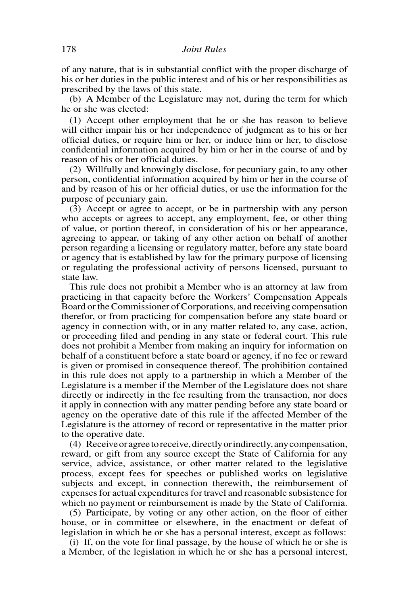of any nature, that is in substantial conflict with the proper discharge of his or her duties in the public interest and of his or her responsibilities as prescribed by the laws of this state.

(b) A Member of the Legislature may not, during the term for which he or she was elected:

(1) Accept other employment that he or she has reason to believe will either impair his or her independence of judgment as to his or her official duties, or require him or her, or induce him or her, to disclose confidential information acquired by him or her in the course of and by reason of his or her official duties.

(2) Willfully and knowingly disclose, for pecuniary gain, to any other person, confidential information acquired by him or her in the course of and by reason of his or her official duties, or use the information for the purpose of pecuniary gain.

(3) Accept or agree to accept, or be in partnership with any person who accepts or agrees to accept, any employment, fee, or other thing of value, or portion thereof, in consideration of his or her appearance, agreeing to appear, or taking of any other action on behalf of another person regarding a licensing or regulatory matter, before any state board or agency that is established by law for the primary purpose of licensing or regulating the professional activity of persons licensed, pursuant to state law.

This rule does not prohibit a Member who is an attorney at law from practicing in that capacity before the Workers' Compensation Appeals Board or the Commissioner of Corporations, and receiving compensation therefor, or from practicing for compensation before any state board or agency in connection with, or in any matter related to, any case, action, or proceeding filed and pending in any state or federal court. This rule does not prohibit a Member from making an inquiry for information on behalf of a constituent before a state board or agency, if no fee or reward is given or promised in consequence thereof. The prohibition contained in this rule does not apply to a partnership in which a Member of the Legislature is a member if the Member of the Legislature does not share directly or indirectly in the fee resulting from the transaction, nor does it apply in connection with any matter pending before any state board or agency on the operative date of this rule if the affected Member of the Legislature is the attorney of record or representative in the matter prior to the operative date.

(4) Receive or agree to receive, directly or indirectly, any compensation, reward, or gift from any source except the State of California for any service, advice, assistance, or other matter related to the legislative process, except fees for speeches or published works on legislative subjects and except, in connection therewith, the reimbursement of expenses for actual expenditures for travel and reasonable subsistence for which no payment or reimbursement is made by the State of California.

 $(5)$  Participate, by voting or any other action, on the floor of either house, or in committee or elsewhere, in the enactment or defeat of legislation in which he or she has a personal interest, except as follows:

 $(i)$  If, on the vote for final passage, by the house of which he or she is a Member, of the legislation in which he or she has a personal interest,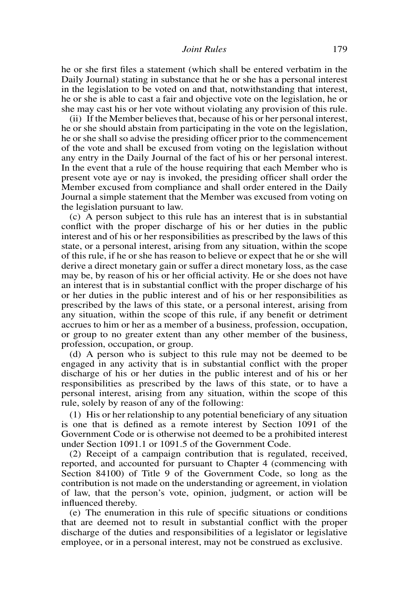he or she first files a statement (which shall be entered verbatim in the Daily Journal) stating in substance that he or she has a personal interest in the legislation to be voted on and that, notwithstanding that interest, he or she is able to cast a fair and objective vote on the legislation, he or she may cast his or her vote without violating any provision of this rule.

(ii) If the Member believes that, because of his or her personal interest, he or she should abstain from participating in the vote on the legislation, he or she shall so advise the presiding officer prior to the commencement of the vote and shall be excused from voting on the legislation without any entry in the Daily Journal of the fact of his or her personal interest. In the event that a rule of the house requiring that each Member who is present vote aye or nay is invoked, the presiding officer shall order the Member excused from compliance and shall order entered in the Daily Journal a simple statement that the Member was excused from voting on the legislation pursuant to law.

(c) A person subject to this rule has an interest that is in substantial conflict with the proper discharge of his or her duties in the public interest and of his or her responsibilities as prescribed by the laws of this state, or a personal interest, arising from any situation, within the scope of this rule, if he or she has reason to believe or expect that he or she will derive a direct monetary gain or suffer a direct monetary loss, as the case may be, by reason of his or her official activity. He or she does not have an interest that is in substantial conflict with the proper discharge of his or her duties in the public interest and of his or her responsibilities as prescribed by the laws of this state, or a personal interest, arising from any situation, within the scope of this rule, if any benefit or detriment accrues to him or her as a member of a business, profession, occupation, or group to no greater extent than any other member of the business, profession, occupation, or group.

(d) A person who is subject to this rule may not be deemed to be engaged in any activity that is in substantial conflict with the proper discharge of his or her duties in the public interest and of his or her responsibilities as prescribed by the laws of this state, or to have a personal interest, arising from any situation, within the scope of this rule, solely by reason of any of the following:

 $(1)$  His or her relationship to any potential beneficiary of any situation is one that is defined as a remote interest by Section 1091 of the Government Code or is otherwise not deemed to be a prohibited interest under Section 1091.1 or 1091.5 of the Government Code.

(2) Receipt of a campaign contribution that is regulated, received, reported, and accounted for pursuant to Chapter 4 (commencing with Section 84100) of Title 9 of the Government Code, so long as the contribution is not made on the understanding or agreement, in violation of law, that the person's vote, opinion, judgment, or action will be influenced thereby.

(e) The enumeration in this rule of specific situations or conditions that are deemed not to result in substantial conflict with the proper discharge of the duties and responsibilities of a legislator or legislative employee, or in a personal interest, may not be construed as exclusive.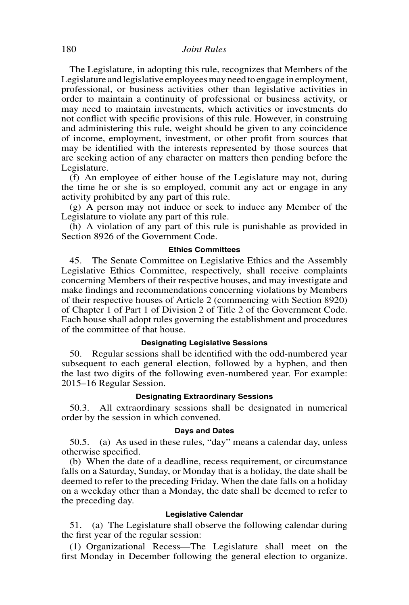The Legislature, in adopting this rule, recognizes that Members of the Legislature and legislative employees may need to engage in employment, professional, or business activities other than legislative activities in order to maintain a continuity of professional or business activity, or may need to maintain investments, which activities or investments do not conflict with specific provisions of this rule. However, in construing and administering this rule, weight should be given to any coincidence of income, employment, investment, or other profi t from sources that may be identified with the interests represented by those sources that are seeking action of any character on matters then pending before the Legislature.

(f) An employee of either house of the Legislature may not, during the time he or she is so employed, commit any act or engage in any activity prohibited by any part of this rule.

(g) A person may not induce or seek to induce any Member of the Legislature to violate any part of this rule.

(h) A violation of any part of this rule is punishable as provided in Section 8926 of the Government Code.

#### **Ethics Committees**

45. The Senate Committee on Legislative Ethics and the Assembly Legislative Ethics Committee, respectively, shall receive complaints concerning Members of their respective houses, and may investigate and make findings and recommendations concerning violations by Members of their respective houses of Article 2 (commencing with Section 8920) of Chapter 1 of Part 1 of Division 2 of Title 2 of the Government Code. Each house shall adopt rules governing the establishment and procedures of the committee of that house.

#### **Designating Legislative Sessions**

50. Regular sessions shall be identified with the odd-numbered year subsequent to each general election, followed by a hyphen, and then the last two digits of the following even-numbered year. For example: 2015–16 Regular Session.

#### **Designating Extraordinary Sessions**

50.3. All extraordinary sessions shall be designated in numerical order by the session in which convened.

#### **Days and Dates**

50.5. (a) As used in these rules, "day" means a calendar day, unless otherwise specified.

(b) When the date of a deadline, recess requirement, or circumstance falls on a Saturday, Sunday, or Monday that is a holiday, the date shall be deemed to refer to the preceding Friday. When the date falls on a holiday on a weekday other than a Monday, the date shall be deemed to refer to the preceding day.

#### **Legislative Calendar**

51. (a) The Legislature shall observe the following calendar during the first year of the regular session:

(1) Organizational Recess—The Legislature shall meet on the first Monday in December following the general election to organize.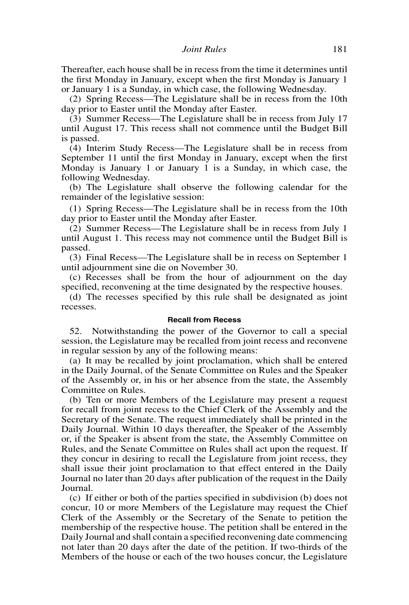Thereafter, each house shall be in recess from the time it determines until the first Monday in January, except when the first Monday is January 1 or January 1 is a Sunday, in which case, the following Wednesday.

(2) Spring Recess—The Legislature shall be in recess from the 10th day prior to Easter until the Monday after Easter.

(3) Summer Recess—The Legislature shall be in recess from July 17 until August 17. This recess shall not commence until the Budget Bill is passed.

(4) Interim Study Recess—The Legislature shall be in recess from September 11 until the first Monday in January, except when the first Monday is January 1 or January 1 is a Sunday, in which case, the following Wednesday.

(b) The Legislature shall observe the following calendar for the remainder of the legislative session:

(1) Spring Recess—The Legislature shall be in recess from the 10th day prior to Easter until the Monday after Easter.

(2) Summer Recess—The Legislature shall be in recess from July 1 until August 1. This recess may not commence until the Budget Bill is passed.

(3) Final Recess—The Legislature shall be in recess on September 1 until adjournment sine die on November 30.

(c) Recesses shall be from the hour of adjournment on the day specified, reconvening at the time designated by the respective houses.

(d) The recesses specified by this rule shall be designated as joint recesses.

# **Recall from Recess**

52. Notwithstanding the power of the Governor to call a special session, the Legislature may be recalled from joint recess and reconvene in regular session by any of the following means:

(a) It may be recalled by joint proclamation, which shall be entered in the Daily Journal, of the Senate Committee on Rules and the Speaker of the Assembly or, in his or her absence from the state, the Assembly Committee on Rules.

(b) Ten or more Members of the Legislature may present a request for recall from joint recess to the Chief Clerk of the Assembly and the Secretary of the Senate. The request immediately shall be printed in the Daily Journal. Within 10 days thereafter, the Speaker of the Assembly or, if the Speaker is absent from the state, the Assembly Committee on Rules, and the Senate Committee on Rules shall act upon the request. If they concur in desiring to recall the Legislature from joint recess, they shall issue their joint proclamation to that effect entered in the Daily Journal no later than 20 days after publication of the request in the Daily Journal.

 $(c)$  If either or both of the parties specified in subdivision  $(b)$  does not concur, 10 or more Members of the Legislature may request the Chief Clerk of the Assembly or the Secretary of the Senate to petition the membership of the respective house. The petition shall be entered in the Daily Journal and shall contain a specified reconvening date commencing not later than 20 days after the date of the petition. If two-thirds of the Members of the house or each of the two houses concur, the Legislature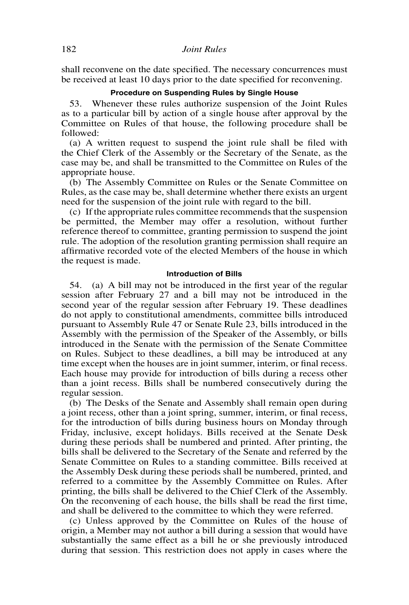shall reconvene on the date specified. The necessary concurrences must be received at least 10 days prior to the date specified for reconvening.

# **Procedure on Suspending Rules by Single House**

53. Whenever these rules authorize suspension of the Joint Rules as to a particular bill by action of a single house after approval by the Committee on Rules of that house, the following procedure shall be followed:

(a) A written request to suspend the joint rule shall be filed with the Chief Clerk of the Assembly or the Secretary of the Senate, as the case may be, and shall be transmitted to the Committee on Rules of the appropriate house.

(b) The Assembly Committee on Rules or the Senate Committee on Rules, as the case may be, shall determine whether there exists an urgent need for the suspension of the joint rule with regard to the bill.

(c) If the appropriate rules committee recommends that the suspension be permitted, the Member may offer a resolution, without further reference thereof to committee, granting permission to suspend the joint rule. The adoption of the resolution granting permission shall require an affirmative recorded vote of the elected Members of the house in which the request is made.

# **Introduction of Bills**

54. (a) A bill may not be introduced in the first year of the regular session after February 27 and a bill may not be introduced in the second year of the regular session after February 19. These deadlines do not apply to constitutional amendments, committee bills introduced pursuant to Assembly Rule 47 or Senate Rule 23, bills introduced in the Assembly with the permission of the Speaker of the Assembly, or bills introduced in the Senate with the permission of the Senate Committee on Rules. Subject to these deadlines, a bill may be introduced at any time except when the houses are in joint summer, interim, or final recess. Each house may provide for introduction of bills during a recess other than a joint recess. Bills shall be numbered consecutively during the regular session.

(b) The Desks of the Senate and Assembly shall remain open during a joint recess, other than a joint spring, summer, interim, or final recess, for the introduction of bills during business hours on Monday through Friday, inclusive, except holidays. Bills received at the Senate Desk during these periods shall be numbered and printed. After printing, the bills shall be delivered to the Secretary of the Senate and referred by the Senate Committee on Rules to a standing committee. Bills received at the Assembly Desk during these periods shall be numbered, printed, and referred to a committee by the Assembly Committee on Rules. After printing, the bills shall be delivered to the Chief Clerk of the Assembly. On the reconvening of each house, the bills shall be read the first time, and shall be delivered to the committee to which they were referred.

(c) Unless approved by the Committee on Rules of the house of origin, a Member may not author a bill during a session that would have substantially the same effect as a bill he or she previously introduced during that session. This restriction does not apply in cases where the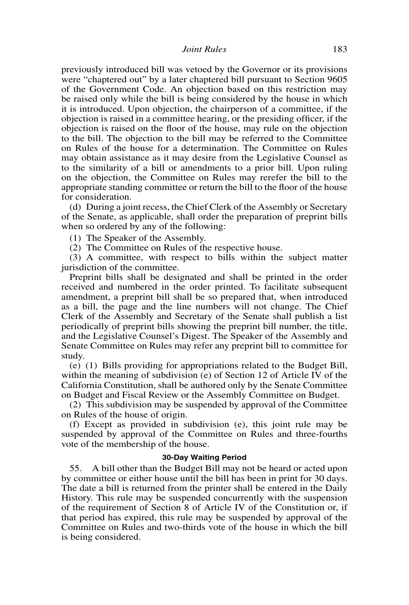previously introduced bill was vetoed by the Governor or its provisions were "chaptered out" by a later chaptered bill pursuant to Section 9605 of the Government Code. An objection based on this restriction may be raised only while the bill is being considered by the house in which it is introduced. Upon objection, the chairperson of a committee, if the objection is raised in a committee hearing, or the presiding officer, if the objection is raised on the floor of the house, may rule on the objection to the bill. The objection to the bill may be referred to the Committee on Rules of the house for a determination. The Committee on Rules may obtain assistance as it may desire from the Legislative Counsel as to the similarity of a bill or amendments to a prior bill. Upon ruling on the objection, the Committee on Rules may rerefer the bill to the appropriate standing committee or return the bill to the floor of the house for consideration.

(d) During a joint recess, the Chief Clerk of the Assembly or Secretary of the Senate, as applicable, shall order the preparation of preprint bills when so ordered by any of the following:

(1) The Speaker of the Assembly.

(2) The Committee on Rules of the respective house.

(3) A committee, with respect to bills within the subject matter jurisdiction of the committee.

Preprint bills shall be designated and shall be printed in the order received and numbered in the order printed. To facilitate subsequent amendment, a preprint bill shall be so prepared that, when introduced as a bill, the page and the line numbers will not change. The Chief Clerk of the Assembly and Secretary of the Senate shall publish a list periodically of preprint bills showing the preprint bill number, the title, and the Legislative Counsel's Digest. The Speaker of the Assembly and Senate Committee on Rules may refer any preprint bill to committee for study.

(e) (1) Bills providing for appropriations related to the Budget Bill, within the meaning of subdivision (e) of Section 12 of Article IV of the California Constitution, shall be authored only by the Senate Committee on Budget and Fiscal Review or the Assembly Committee on Budget.

(2) This subdivision may be suspended by approval of the Committee on Rules of the house of origin.

(f) Except as provided in subdivision (e), this joint rule may be suspended by approval of the Committee on Rules and three-fourths vote of the membership of the house.

#### **30-Day Waiting Period**

55. A bill other than the Budget Bill may not be heard or acted upon by committee or either house until the bill has been in print for 30 days. The date a bill is returned from the printer shall be entered in the Daily History. This rule may be suspended concurrently with the suspension of the requirement of Section 8 of Article IV of the Constitution or, if that period has expired, this rule may be suspended by approval of the Committee on Rules and two-thirds vote of the house in which the bill is being considered.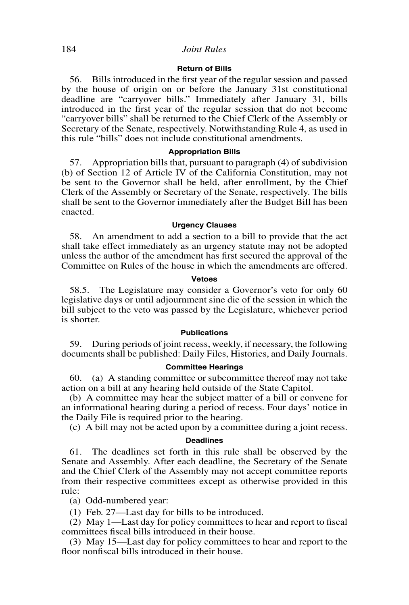## 184 *Joint Rules*

## **Return of Bills**

56. Bills introduced in the first year of the regular session and passed by the house of origin on or before the January 31st constitutional deadline are "carryover bills." Immediately after January 31, bills introduced in the first year of the regular session that do not become "carryover bills" shall be returned to the Chief Clerk of the Assembly or Secretary of the Senate, respectively. Notwithstanding Rule 4, as used in this rule "bills" does not include constitutional amendments.

#### **Appropriation Bills**

57. Appropriation bills that, pursuant to paragraph (4) of subdivision (b) of Section 12 of Article IV of the California Constitution, may not be sent to the Governor shall be held, after enrollment, by the Chief Clerk of the Assembly or Secretary of the Senate, respectively. The bills shall be sent to the Governor immediately after the Budget Bill has been enacted.

**Urgency Clauses** 

58. An amendment to add a section to a bill to provide that the act shall take effect immediately as an urgency statute may not be adopted unless the author of the amendment has first secured the approval of the Committee on Rules of the house in which the amendments are offered.

#### **Vetoes**

58.5. The Legislature may consider a Governor's veto for only 60 legislative days or until adjournment sine die of the session in which the bill subject to the veto was passed by the Legislature, whichever period is shorter.

#### **Publications**

59. During periods of joint recess, weekly, if necessary, the following documents shall be published: Daily Files, Histories, and Daily Journals.

# **Committee Hearings**

60. (a) A standing committee or subcommittee thereof may not take action on a bill at any hearing held outside of the State Capitol.

(b) A committee may hear the subject matter of a bill or convene for an informational hearing during a period of recess. Four days' notice in the Daily File is required prior to the hearing.

(c) A bill may not be acted upon by a committee during a joint recess.

## **Deadlines**

61. The deadlines set forth in this rule shall be observed by the Senate and Assembly. After each deadline, the Secretary of the Senate and the Chief Clerk of the Assembly may not accept committee reports from their respective committees except as otherwise provided in this rule:

(a) Odd-numbered year:

(1) Feb. 27—Last day for bills to be introduced.

(2) May 1—Last day for policy committees to hear and report to fiscal committees fiscal bills introduced in their house.

(3) May 15—Last day for policy committees to hear and report to the floor nonfiscal bills introduced in their house.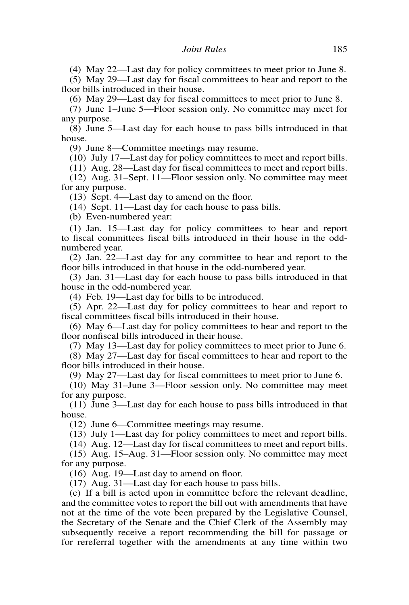(4) May 22—Last day for policy committees to meet prior to June 8.

(5) May 29—Last day for fiscal committees to hear and report to the floor bills introduced in their house.

(6) May 29—Last day for fiscal committees to meet prior to June 8.

(7) June 1–June 5—Floor session only. No committee may meet for any purpose.

(8) June 5—Last day for each house to pass bills introduced in that house.

(9) June 8—Committee meetings may resume.

(10) July 17—Last day for policy committees to meet and report bills.

(11) Aug. 28—Last day for fiscal committees to meet and report bills.

(12) Aug. 31–Sept. 11—Floor session only. No committee may meet for any purpose.

 $(13)$  Sept. 4—Last day to amend on the floor.

(14) Sept. 11—Last day for each house to pass bills.

(b) Even-numbered year:

(1) Jan. 15—Last day for policy committees to hear and report to fiscal committees fiscal bills introduced in their house in the oddnumbered year.

(2) Jan. 22—Last day for any committee to hear and report to the floor bills introduced in that house in the odd-numbered year.

(3) Jan. 31—Last day for each house to pass bills introduced in that house in the odd-numbered year.

(4) Feb. 19—Last day for bills to be introduced.

(5) Apr. 22—Last day for policy committees to hear and report to fiscal committees fiscal bills introduced in their house.

(6) May 6—Last day for policy committees to hear and report to the floor nonfiscal bills introduced in their house.

(7) May 13—Last day for policy committees to meet prior to June 6.

(8) May 27—Last day for fiscal committees to hear and report to the floor bills introduced in their house.

(9) May 27—Last day for fiscal committees to meet prior to June 6.

(10) May 31–June 3—Floor session only. No committee may meet for any purpose.

(11) June 3—Last day for each house to pass bills introduced in that house.

(12) June 6—Committee meetings may resume.

(13) July 1—Last day for policy committees to meet and report bills.

(14) Aug. 12—Last day for fiscal committees to meet and report bills.

(15) Aug. 15–Aug. 31—Floor session only. No committee may meet for any purpose.

 $(16)$  Aug. 19—Last day to amend on floor.

(17) Aug. 31—Last day for each house to pass bills.

(c) If a bill is acted upon in committee before the relevant deadline, and the committee votes to report the bill out with amendments that have not at the time of the vote been prepared by the Legislative Counsel, the Secretary of the Senate and the Chief Clerk of the Assembly may subsequently receive a report recommending the bill for passage or for rereferral together with the amendments at any time within two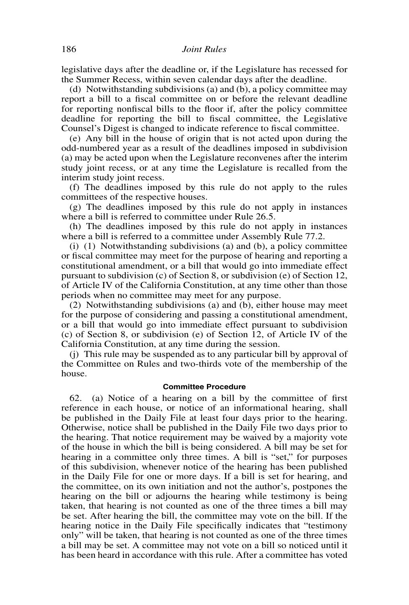legislative days after the deadline or, if the Legislature has recessed for the Summer Recess, within seven calendar days after the deadline.

(d) Notwithstanding subdivisions (a) and (b), a policy committee may report a bill to a fiscal committee on or before the relevant deadline for reporting nonfiscal bills to the floor if, after the policy committee deadline for reporting the bill to fiscal committee, the Legislative Counsel's Digest is changed to indicate reference to fiscal committee.

(e) Any bill in the house of origin that is not acted upon during the odd-numbered year as a result of the deadlines imposed in subdivision (a) may be acted upon when the Legislature reconvenes after the interim study joint recess, or at any time the Legislature is recalled from the interim study joint recess.

(f) The deadlines imposed by this rule do not apply to the rules committees of the respective houses.

(g) The deadlines imposed by this rule do not apply in instances where a bill is referred to committee under Rule 26.5.

(h) The deadlines imposed by this rule do not apply in instances where a bill is referred to a committee under Assembly Rule 77.2.

(i) (1) Notwithstanding subdivisions (a) and (b), a policy committee or fiscal committee may meet for the purpose of hearing and reporting a constitutional amendment, or a bill that would go into immediate effect pursuant to subdivision (c) of Section 8, or subdivision (e) of Section 12, of Article IV of the California Constitution, at any time other than those periods when no committee may meet for any purpose.

(2) Notwithstanding subdivisions (a) and (b), either house may meet for the purpose of considering and passing a constitutional amendment, or a bill that would go into immediate effect pursuant to subdivision (c) of Section 8, or subdivision (e) of Section 12, of Article IV of the California Constitution, at any time during the session.

(j) This rule may be suspended as to any particular bill by approval of the Committee on Rules and two-thirds vote of the membership of the house.

#### **Committee Procedure**

62. (a) Notice of a hearing on a bill by the committee of first reference in each house, or notice of an informational hearing, shall be published in the Daily File at least four days prior to the hearing. Otherwise, notice shall be published in the Daily File two days prior to the hearing. That notice requirement may be waived by a majority vote of the house in which the bill is being considered. A bill may be set for hearing in a committee only three times. A bill is "set," for purposes of this subdivision, whenever notice of the hearing has been published in the Daily File for one or more days. If a bill is set for hearing, and the committee, on its own initiation and not the author's, postpones the hearing on the bill or adjourns the hearing while testimony is being taken, that hearing is not counted as one of the three times a bill may be set. After hearing the bill, the committee may vote on the bill. If the hearing notice in the Daily File specifically indicates that "testimony" only" will be taken, that hearing is not counted as one of the three times a bill may be set. A committee may not vote on a bill so noticed until it has been heard in accordance with this rule. After a committee has voted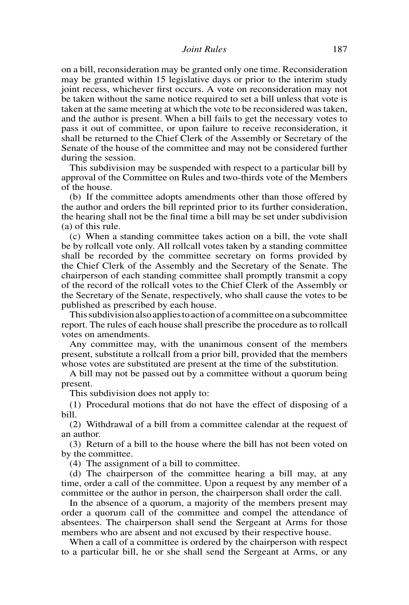on a bill, reconsideration may be granted only one time. Reconsideration may be granted within 15 legislative days or prior to the interim study joint recess, whichever first occurs. A vote on reconsideration may not be taken without the same notice required to set a bill unless that vote is taken at the same meeting at which the vote to be reconsidered was taken, and the author is present. When a bill fails to get the necessary votes to pass it out of committee, or upon failure to receive reconsideration, it shall be returned to the Chief Clerk of the Assembly or Secretary of the Senate of the house of the committee and may not be considered further during the session.

This subdivision may be suspended with respect to a particular bill by approval of the Committee on Rules and two-thirds vote of the Members of the house.

(b) If the committee adopts amendments other than those offered by the author and orders the bill reprinted prior to its further consideration, the hearing shall not be the final time a bill may be set under subdivision (a) of this rule.

(c) When a standing committee takes action on a bill, the vote shall be by rollcall vote only. All rollcall votes taken by a standing committee shall be recorded by the committee secretary on forms provided by the Chief Clerk of the Assembly and the Secretary of the Senate. The chairperson of each standing committee shall promptly transmit a copy of the record of the rollcall votes to the Chief Clerk of the Assembly or the Secretary of the Senate, respectively, who shall cause the votes to be published as prescribed by each house.

This subdivision also applies to action of a committee on a subcommittee report. The rules of each house shall prescribe the procedure as to rollcall votes on amendments.

Any committee may, with the unanimous consent of the members present, substitute a rollcall from a prior bill, provided that the members whose votes are substituted are present at the time of the substitution.

A bill may not be passed out by a committee without a quorum being present.

This subdivision does not apply to:

(1) Procedural motions that do not have the effect of disposing of a bill.

(2) Withdrawal of a bill from a committee calendar at the request of an author.

(3) Return of a bill to the house where the bill has not been voted on by the committee.

(4) The assignment of a bill to committee.

(d) The chairperson of the committee hearing a bill may, at any time, order a call of the committee. Upon a request by any member of a committee or the author in person, the chairperson shall order the call.

In the absence of a quorum, a majority of the members present may order a quorum call of the committee and compel the attendance of absentees. The chairperson shall send the Sergeant at Arms for those members who are absent and not excused by their respective house.

When a call of a committee is ordered by the chairperson with respect to a particular bill, he or she shall send the Sergeant at Arms, or any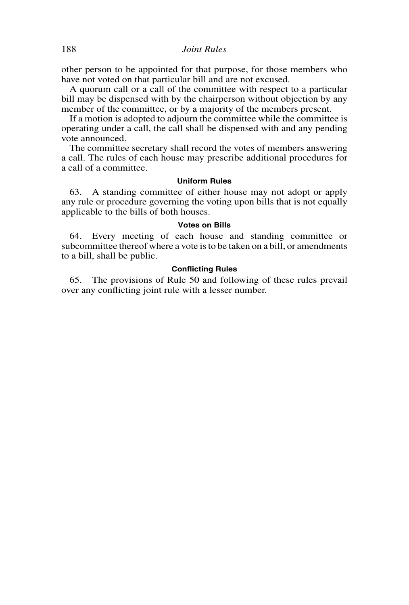other person to be appointed for that purpose, for those members who have not voted on that particular bill and are not excused.

A quorum call or a call of the committee with respect to a particular bill may be dispensed with by the chairperson without objection by any member of the committee, or by a majority of the members present.

If a motion is adopted to adjourn the committee while the committee is operating under a call, the call shall be dispensed with and any pending vote announced.

The committee secretary shall record the votes of members answering a call. The rules of each house may prescribe additional procedures for a call of a committee.

## **Uniform Rules**

63. A standing committee of either house may not adopt or apply any rule or procedure governing the voting upon bills that is not equally applicable to the bills of both houses.

#### **Votes on Bills**

64. Every meeting of each house and standing committee or subcommittee thereof where a vote is to be taken on a bill, or amendments to a bill, shall be public.

## **Conflicting Rules**

65. The provisions of Rule 50 and following of these rules prevail over any conflicting joint rule with a lesser number.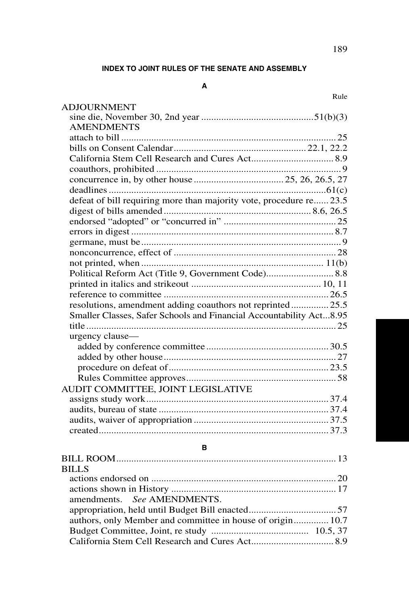# **INDEX TO JOINT RULES OF THE SENATE AND ASSEMBLY**

# **A**

| Rule                                                                |
|---------------------------------------------------------------------|
| <b>ADJOURNMENT</b>                                                  |
|                                                                     |
| <b>AMENDMENTS</b>                                                   |
|                                                                     |
|                                                                     |
|                                                                     |
|                                                                     |
|                                                                     |
|                                                                     |
| defeat of bill requiring more than majority vote, procedure re 23.5 |
|                                                                     |
|                                                                     |
|                                                                     |
|                                                                     |
|                                                                     |
|                                                                     |
|                                                                     |
|                                                                     |
|                                                                     |
| resolutions, amendment adding coauthors not reprinted 25.5          |
| Smaller Classes, Safer Schools and Financial Accountability Act8.95 |
|                                                                     |
| urgency clause-                                                     |
|                                                                     |
|                                                                     |
|                                                                     |
|                                                                     |
| AUDIT COMMITTEE, JOINT LEGISLATIVE                                  |
|                                                                     |
|                                                                     |
|                                                                     |
|                                                                     |
|                                                                     |
| B                                                                   |
|                                                                     |
| <b>BILLS</b>                                                        |
|                                                                     |
|                                                                     |
| amendments. See AMENDMENTS.                                         |
|                                                                     |
| authors, only Member and committee in house of origin 10.7          |

Budget Committee, Joint, re study ....................................... 10.5, 37 California Stem Cell Research and Cures Act ................................. 8.9

189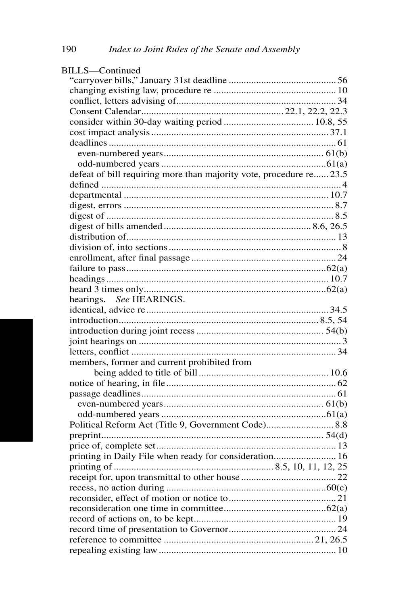| <b>BILLS-Continued</b>                                              |  |
|---------------------------------------------------------------------|--|
|                                                                     |  |
|                                                                     |  |
|                                                                     |  |
|                                                                     |  |
|                                                                     |  |
|                                                                     |  |
|                                                                     |  |
|                                                                     |  |
|                                                                     |  |
| defeat of bill requiring more than majority vote, procedure re 23.5 |  |
|                                                                     |  |
|                                                                     |  |
|                                                                     |  |
|                                                                     |  |
|                                                                     |  |
|                                                                     |  |
|                                                                     |  |
|                                                                     |  |
|                                                                     |  |
|                                                                     |  |
|                                                                     |  |
| hearings. See HEARINGS.                                             |  |
|                                                                     |  |
|                                                                     |  |
|                                                                     |  |
|                                                                     |  |
|                                                                     |  |
| members, former and current prohibited from                         |  |
|                                                                     |  |
|                                                                     |  |
|                                                                     |  |
|                                                                     |  |
|                                                                     |  |
|                                                                     |  |
|                                                                     |  |
| printing in Daily File when ready for consideration 16              |  |
|                                                                     |  |
|                                                                     |  |
|                                                                     |  |
|                                                                     |  |
|                                                                     |  |
|                                                                     |  |
|                                                                     |  |
|                                                                     |  |
|                                                                     |  |
|                                                                     |  |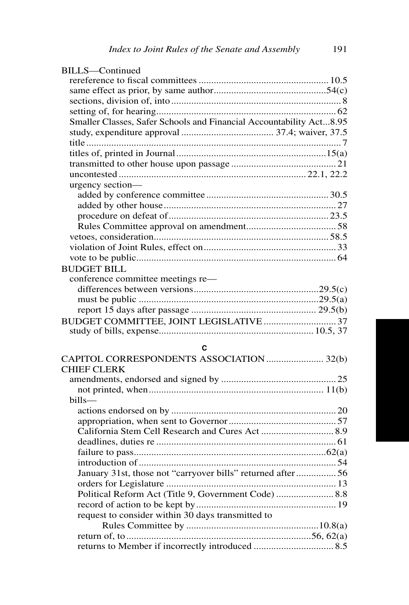| <b>BILLS-Continued</b>                                              |  |
|---------------------------------------------------------------------|--|
|                                                                     |  |
|                                                                     |  |
|                                                                     |  |
|                                                                     |  |
| Smaller Classes, Safer Schools and Financial Accountability Act8.95 |  |
|                                                                     |  |
|                                                                     |  |
|                                                                     |  |
|                                                                     |  |
|                                                                     |  |
| urgency section-                                                    |  |
|                                                                     |  |
|                                                                     |  |
|                                                                     |  |
|                                                                     |  |
|                                                                     |  |
|                                                                     |  |
|                                                                     |  |
| <b>BUDGET BILL</b>                                                  |  |
| conference committee meetings re-                                   |  |
|                                                                     |  |
|                                                                     |  |
|                                                                     |  |
| BUDGET COMMITTEE, JOINT LEGISLATIVE  37                             |  |
|                                                                     |  |
|                                                                     |  |
| C                                                                   |  |
| CAPITOL CORRESPONDENTS ASSOCIATION  32(b)                           |  |
| <b>CHIEF CLERK</b>                                                  |  |
|                                                                     |  |
|                                                                     |  |
| bills—                                                              |  |
|                                                                     |  |
|                                                                     |  |
|                                                                     |  |
|                                                                     |  |
|                                                                     |  |
|                                                                     |  |
| January 31st, those not "carryover bills" returned after  56        |  |
|                                                                     |  |
| Political Reform Act (Title 9, Government Code)  8.8                |  |
|                                                                     |  |
| request to consider within 30 days transmitted to                   |  |
|                                                                     |  |
|                                                                     |  |
|                                                                     |  |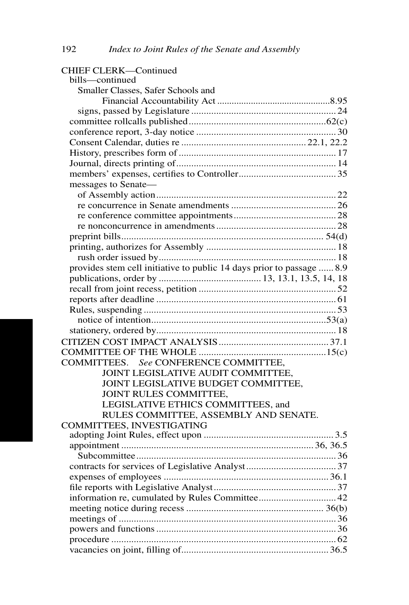| CHIEF CLERK-Continued                                                 |  |
|-----------------------------------------------------------------------|--|
| bills-continued                                                       |  |
| Smaller Classes, Safer Schools and                                    |  |
|                                                                       |  |
|                                                                       |  |
|                                                                       |  |
|                                                                       |  |
|                                                                       |  |
|                                                                       |  |
|                                                                       |  |
|                                                                       |  |
| messages to Senate-                                                   |  |
|                                                                       |  |
|                                                                       |  |
|                                                                       |  |
|                                                                       |  |
|                                                                       |  |
|                                                                       |  |
|                                                                       |  |
| provides stem cell initiative to public 14 days prior to passage  8.9 |  |
|                                                                       |  |
|                                                                       |  |
|                                                                       |  |
|                                                                       |  |
|                                                                       |  |
|                                                                       |  |
|                                                                       |  |
|                                                                       |  |
| COMMITTEES. See CONFERENCE COMMITTEE,                                 |  |
| JOINT LEGISLATIVE AUDIT COMMITTEE,                                    |  |
| JOINT LEGISLATIVE BUDGET COMMITTEE,                                   |  |
| JOINT RULES COMMITTEE,                                                |  |
| LEGISLATIVE ETHICS COMMITTEES, and                                    |  |
| RULES COMMITTEE, ASSEMBLY AND SENATE.                                 |  |
| COMMITTEES, INVESTIGATING                                             |  |
|                                                                       |  |
|                                                                       |  |
|                                                                       |  |
|                                                                       |  |
|                                                                       |  |
|                                                                       |  |
|                                                                       |  |
|                                                                       |  |
|                                                                       |  |
|                                                                       |  |
|                                                                       |  |
|                                                                       |  |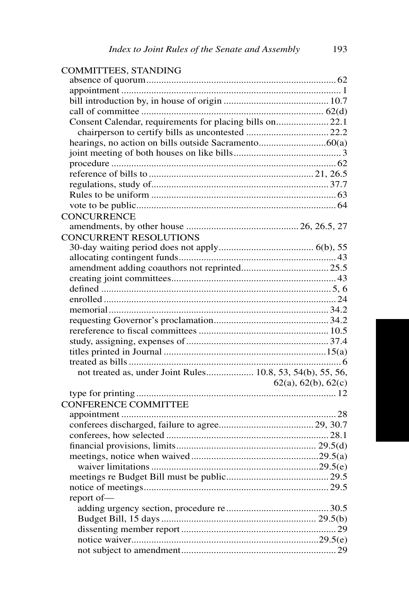| COMMITTEES, STANDING                                       |                             |
|------------------------------------------------------------|-----------------------------|
|                                                            |                             |
|                                                            |                             |
|                                                            |                             |
|                                                            |                             |
| Consent Calendar, requirements for placing bills on 22.1   |                             |
|                                                            |                             |
|                                                            |                             |
|                                                            |                             |
|                                                            |                             |
|                                                            |                             |
|                                                            |                             |
|                                                            |                             |
|                                                            |                             |
| <b>CONCURRENCE</b>                                         |                             |
|                                                            |                             |
| <b>CONCURRENT RESOLUTIONS</b>                              |                             |
|                                                            |                             |
|                                                            |                             |
|                                                            |                             |
|                                                            |                             |
|                                                            |                             |
|                                                            |                             |
|                                                            |                             |
|                                                            |                             |
|                                                            |                             |
|                                                            |                             |
|                                                            |                             |
|                                                            |                             |
| not treated as, under Joint Rules 10.8, 53, 54(b), 55, 56, |                             |
|                                                            | $62(a)$ , $62(b)$ , $62(c)$ |
|                                                            |                             |
| <b>CONFERENCE COMMITTEE</b>                                |                             |
|                                                            |                             |
|                                                            |                             |
|                                                            |                             |
|                                                            |                             |
|                                                            |                             |
|                                                            |                             |
|                                                            |                             |
|                                                            |                             |
| report of-                                                 |                             |
|                                                            |                             |
|                                                            |                             |
|                                                            |                             |
|                                                            |                             |
|                                                            |                             |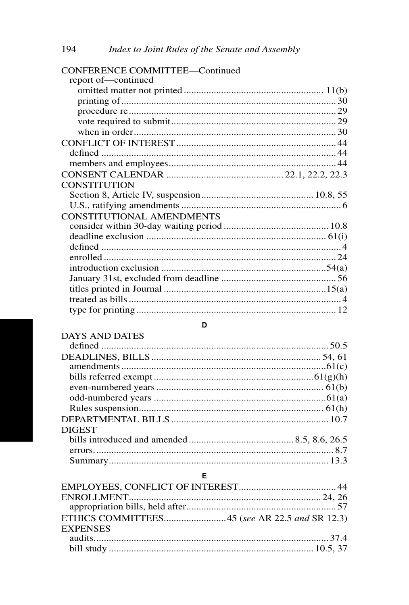| <b>CONFERENCE COMMITTEE-Continued</b> |  |
|---------------------------------------|--|
| report of-continued                   |  |
|                                       |  |
|                                       |  |
|                                       |  |
|                                       |  |
|                                       |  |
|                                       |  |
|                                       |  |
|                                       |  |
|                                       |  |
| <b>CONSTITUTION</b>                   |  |
|                                       |  |
|                                       |  |
| <b>CONSTITUTIONAL AMENDMENTS</b>      |  |
|                                       |  |
|                                       |  |
|                                       |  |
|                                       |  |
|                                       |  |
|                                       |  |
|                                       |  |
|                                       |  |
|                                       |  |
|                                       |  |

# DAYS AND DATES

| <b>DIGEST</b> |  |
|---------------|--|
|               |  |
|               |  |
|               |  |
|               |  |

D

# E.

| ETHICS COMMITTEES 45 (see AR 22.5 and SR 12.3) |  |
|------------------------------------------------|--|
| <b>EXPENSES</b>                                |  |
|                                                |  |
|                                                |  |
|                                                |  |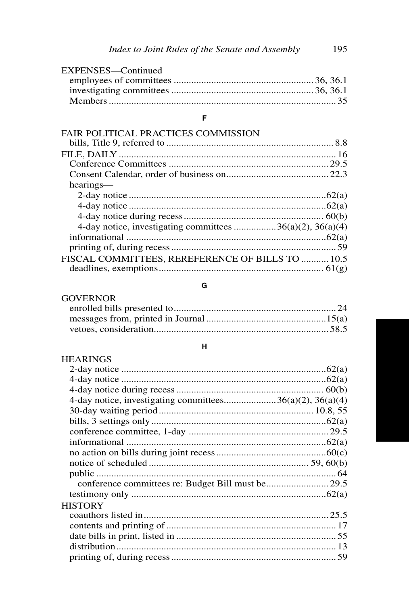| EXPENSES—Continued |  |
|--------------------|--|
|                    |  |
|                    |  |
|                    |  |
|                    |  |

# $\mathsf F$

| <b>FAIR POLITICAL PRACTICES COMMISSION</b>                  |  |
|-------------------------------------------------------------|--|
|                                                             |  |
|                                                             |  |
|                                                             |  |
| hearings—                                                   |  |
|                                                             |  |
|                                                             |  |
|                                                             |  |
| 4-day notice, investigating committees 36(a)(2), $36(a)(4)$ |  |
|                                                             |  |
|                                                             |  |
| FISCAL COMMITTEES, REREFERENCE OF BILLS TO  10.5            |  |

# G

# **GOVERNOR**

# $H$

| <b>HEARINGS</b>                                          |  |
|----------------------------------------------------------|--|
|                                                          |  |
|                                                          |  |
|                                                          |  |
| 4-day notice, investigating committees36(a)(2), 36(a)(4) |  |
|                                                          |  |
|                                                          |  |
|                                                          |  |
|                                                          |  |
|                                                          |  |
|                                                          |  |
|                                                          |  |
| conference committees re: Budget Bill must be29.5        |  |
|                                                          |  |
| <b>HISTORY</b>                                           |  |
|                                                          |  |
|                                                          |  |
|                                                          |  |
|                                                          |  |
|                                                          |  |
|                                                          |  |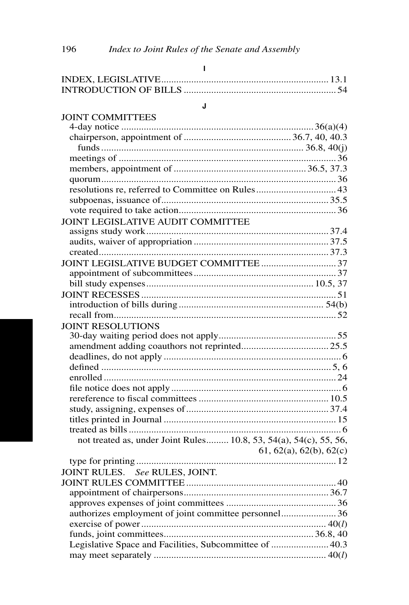# $\mathsf{J}$

| <b>JOINT COMMITTEES</b>                                           |  |
|-------------------------------------------------------------------|--|
|                                                                   |  |
|                                                                   |  |
|                                                                   |  |
|                                                                   |  |
|                                                                   |  |
|                                                                   |  |
| resolutions re, referred to Committee on Rules 43                 |  |
|                                                                   |  |
|                                                                   |  |
| JOINT LEGISLATIVE AUDIT COMMITTEE                                 |  |
|                                                                   |  |
|                                                                   |  |
|                                                                   |  |
|                                                                   |  |
|                                                                   |  |
|                                                                   |  |
|                                                                   |  |
|                                                                   |  |
|                                                                   |  |
| <b>JOINT RESOLUTIONS</b>                                          |  |
|                                                                   |  |
|                                                                   |  |
|                                                                   |  |
|                                                                   |  |
|                                                                   |  |
|                                                                   |  |
|                                                                   |  |
|                                                                   |  |
|                                                                   |  |
|                                                                   |  |
| not treated as, under Joint Rules 10.8, 53, 54(a), 54(c), 55, 56, |  |
| 61, 62(a), 62(b), 62(c)                                           |  |
|                                                                   |  |
| JOINT RULES. See RULES, JOINT.                                    |  |
|                                                                   |  |
|                                                                   |  |
|                                                                   |  |
| authorizes employment of joint committee personnel 36             |  |
|                                                                   |  |
|                                                                   |  |
| Legislative Space and Facilities, Subcommittee of  40.3           |  |
|                                                                   |  |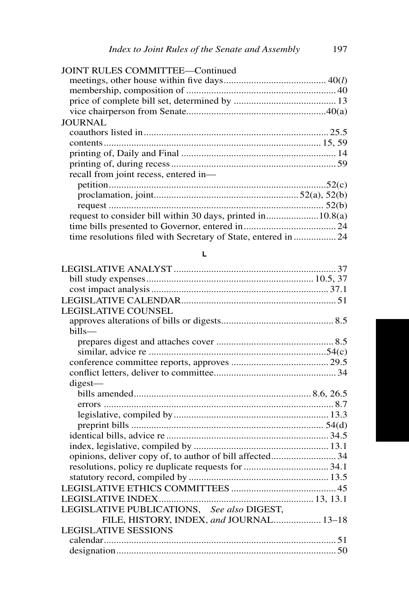| <b>JOINT RULES COMMITTEE—Continued</b> |  |
|----------------------------------------|--|
|                                        |  |
|                                        |  |
|                                        |  |
|                                        |  |
| <b>JOURNAL</b>                         |  |
|                                        |  |
|                                        |  |
|                                        |  |
|                                        |  |
| recall from joint recess, entered in-  |  |
|                                        |  |
|                                        |  |
|                                        |  |
|                                        |  |
|                                        |  |
|                                        |  |

# **L**

| <b>LEGISLATIVE COUNSEL</b>                               |  |
|----------------------------------------------------------|--|
|                                                          |  |
| $b$ ills—                                                |  |
|                                                          |  |
|                                                          |  |
|                                                          |  |
|                                                          |  |
| $digest$ —                                               |  |
|                                                          |  |
|                                                          |  |
|                                                          |  |
|                                                          |  |
|                                                          |  |
|                                                          |  |
| opinions, deliver copy of, to author of bill affected 34 |  |
|                                                          |  |
|                                                          |  |
|                                                          |  |
|                                                          |  |
| LEGISLATIVE PUBLICATIONS, See also DIGEST,               |  |
| FILE, HISTORY, INDEX, and JOURNAL 13-18                  |  |
| <b>LEGISLATIVE SESSIONS</b>                              |  |
|                                                          |  |
|                                                          |  |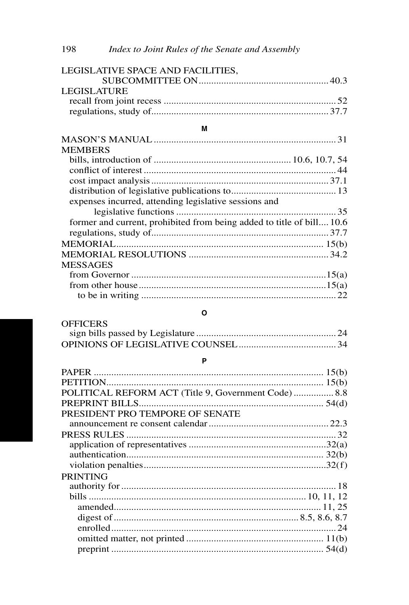| LEGISLATIVE SPACE AND FACILITIES,                                     |  |
|-----------------------------------------------------------------------|--|
|                                                                       |  |
| LEGISLATURE                                                           |  |
|                                                                       |  |
|                                                                       |  |
| м                                                                     |  |
|                                                                       |  |
| <b>MEMBERS</b>                                                        |  |
|                                                                       |  |
|                                                                       |  |
|                                                                       |  |
|                                                                       |  |
| expenses incurred, attending legislative sessions and                 |  |
|                                                                       |  |
| former and current, prohibited from being added to title of bill 10.6 |  |
|                                                                       |  |
|                                                                       |  |
|                                                                       |  |
| <b>MESSAGES</b>                                                       |  |
|                                                                       |  |
|                                                                       |  |
|                                                                       |  |
|                                                                       |  |

# $\circ$

| <b>OFFICERS</b> |  |
|-----------------|--|
|                 |  |
|                 |  |

# $\mathsf P$

| POLITICAL REFORM ACT (Title 9, Government Code)  8.8 |  |
|------------------------------------------------------|--|
|                                                      |  |
| PRESIDENT PRO TEMPORE OF SENATE                      |  |
|                                                      |  |
|                                                      |  |
|                                                      |  |
|                                                      |  |
|                                                      |  |
| <b>PRINTING</b>                                      |  |
|                                                      |  |
|                                                      |  |
|                                                      |  |
|                                                      |  |
|                                                      |  |
|                                                      |  |
|                                                      |  |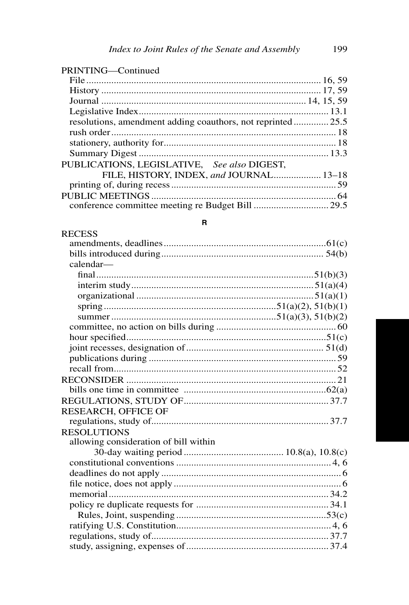| PRINTING—Continued                                          |  |
|-------------------------------------------------------------|--|
|                                                             |  |
|                                                             |  |
|                                                             |  |
|                                                             |  |
| resolutions, amendment adding coauthors, not reprinted 25.5 |  |
|                                                             |  |
|                                                             |  |
|                                                             |  |
| PUBLICATIONS, LEGISLATIVE, See also DIGEST,                 |  |
| FILE, HISTORY, INDEX, and JOURNAL 13–18                     |  |
|                                                             |  |
|                                                             |  |
|                                                             |  |

# $\boldsymbol{\mathsf{R}}$

| <b>RECESS</b>                         |  |
|---------------------------------------|--|
|                                       |  |
|                                       |  |
| calendar-                             |  |
|                                       |  |
|                                       |  |
|                                       |  |
|                                       |  |
|                                       |  |
|                                       |  |
|                                       |  |
|                                       |  |
|                                       |  |
|                                       |  |
|                                       |  |
|                                       |  |
|                                       |  |
| <b>RESEARCH, OFFICE OF</b>            |  |
|                                       |  |
| <b>RESOLUTIONS</b>                    |  |
| allowing consideration of bill within |  |
|                                       |  |
|                                       |  |
|                                       |  |
|                                       |  |
|                                       |  |
|                                       |  |
|                                       |  |
|                                       |  |
|                                       |  |
|                                       |  |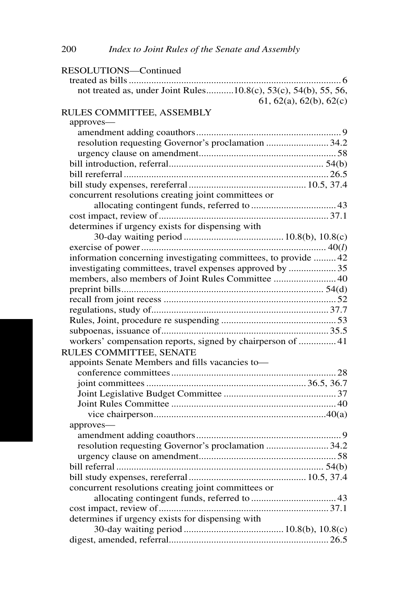| RESOLUTIONS-Continued                                           |
|-----------------------------------------------------------------|
|                                                                 |
| not treated as, under Joint Rules10.8(c), 53(c), 54(b), 55, 56, |
| 61, 62(a), 62(b), 62(c)                                         |
| RULES COMMITTEE, ASSEMBLY                                       |
| approves-                                                       |
|                                                                 |
| resolution requesting Governor's proclamation 34.2              |
|                                                                 |
|                                                                 |
|                                                                 |
|                                                                 |
| concurrent resolutions creating joint committees or             |
|                                                                 |
|                                                                 |
|                                                                 |
| determines if urgency exists for dispensing with                |
|                                                                 |
|                                                                 |
| information concerning investigating committees, to provide  42 |
| investigating committees, travel expenses approved by 35        |
| members, also members of Joint Rules Committee  40              |
|                                                                 |
|                                                                 |
|                                                                 |
|                                                                 |
|                                                                 |
| workers' compensation reports, signed by chairperson of  41     |
| RULES COMMITTEE, SENATE                                         |
| appoints Senate Members and fills vacancies to-                 |
|                                                                 |
|                                                                 |
|                                                                 |
|                                                                 |
|                                                                 |
| approves-                                                       |
|                                                                 |
| resolution requesting Governor's proclamation 34.2              |
|                                                                 |
|                                                                 |
|                                                                 |
| concurrent resolutions creating joint committees or             |
|                                                                 |
|                                                                 |
| determines if urgency exists for dispensing with                |
|                                                                 |
|                                                                 |
|                                                                 |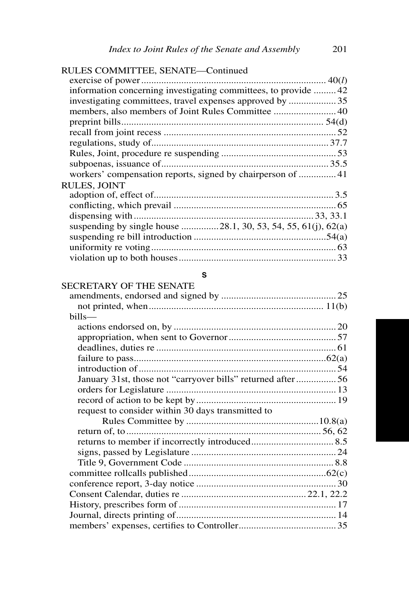# RULES COMMITTEE, SENATE—Continued

| information concerning investigating committees, to provide 42 |  |
|----------------------------------------------------------------|--|
| investigating committees, travel expenses approved by 35       |  |
|                                                                |  |
|                                                                |  |
|                                                                |  |
|                                                                |  |
|                                                                |  |
|                                                                |  |
|                                                                |  |
| RULES. JOINT                                                   |  |
|                                                                |  |
|                                                                |  |
|                                                                |  |
|                                                                |  |
|                                                                |  |
|                                                                |  |
|                                                                |  |
|                                                                |  |

# **S**

| <b>SECRETARY OF THE SENATE</b>                              |  |
|-------------------------------------------------------------|--|
|                                                             |  |
|                                                             |  |
| $bills$ —                                                   |  |
|                                                             |  |
|                                                             |  |
|                                                             |  |
|                                                             |  |
|                                                             |  |
| January 31st, those not "carryover bills" returned after 56 |  |
|                                                             |  |
|                                                             |  |
| request to consider within 30 days transmitted to           |  |
|                                                             |  |
|                                                             |  |
|                                                             |  |
|                                                             |  |
|                                                             |  |
|                                                             |  |
|                                                             |  |
|                                                             |  |
|                                                             |  |
|                                                             |  |
|                                                             |  |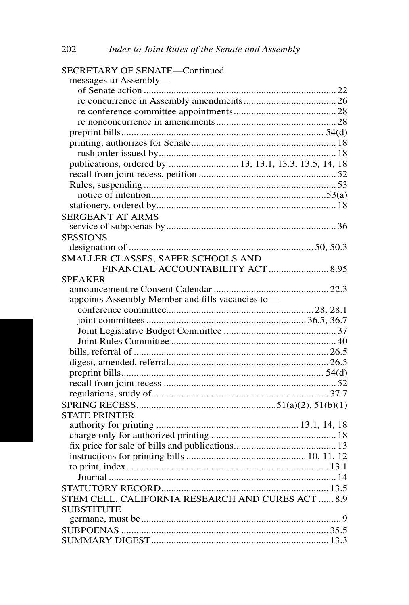| <b>SECRETARY OF SENATE-Continued</b>                   |  |
|--------------------------------------------------------|--|
| messages to Assembly-                                  |  |
|                                                        |  |
|                                                        |  |
|                                                        |  |
|                                                        |  |
|                                                        |  |
|                                                        |  |
|                                                        |  |
| publications, ordered by  13, 13.1, 13.3, 13.5, 14, 18 |  |
|                                                        |  |
|                                                        |  |
|                                                        |  |
|                                                        |  |
| <b>SERGEANT AT ARMS</b>                                |  |
|                                                        |  |
| <b>SESSIONS</b>                                        |  |
|                                                        |  |
| SMALLER CLASSES, SAFER SCHOOLS AND                     |  |
| FINANCIAL ACCOUNTABILITY ACT  8.95                     |  |
| <b>SPEAKER</b>                                         |  |
|                                                        |  |
| appoints Assembly Member and fills vacancies to-       |  |
|                                                        |  |
|                                                        |  |
|                                                        |  |
|                                                        |  |
|                                                        |  |
|                                                        |  |
|                                                        |  |
|                                                        |  |
|                                                        |  |
|                                                        |  |
| <b>STATE PRINTER</b>                                   |  |
|                                                        |  |
|                                                        |  |
|                                                        |  |
|                                                        |  |
|                                                        |  |
|                                                        |  |
|                                                        |  |
| STEM CELL, CALIFORNIA RESEARCH AND CURES ACT  8.9      |  |
| <b>SUBSTITUTE</b>                                      |  |
|                                                        |  |
|                                                        |  |
|                                                        |  |
|                                                        |  |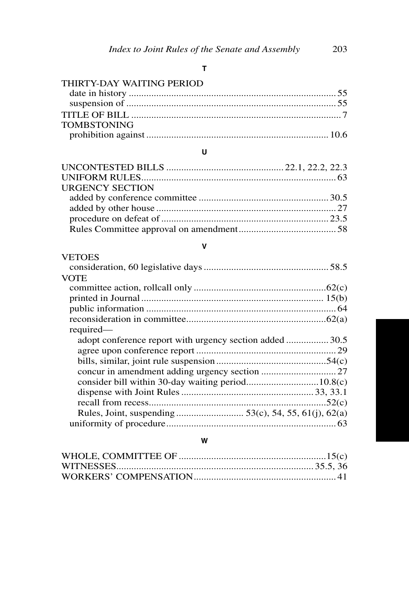# **T**

# THIRTY-DAY WAITING PERIOD

| <b>TOMBSTONING</b> |  |
|--------------------|--|
|                    |  |

# **U**

| <b>URGENCY SECTION</b> |  |
|------------------------|--|
|                        |  |
|                        |  |
|                        |  |
|                        |  |

# **V**

| <b>VETOES</b>                                            |  |
|----------------------------------------------------------|--|
|                                                          |  |
| <b>VOTE</b>                                              |  |
|                                                          |  |
|                                                          |  |
|                                                          |  |
|                                                          |  |
| required—                                                |  |
| adopt conference report with urgency section added  30.5 |  |
|                                                          |  |
|                                                          |  |
|                                                          |  |
| consider bill within 30-day waiting period10.8(c)        |  |
|                                                          |  |
|                                                          |  |
|                                                          |  |
|                                                          |  |

#### **W**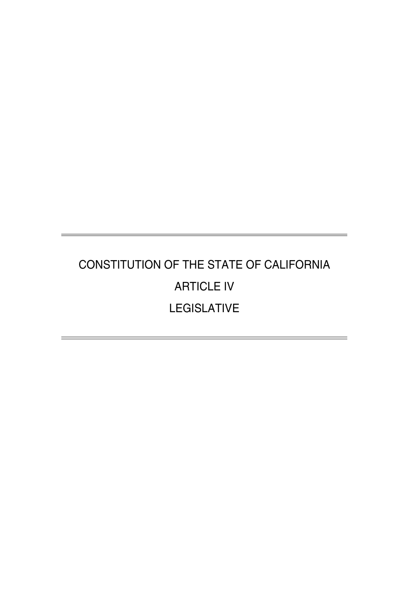# CONSTITUTION OF THE STATE OF CALIFORNIA ARTICLE IV LEGISLATIVE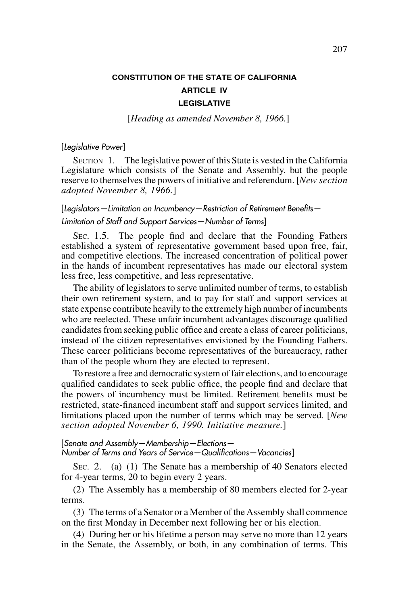# **CONSTITUTION OF THE STATE OF CALIFORNIA ARTICLE IV LEGISLATIVE**

[*Heading as amended November 8, 1966.*]

## [*Legislative Power* ]

SECTION 1. The legislative power of this State is vested in the California Legislature which consists of the Senate and Assembly, but the people reserve to themselves the powers of initiative and referendum. [*New section adopted November 8, 1966.*]

# [Legislators-Limitation on Incumbency-Restriction of Retirement Benefits-

## *Limitation of Staff and Support Services—Number of Terms*]

SEC. 1.5. The people find and declare that the Founding Fathers established a system of representative government based upon free, fair, and competitive elections. The increased concentration of political power in the hands of incumbent representatives has made our electoral system less free, less competitive, and less representative.

The ability of legislators to serve unlimited number of terms, to establish their own retirement system, and to pay for staff and support services at state expense contribute heavily to the extremely high number of incumbents who are reelected. These unfair incumbent advantages discourage qualified candidates from seeking public office and create a class of career politicians, instead of the citizen representatives envisioned by the Founding Fathers. These career politicians become representatives of the bureaucracy, rather than of the people whom they are elected to represent.

To restore a free and democratic system of fair elections, and to encourage qualified candidates to seek public office, the people find and declare that the powers of incumbency must be limited. Retirement benefits must be restricted, state-financed incumbent staff and support services limited, and limitations placed upon the number of terms which may be served. [*New section adopted November 6, 1990. Initiative measure.*]

[*Senate and Assembly—Membership—Elections— Number of Terms and Years of Service—Qualifications—Vacancies*]

SEC. 2. (a) (1) The Senate has a membership of 40 Senators elected for 4-year terms, 20 to begin every 2 years.

(2) The Assembly has a membership of 80 members elected for 2-year terms.

(3) The terms of a Senator or a Member of the Assembly shall commence on the first Monday in December next following her or his election.

(4) During her or his lifetime a person may serve no more than 12 years in the Senate, the Assembly, or both, in any combination of terms. This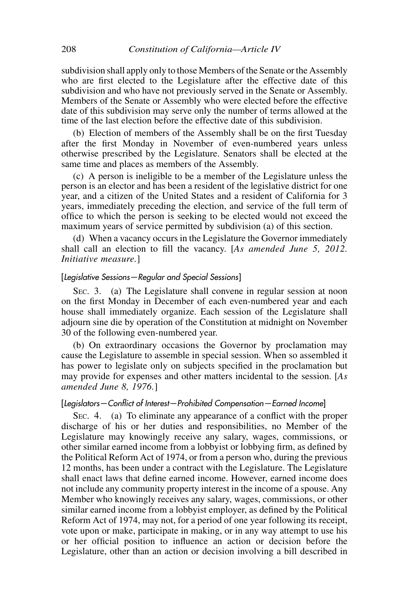subdivision shall apply only to those Members of the Senate or the Assembly who are first elected to the Legislature after the effective date of this subdivision and who have not previously served in the Senate or Assembly. Members of the Senate or Assembly who were elected before the effective date of this subdivision may serve only the number of terms allowed at the time of the last election before the effective date of this subdivision.

(b) Election of members of the Assembly shall be on the first Tuesday after the first Monday in November of even-numbered years unless otherwise prescribed by the Legislature. Senators shall be elected at the same time and places as members of the Assembly.

(c) A person is ineligible to be a member of the Legislature unless the person is an elector and has been a resident of the legislative district for one year, and a citizen of the United States and a resident of California for 3 years, immediately preceding the election, and service of the full term of office to which the person is seeking to be elected would not exceed the maximum years of service permitted by subdivision (a) of this section.

(d) When a vacancy occurs in the Legislature the Governor immediately shall call an election to fill the vacancy. [As amended June 5, 2012. *Initiative measure.*]

## [*Legislative Sessions—Regular and Special Sessions* ]

SEC. 3. (a) The Legislature shall convene in regular session at noon on the first Monday in December of each even-numbered year and each house shall immediately organize. Each session of the Legislature shall adjourn sine die by operation of the Constitution at midnight on November 30 of the following even-numbered year.

(b) On extraordinary occasions the Governor by proclamation may cause the Legislature to assemble in special session. When so assembled it has power to legislate only on subjects specified in the proclamation but may provide for expenses and other matters incidental to the session. [*As amended June 8, 1976.*]

#### [Legislators-Conflict of Interest-Prohibited Compensation-Earned Income]

SEC. 4. (a) To eliminate any appearance of a conflict with the proper discharge of his or her duties and responsibilities, no Member of the Legislature may knowingly receive any salary, wages, commissions, or other similar earned income from a lobbyist or lobbying firm, as defined by the Political Reform Act of 1974, or from a person who, during the previous 12 months, has been under a contract with the Legislature. The Legislature shall enact laws that define earned income. However, earned income does not include any community property interest in the income of a spouse. Any Member who knowingly receives any salary, wages, commissions, or other similar earned income from a lobbyist employer, as defined by the Political Reform Act of 1974, may not, for a period of one year following its receipt, vote upon or make, participate in making, or in any way attempt to use his or her official position to influence an action or decision before the Legislature, other than an action or decision involving a bill described in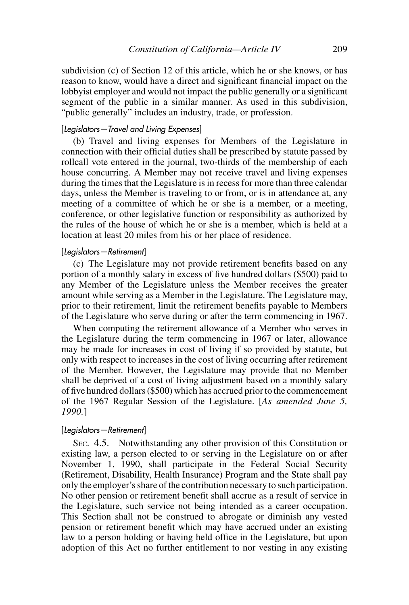subdivision (c) of Section 12 of this article, which he or she knows, or has reason to know, would have a direct and significant financial impact on the lobby ist employer and would not impact the public generally or a significant segment of the public in a similar manner. As used in this subdivision, "public generally" includes an industry, trade, or profession.

# [*Legislators—Travel and Living Expenses*]

(b) Travel and living expenses for Members of the Legislature in connection with their official duties shall be prescribed by statute passed by rollcall vote entered in the journal, two-thirds of the membership of each house concurring. A Member may not receive travel and living expenses during the times that the Legislature is in recess for more than three calendar days, unless the Member is traveling to or from, or is in attendance at, any meeting of a committee of which he or she is a member, or a meeting, conference, or other legislative function or responsibility as authorized by the rules of the house of which he or she is a member, which is held at a location at least 20 miles from his or her place of residence.

#### [*Legislators—Retirement*]

(c) The Legislature may not provide retirement benefits based on any portion of a monthly salary in excess of five hundred dollars (\$500) paid to any Member of the Legislature unless the Member receives the greater amount while serving as a Member in the Legislature. The Legislature may, prior to their retirement, limit the retirement benefits payable to Members of the Legislature who serve during or after the term commencing in 1967.

When computing the retirement allowance of a Member who serves in the Legislature during the term commencing in 1967 or later, allowance may be made for increases in cost of living if so provided by statute, but only with respect to increases in the cost of living occurring after retirement of the Member. However, the Legislature may provide that no Member shall be deprived of a cost of living adjustment based on a monthly salary of fi ve hundred dollars (\$500) which has accrued prior to the commencement of the 1967 Regular Session of the Legislature. [*As amended June 5, 1990.*]

## [*Legislators—Retirement*]

SEC. 4.5. Notwithstanding any other provision of this Constitution or existing law, a person elected to or serving in the Legislature on or after November 1, 1990, shall participate in the Federal Social Security (Retirement, Disability, Health Insurance) Program and the State shall pay only the employer's share of the contribution necessary to such participation. No other pension or retirement benefit shall accrue as a result of service in the Legislature, such service not being intended as a career occupation. This Section shall not be construed to abrogate or diminish any vested pension or retirement benefit which may have accrued under an existing law to a person holding or having held office in the Legislature, but upon adoption of this Act no further entitlement to nor vesting in any existing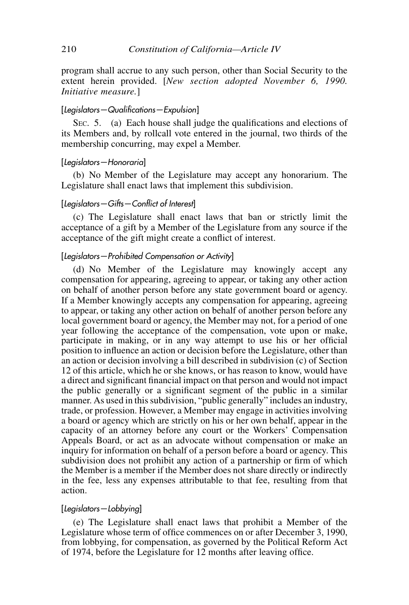program shall accrue to any such person, other than Social Security to the extent herein provided. [*New section adopted November 6, 1990. Initiative measure.*]

# [*Legislators—Qualifi cations—Expulsion* ]

SEC. 5. (a) Each house shall judge the qualifications and elections of its Members and, by rollcall vote entered in the journal, two thirds of the membership concurring, may expel a Member.

# [*Legislators—Honoraria*]

(b) No Member of the Legislature may accept any honorarium. The Legislature shall enact laws that implement this subdivision.

# [Legislators-Gifts-Conflict of Interest]

(c) The Legislature shall enact laws that ban or strictly limit the acceptance of a gift by a Member of the Legislature from any source if the acceptance of the gift might create a conflict of interest.

# [*Legislators—Prohibited Compensation or Activity*]

(d) No Member of the Legislature may knowingly accept any compensation for appearing, agreeing to appear, or taking any other action on behalf of another person before any state government board or agency. If a Member knowingly accepts any compensation for appearing, agreeing to appear, or taking any other action on behalf of another person before any local government board or agency, the Member may not, for a period of one year following the acceptance of the compensation, vote upon or make, participate in making, or in any way attempt to use his or her official position to influence an action or decision before the Legislature, other than an action or decision involving a bill described in subdivision (c) of Section 12 of this article, which he or she knows, or has reason to know, would have a direct and significant financial impact on that person and would not impact the public generally or a significant segment of the public in a similar manner. As used in this subdivision, "public generally" includes an industry, trade, or profession. However, a Member may engage in activities involving a board or agency which are strictly on his or her own behalf, appear in the capacity of an attorney before any court or the Workers' Compensation Appeals Board, or act as an advocate without compensation or make an inquiry for information on behalf of a person before a board or agency. This subdivision does not prohibit any action of a partnership or firm of which the Member is a member if the Member does not share directly or indirectly in the fee, less any expenses attributable to that fee, resulting from that action.

# [*Legislators—Lobbying*]

(e) The Legislature shall enact laws that prohibit a Member of the Legislature whose term of office commences on or after December 3, 1990, from lobbying, for compensation, as governed by the Political Reform Act of 1974, before the Legislature for 12 months after leaving office.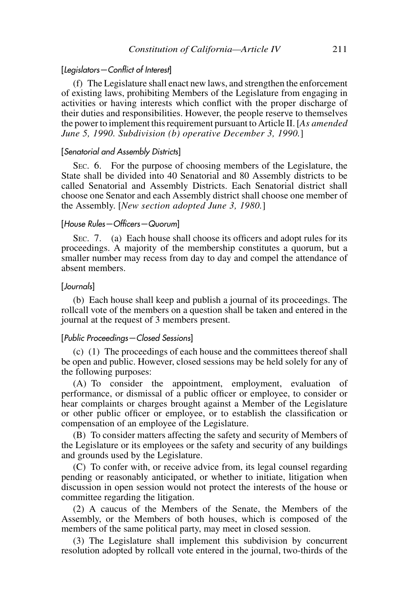#### [Legislators-Conflict of Interest]

(f) The Legislature shall enact new laws, and strengthen the enforcement of existing laws, prohibiting Members of the Legislature from engaging in activities or having interests which conflict with the proper discharge of their duties and responsibilities. However, the people reserve to themselves the power to implement this requirement pursuant to Article II. [*As amended June 5, 1990. Subdivision (b) operative December 3, 1990.*]

#### [*Senatorial and Assembly Districts*]

SEC. 6. For the purpose of choosing members of the Legislature, the State shall be divided into 40 Senatorial and 80 Assembly districts to be called Senatorial and Assembly Districts. Each Senatorial district shall choose one Senator and each Assembly district shall choose one member of the Assembly. [*New section adopted June 3, 1980.*]

# [House Rules-Officers-Quorum]

SEC. 7. (a) Each house shall choose its officers and adopt rules for its proceedings. A majority of the membership constitutes a quorum, but a smaller number may recess from day to day and compel the attendance of absent members.

## [*Journals*]

(b) Each house shall keep and publish a journal of its proceedings. The rollcall vote of the members on a question shall be taken and entered in the journal at the request of 3 members present.

# [*Public Proceedings—Closed Sessions*]

(c) (1) The proceedings of each house and the committees thereof shall be open and public. However, closed sessions may be held solely for any of the following purposes:

(A) To consider the appointment, employment, evaluation of performance, or dismissal of a public officer or employee, to consider or hear complaints or charges brought against a Member of the Legislature or other public officer or employee, or to establish the classification or compensation of an employee of the Legislature.

(B) To consider matters affecting the safety and security of Members of the Legislature or its employees or the safety and security of any buildings and grounds used by the Legislature.

(C) To confer with, or receive advice from, its legal counsel regarding pending or reasonably anticipated, or whether to initiate, litigation when discussion in open session would not protect the interests of the house or committee regarding the litigation.

(2) A caucus of the Members of the Senate, the Members of the Assembly, or the Members of both houses, which is composed of the members of the same political party, may meet in closed session.

(3) The Legislature shall implement this subdivision by concurrent resolution adopted by rollcall vote entered in the journal, two-thirds of the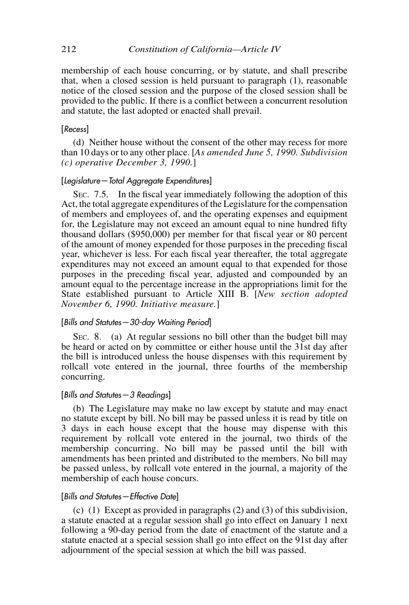membership of each house concurring, or by statute, and shall prescribe that, when a closed session is held pursuant to paragraph (1), reasonable notice of the closed session and the purpose of the closed session shall be provided to the public. If there is a conflict between a concurrent resolution and statute, the last adopted or enacted shall prevail.

## [*Recess*]

(d) Neither house without the consent of the other may recess for more than 10 days or to any other place. [*As amended June 5, 1990. Subdivision (c) operative December 3, 1990.*]

# [*Legislature—Total Aggregate Expenditures*]

SEC. 7.5. In the fiscal year immediately following the adoption of this Act, the total aggregate expenditures of the Legislature for the compensation of members and employees of, and the operating expenses and equipment for, the Legislature may not exceed an amount equal to nine hundred fifty thousand dollars (\$950,000) per member for that fiscal year or 80 percent of the amount of money expended for those purposes in the preceding fiscal year, whichever is less. For each fiscal year thereafter, the total aggregate expenditures may not exceed an amount equal to that expended for those purposes in the preceding fiscal year, adjusted and compounded by an amount equal to the percentage increase in the appropriations limit for the State established pursuant to Article XIII B. [*New section adopted November 6, 1990. Initiative measure.*]

# [*Bills and Statutes—30-day Waiting Period*]

SEC. 8. (a) At regular sessions no bill other than the budget bill may be heard or acted on by committee or either house until the 31st day after the bill is introduced unless the house dispenses with this requirement by rollcall vote entered in the journal, three fourths of the membership concurring.

# [*Bills and Statutes—3 Readings*]

(b) The Legislature may make no law except by statute and may enact no statute except by bill. No bill may be passed unless it is read by title on 3 days in each house except that the house may dispense with this requirement by rollcall vote entered in the journal, two thirds of the membership concurring. No bill may be passed until the bill with amendments has been printed and distributed to the members. No bill may be passed unless, by rollcall vote entered in the journal, a majority of the membership of each house concurs.

# [*Bills and Statutes—Effective Date*]

(c) (1) Except as provided in paragraphs (2) and (3) of this subdivision, a statute enacted at a regular session shall go into effect on January 1 next following a 90-day period from the date of enactment of the statute and a statute enacted at a special session shall go into effect on the 91st day after adjournment of the special session at which the bill was passed.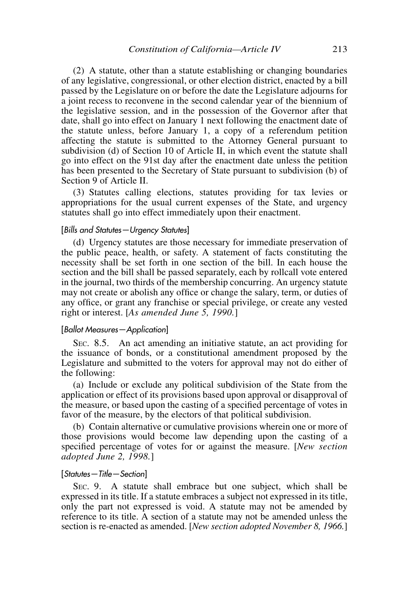(2) A statute, other than a statute establishing or changing boundaries of any legislative, congressional, or other election district, enacted by a bill passed by the Legislature on or before the date the Legislature adjourns for a joint recess to reconvene in the second calendar year of the biennium of the legislative session, and in the possession of the Governor after that date, shall go into effect on January 1 next following the enactment date of the statute unless, before January 1, a copy of a referendum petition affecting the statute is submitted to the Attorney General pursuant to subdivision (d) of Section 10 of Article II, in which event the statute shall go into effect on the 91st day after the enactment date unless the petition has been presented to the Secretary of State pursuant to subdivision (b) of Section 9 of Article II.

(3) Statutes calling elections, statutes providing for tax levies or appropriations for the usual current expenses of the State, and urgency statutes shall go into effect immediately upon their enactment.

# [*Bills and Statutes—Urgency Statutes*]

(d) Urgency statutes are those necessary for immediate preservation of the public peace, health, or safety. A statement of facts constituting the necessity shall be set forth in one section of the bill. In each house the section and the bill shall be passed separately, each by rollcall vote entered in the journal, two thirds of the membership concurring. An urgency statute may not create or abolish any office or change the salary, term, or duties of any office, or grant any franchise or special privilege, or create any vested right or interest. [*As amended June 5, 1990.*]

## [*Ballot Measures—Application*]

SEC. 8.5. An act amending an initiative statute, an act providing for the issuance of bonds, or a constitutional amendment proposed by the Legislature and submitted to the voters for approval may not do either of the following:

(a) Include or exclude any political subdivision of the State from the application or effect of its provisions based upon approval or disapproval of the measure, or based upon the casting of a specified percentage of votes in favor of the measure, by the electors of that political subdivision.

(b) Contain alternative or cumulative provisions wherein one or more of those provisions would become law depending upon the casting of a specified percentage of votes for or against the measure. [*New section adopted June 2, 1998.*]

#### [*Statutes—Title—Section*]

SEC. 9. A statute shall embrace but one subject, which shall be expressed in its title. If a statute embraces a subject not expressed in its title, only the part not expressed is void. A statute may not be amended by reference to its title. A section of a statute may not be amended unless the section is re-enacted as amended. [*New section adopted November 8, 1966.*]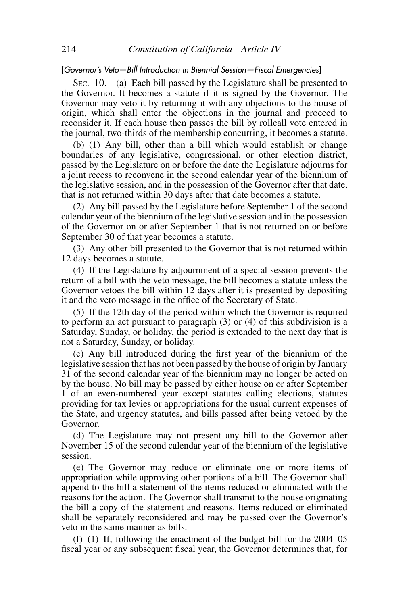# [*Governor's Veto—Bill Introduction in Biennial Session—Fiscal Emergencies*]

SEC. 10. (a) Each bill passed by the Legislature shall be presented to the Governor. It becomes a statute if it is signed by the Governor. The Governor may veto it by returning it with any objections to the house of origin, which shall enter the objections in the journal and proceed to reconsider it. If each house then passes the bill by rollcall vote entered in the journal, two-thirds of the membership concurring, it becomes a statute.

(b) (1) Any bill, other than a bill which would establish or change boundaries of any legislative, congressional, or other election district, passed by the Legislature on or before the date the Legislature adjourns for a joint recess to reconvene in the second calendar year of the biennium of the legislative session, and in the possession of the Governor after that date, that is not returned within 30 days after that date becomes a statute.

(2) Any bill passed by the Legislature before September 1 of the second calendar year of the biennium of the legislative session and in the possession of the Governor on or after September 1 that is not returned on or before September 30 of that year becomes a statute.

(3) Any other bill presented to the Governor that is not returned within 12 days becomes a statute.

(4) If the Legislature by adjournment of a special session prevents the return of a bill with the veto message, the bill becomes a statute unless the Governor vetoes the bill within 12 days after it is presented by depositing it and the veto message in the office of the Secretary of State.

(5) If the 12th day of the period within which the Governor is required to perform an act pursuant to paragraph (3) or (4) of this subdivision is a Saturday, Sunday, or holiday, the period is extended to the next day that is not a Saturday, Sunday, or holiday.

(c) Any bill introduced during the first year of the biennium of the legislative session that has not been passed by the house of origin by January 31 of the second calendar year of the biennium may no longer be acted on by the house. No bill may be passed by either house on or after September 1 of an even-numbered year except statutes calling elections, statutes providing for tax levies or appropriations for the usual current expenses of the State, and urgency statutes, and bills passed after being vetoed by the Governor.

(d) The Legislature may not present any bill to the Governor after November 15 of the second calendar year of the biennium of the legislative session.

(e) The Governor may reduce or eliminate one or more items of appropriation while approving other portions of a bill. The Governor shall append to the bill a statement of the items reduced or eliminated with the reasons for the action. The Governor shall transmit to the house originating the bill a copy of the statement and reasons. Items reduced or eliminated shall be separately reconsidered and may be passed over the Governor's veto in the same manner as bills.

(f) (1) If, following the enactment of the budget bill for the 2004–05 fiscal year or any subsequent fiscal year, the Governor determines that, for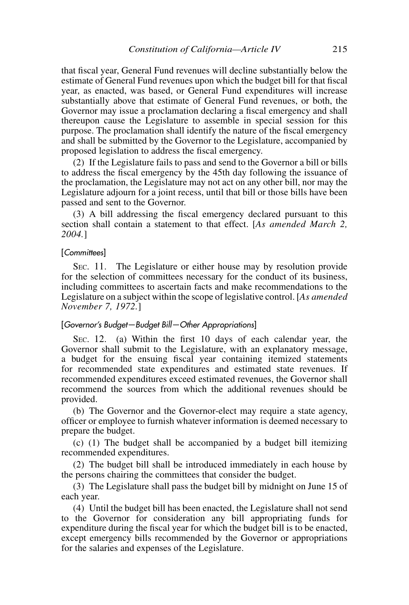that fiscal year, General Fund revenues will decline substantially below the estimate of General Fund revenues upon which the budget bill for that fiscal year, as enacted, was based, or General Fund expenditures will increase substantially above that estimate of General Fund revenues, or both, the Governor may issue a proclamation declaring a fiscal emergency and shall thereupon cause the Legislature to assemble in special session for this purpose. The proclamation shall identify the nature of the fiscal emergency and shall be submitted by the Governor to the Legislature, accompanied by proposed legislation to address the fiscal emergency.

(2) If the Legislature fails to pass and send to the Governor a bill or bills to address the fiscal emergency by the 45th day following the issuance of the proclamation, the Legislature may not act on any other bill, nor may the Legislature adjourn for a joint recess, until that bill or those bills have been passed and sent to the Governor.

(3) A bill addressing the fiscal emergency declared pursuant to this section shall contain a statement to that effect. [*As amended March 2, 2004.*]

## [*Committees*]

SEC. 11. The Legislature or either house may by resolution provide for the selection of committees necessary for the conduct of its business, including committees to ascertain facts and make recommendations to the Legislature on a subject within the scope of legislative control. [*As amended November 7, 1972.*]

## [*Governor's Budget—Budget Bill—Other Appropriations*]

SEC. 12. (a) Within the first 10 days of each calendar year, the Governor shall submit to the Legislature, with an explanatory message, a budget for the ensuing fiscal year containing itemized statements for recommended state expenditures and estimated state revenues. If recommended expenditures exceed estimated revenues, the Governor shall recommend the sources from which the additional revenues should be provided.

(b) The Governor and the Governor-elect may require a state agency, officer or employee to furnish whatever information is deemed necessary to prepare the budget.

(c) (1) The budget shall be accompanied by a budget bill itemizing recommended expenditures.

(2) The budget bill shall be introduced immediately in each house by the persons chairing the committees that consider the budget.

(3) The Legislature shall pass the budget bill by midnight on June 15 of each year.

(4) Until the budget bill has been enacted, the Legislature shall not send to the Governor for consideration any bill appropriating funds for expenditure during the fiscal year for which the budget bill is to be enacted, except emergency bills recommended by the Governor or appropriations for the salaries and expenses of the Legislature.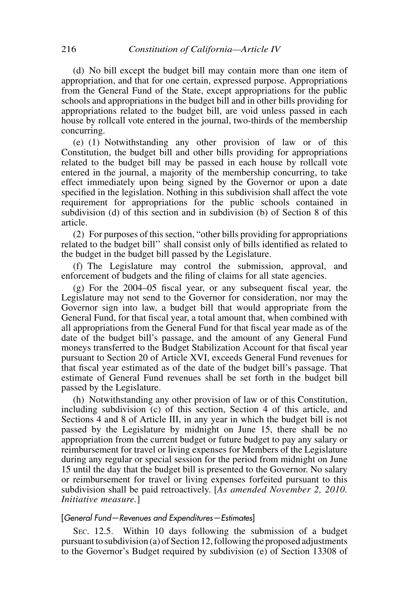(d) No bill except the budget bill may contain more than one item of appropriation, and that for one certain, expressed purpose. Appropriations from the General Fund of the State, except appropriations for the public schools and appropriations in the budget bill and in other bills providing for appropriations related to the budget bill, are void unless passed in each house by rollcall vote entered in the journal, two-thirds of the membership concurring.

(e) (1) Notwithstanding any other provision of law or of this Constitution, the budget bill and other bills providing for appropriations related to the budget bill may be passed in each house by rollcall vote entered in the journal, a majority of the membership concurring, to take effect immediately upon being signed by the Governor or upon a date specified in the legislation. Nothing in this subdivision shall affect the vote requirement for appropriations for the public schools contained in subdivision (d) of this section and in subdivision (b) of Section 8 of this article.

(2) For purposes of this section, "other bills providing for appropriations related to the budget bill" shall consist only of bills identified as related to the budget in the budget bill passed by the Legislature.

(f) The Legislature may control the submission, approval, and enforcement of budgets and the filing of claims for all state agencies.

(g) For the  $2004-05$  fiscal year, or any subsequent fiscal year, the Legislature may not send to the Governor for consideration, nor may the Governor sign into law, a budget bill that would appropriate from the General Fund, for that fiscal year, a total amount that, when combined with all appropriations from the General Fund for that fiscal year made as of the date of the budget bill's passage, and the amount of any General Fund moneys transferred to the Budget Stabilization Account for that fiscal year pursuant to Section 20 of Article XVI, exceeds General Fund revenues for that fiscal year estimated as of the date of the budget bill's passage. That estimate of General Fund revenues shall be set forth in the budget bill passed by the Legislature.

(h) Notwithstanding any other provision of law or of this Constitution, including subdivision (c) of this section, Section 4 of this article, and Sections 4 and 8 of Article III, in any year in which the budget bill is not passed by the Legislature by midnight on June 15, there shall be no appropriation from the current budget or future budget to pay any salary or reimbursement for travel or living expenses for Members of the Legislature during any regular or special session for the period from midnight on June 15 until the day that the budget bill is presented to the Governor. No salary or reimbursement for travel or living expenses forfeited pursuant to this subdivision shall be paid retroactively. [*As amended November 2, 2010. Initiative measure.*]

## [*General Fund—Revenues and Expenditures—Estimates*]

SEC. 12.5. Within 10 days following the submission of a budget pursuant to subdivision (a) of Section 12, following the proposed adjustments to the Governor's Budget required by subdivision (e) of Section 13308 of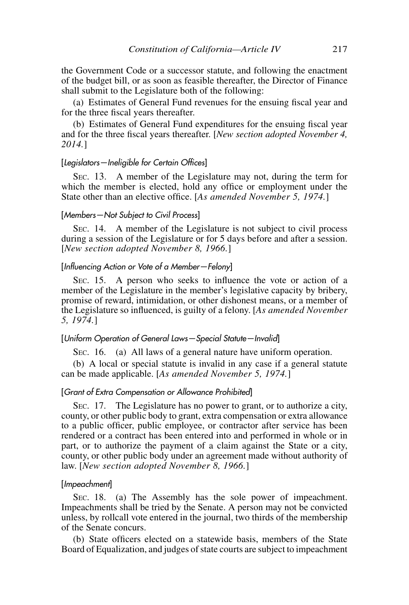the Government Code or a successor statute, and following the enactment of the budget bill, or as soon as feasible thereafter, the Director of Finance shall submit to the Legislature both of the following:

(a) Estimates of General Fund revenues for the ensuing fiscal year and for the three fiscal years thereafter.

(b) Estimates of General Fund expenditures for the ensuing fiscal year and for the three fiscal years thereafter. [*New section adopted November 4*, *2014.*]

## [Legislators-Ineligible for Certain Offices]

SEC. 13. A member of the Legislature may not, during the term for which the member is elected, hold any office or employment under the State other than an elective office. [As amended November 5, 1974.]

### [*Members—Not Subject to Civil Process*]

SEC. 14. A member of the Legislature is not subject to civil process during a session of the Legislature or for 5 days before and after a session. [*New section adopted November 8, 1966.*]

#### [*Infl uencing Action or Vote of a Member—Felony*]

SEC. 15. A person who seeks to influence the vote or action of a member of the Legislature in the member's legislative capacity by bribery, promise of reward, intimidation, or other dishonest means, or a member of the Legislature so influenced, is guilty of a felony. [As amended November *5, 1974.*]

## [*Uniform Operation of General Laws—Special Statute—Invalid*]

SEC. 16. (a) All laws of a general nature have uniform operation.

(b) A local or special statute is invalid in any case if a general statute can be made applicable. [*As amended November 5, 1974.*]

# [*Grant of Extra Compensation or Allowance Prohibited*]

SEC. 17. The Legislature has no power to grant, or to authorize a city, county, or other public body to grant, extra compensation or extra allowance to a public officer, public employee, or contractor after service has been rendered or a contract has been entered into and performed in whole or in part, or to authorize the payment of a claim against the State or a city, county, or other public body under an agreement made without authority of law. [*New section adopted November 8, 1966.*]

#### [*Impeachment*]

SEC. 18. (a) The Assembly has the sole power of impeachment. Impeachments shall be tried by the Senate. A person may not be convicted unless, by rollcall vote entered in the journal, two thirds of the membership of the Senate concurs.

(b) State officers elected on a statewide basis, members of the State Board of Equalization, and judges of state courts are subject to impeachment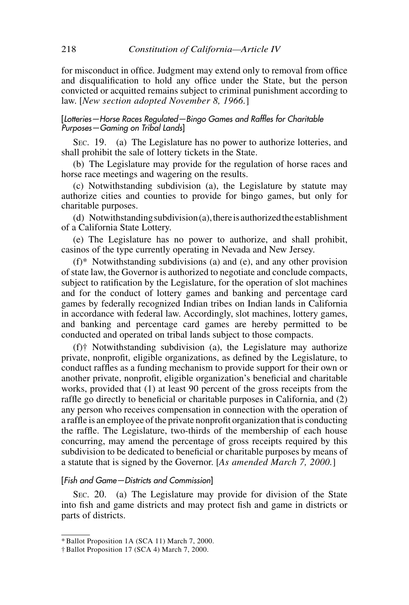for misconduct in office. Judgment may extend only to removal from office and disqualification to hold any office under the State, but the person convicted or acquitted remains subject to criminal punishment according to law. [*New section adopted November 8, 1966.*]

## [Lotteries-Horse Races Regulated-Bingo Games and Raffles for Charitable *Purposes—Gaming on Tribal Lands*]

SEC. 19. (a) The Legislature has no power to authorize lotteries, and shall prohibit the sale of lottery tickets in the State.

(b) The Legislature may provide for the regulation of horse races and horse race meetings and wagering on the results.

(c) Notwithstanding subdivision (a), the Legislature by statute may authorize cities and counties to provide for bingo games, but only for charitable purposes.

(d) Notwithstanding subdivision (a), there is authorized the establishment of a California State Lottery.

(e) The Legislature has no power to authorize, and shall prohibit, casinos of the type currently operating in Nevada and New Jersey.

(f)\* Notwithstanding subdivisions (a) and (e), and any other provision of state law, the Governor is authorized to negotiate and conclude compacts, subject to ratification by the Legislature, for the operation of slot machines and for the conduct of lottery games and banking and percentage card games by federally recognized Indian tribes on Indian lands in California in accordance with federal law. Accordingly, slot machines, lottery games, and banking and percentage card games are hereby permitted to be conducted and operated on tribal lands subject to those compacts.

(f)† Notwithstanding subdivision (a), the Legislature may authorize private, nonprofit, eligible organizations, as defined by the Legislature, to conduct raffles as a funding mechanism to provide support for their own or another private, nonprofit, eligible organization's beneficial and charitable works, provided that (1) at least 90 percent of the gross receipts from the raffle go directly to beneficial or charitable purposes in California, and  $(2)$ any person who receives compensation in connection with the operation of a raffle is an employee of the private nonprofit organization that is conducting the raffle. The Legislature, two-thirds of the membership of each house concurring, may amend the percentage of gross receipts required by this subdivision to be dedicated to beneficial or charitable purposes by means of a statute that is signed by the Governor. [*As amended March 7, 2000.*]

#### [*Fish and Game—Districts and Commission*]

SEC. 20. (a) The Legislature may provide for division of the State into fish and game districts and may protect fish and game in districts or parts of districts.

<sup>\*</sup> Ballot Proposition 1A (SCA 11) March 7, 2000.

<sup>†</sup> Ballot Proposition 17 (SCA 4) March 7, 2000.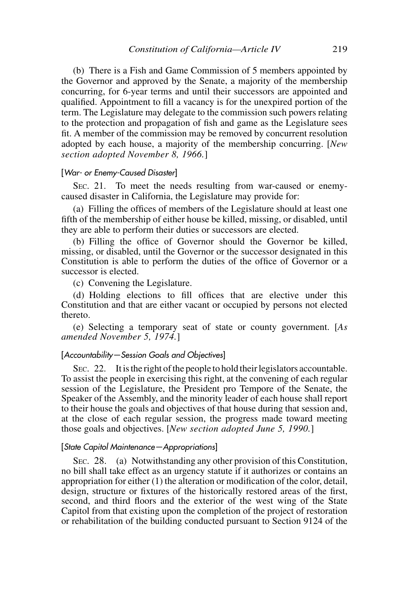(b) There is a Fish and Game Commission of 5 members appointed by the Governor and approved by the Senate, a majority of the membership concurring, for 6-year terms and until their successors are appointed and qualified. Appointment to fill a vacancy is for the unexpired portion of the term. The Legislature may delegate to the commission such powers relating to the protection and propagation of fish and game as the Legislature sees fit. A member of the commission may be removed by concurrent resolution adopted by each house, a majority of the membership concurring. [*New section adopted November 8, 1966.*]

# [*War- or Enemy-Caused Disaster*]

SEC. 21. To meet the needs resulting from war-caused or enemycaused disaster in California, the Legislature may provide for:

(a) Filling the offices of members of the Legislature should at least one fifth of the membership of either house be killed, missing, or disabled, until they are able to perform their duties or successors are elected.

(b) Filling the office of Governor should the Governor be killed, missing, or disabled, until the Governor or the successor designated in this Constitution is able to perform the duties of the office of Governor or a successor is elected.

(c) Convening the Legislature.

(d) Holding elections to fill offices that are elective under this Constitution and that are either vacant or occupied by persons not elected thereto.

(e) Selecting a temporary seat of state or county government. [*As amended November 5, 1974.*]

## [*Accountability—Session Goals and Objectives*]

SEC. 22. It is the right of the people to hold their legislators accountable. To assist the people in exercising this right, at the convening of each regular session of the Legislature, the President pro Tempore of the Senate, the Speaker of the Assembly, and the minority leader of each house shall report to their house the goals and objectives of that house during that session and, at the close of each regular session, the progress made toward meeting those goals and objectives. [*New section adopted June 5, 1990.*]

#### [*State Capitol Maintenance—Appropriations*]

SEC. 28. (a) Notwithstanding any other provision of this Constitution, no bill shall take effect as an urgency statute if it authorizes or contains an appropriation for either  $(1)$  the alteration or modification of the color, detail, design, structure or fixtures of the historically restored areas of the first, second, and third floors and the exterior of the west wing of the State Capitol from that existing upon the completion of the project of restoration or rehabilitation of the building conducted pursuant to Section 9124 of the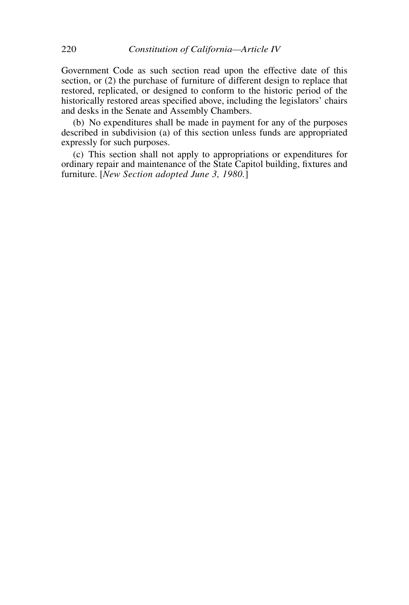Government Code as such section read upon the effective date of this section, or (2) the purchase of furniture of different design to replace that restored, replicated, or designed to conform to the historic period of the historically restored areas specified above, including the legislators' chairs and desks in the Senate and Assembly Chambers.

(b) No expenditures shall be made in payment for any of the purposes described in subdivision (a) of this section unless funds are appropriated expressly for such purposes.

(c) This section shall not apply to appropriations or expenditures for ordinary repair and maintenance of the State Capitol building, fixtures and furniture. [*New Section adopted June 3, 1980.*]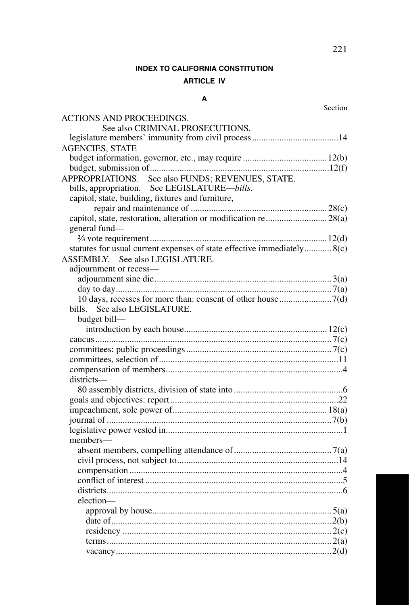# **INDEX TO CALIFORNIA CONSTITUTION**

# **ARTICLE IV**

#### **A**

|                                                                         | Section |
|-------------------------------------------------------------------------|---------|
| ACTIONS AND PROCEEDINGS.                                                |         |
| See also CRIMINAL PROSECUTIONS.                                         |         |
|                                                                         |         |
| <b>AGENCIES, STATE</b>                                                  |         |
|                                                                         |         |
|                                                                         |         |
| APPROPRIATIONS. See also FUNDS; REVENUES, STATE.                        |         |
| bills, appropriation. See LEGISLATURE-bills.                            |         |
| capitol, state, building, fixtures and furniture,                       |         |
|                                                                         |         |
| capitol, state, restoration, alteration or modification re 28(a)        |         |
| general fund-                                                           |         |
|                                                                         |         |
| statutes for usual current expenses of state effective immediately 8(c) |         |
| ASSEMBLY. See also LEGISLATURE.                                         |         |
| adjournment or recess-                                                  |         |
|                                                                         |         |
|                                                                         |         |
|                                                                         |         |
| bills. See also LEGISLATURE.                                            |         |
| budget bill-                                                            |         |
|                                                                         |         |
|                                                                         |         |
|                                                                         |         |
|                                                                         |         |
|                                                                         |         |
| districts-                                                              |         |
|                                                                         |         |
|                                                                         |         |
|                                                                         |         |
|                                                                         |         |
|                                                                         |         |
| members—                                                                |         |
|                                                                         |         |
|                                                                         |         |
|                                                                         |         |
|                                                                         |         |
|                                                                         |         |
| election—                                                               |         |
|                                                                         |         |
|                                                                         |         |
|                                                                         |         |

terms ................................................................................................... 2(a) vacancy ...............................................................................................2(d)

221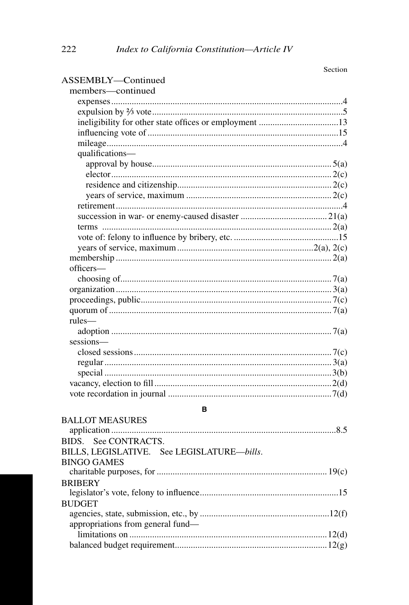#### Section

# ASSEMBLY—Continued<br>members—continued

| піспірсі s—сопиниси |  |
|---------------------|--|
|                     |  |
|                     |  |
|                     |  |
|                     |  |
|                     |  |
| qualifications-     |  |
|                     |  |
|                     |  |
|                     |  |
|                     |  |
|                     |  |
|                     |  |
|                     |  |
|                     |  |
|                     |  |
|                     |  |
| officers-           |  |
|                     |  |
|                     |  |
|                     |  |
|                     |  |
| $rule_{-}$          |  |
|                     |  |
| sessions-           |  |
|                     |  |
|                     |  |
|                     |  |
|                     |  |
|                     |  |
|                     |  |

## $\, {\bf B} \,$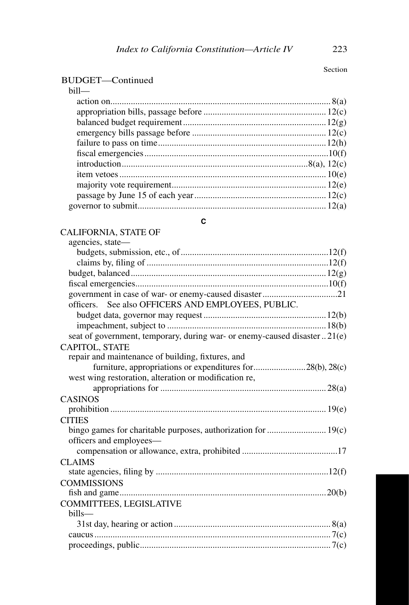# BUDGET—Continued

# bill action on ................................................................................................. 8(a) appropriation bills, passage before ...................................................... 12(c) balanced budget requirement ...............................................................12(g) emergency bills passage before ........................................................... 12(c) failure to pass on time ..........................................................................12(h) fi scal emergencies .................................................................................10(f) introduction ..................................................................................8(a), 12(c) item vetoes ........................................................................................... 10(e) majority vote requirement .................................................................... 12(e) passage by June 15 of each year .......................................................... 12(c) governor to submit ................................................................................... 12(a)

# **C**

#### CALIFORNIA, STATE OF

| agencies, state—                                                           |
|----------------------------------------------------------------------------|
|                                                                            |
|                                                                            |
|                                                                            |
|                                                                            |
| government in case of war- or enemy-caused disaster21                      |
| officers. See also OFFICERS AND EMPLOYEES, PUBLIC.                         |
|                                                                            |
|                                                                            |
| seat of government, temporary, during war- or enemy-caused disaster  21(e) |
| CAPITOL, STATE                                                             |
| repair and maintenance of building, fixtures, and                          |
| furniture, appropriations or expenditures for28(b), 28(c)                  |
| west wing restoration, alteration or modification re,                      |
|                                                                            |
| <b>CASINOS</b>                                                             |
|                                                                            |
| <b>CITIES</b>                                                              |
| bingo games for charitable purposes, authorization for  19(c)              |
| officers and employees-                                                    |
|                                                                            |
| <b>CLAIMS</b>                                                              |
|                                                                            |
| <b>COMMISSIONS</b>                                                         |
|                                                                            |
| COMMITTEES, LEGISLATIVE                                                    |
| $b$ ills—                                                                  |
|                                                                            |
|                                                                            |
|                                                                            |

Section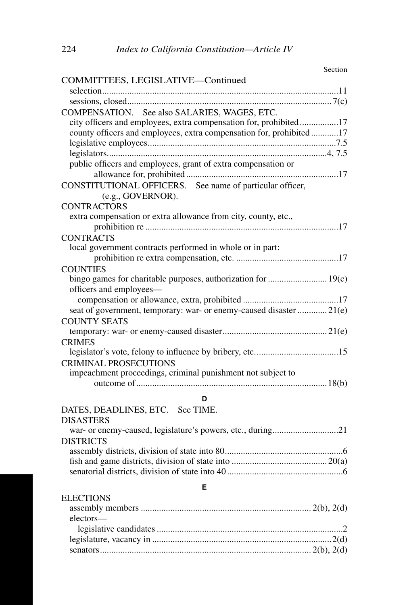|                                                                     | Section |
|---------------------------------------------------------------------|---------|
| COMMITTEES, LEGISLATIVE-Continued                                   |         |
|                                                                     |         |
|                                                                     |         |
| COMPENSATION. See also SALARIES, WAGES, ETC.                        |         |
| city officers and employees, extra compensation for, prohibited17   |         |
| county officers and employees, extra compensation for, prohibited17 |         |
|                                                                     |         |
|                                                                     |         |
| public officers and employees, grant of extra compensation or       |         |
|                                                                     |         |
| CONSTITUTIONAL OFFICERS. See name of particular officer,            |         |
| (e.g., GOVERNOR).                                                   |         |
| <b>CONTRACTORS</b>                                                  |         |
| extra compensation or extra allowance from city, county, etc.,      |         |
|                                                                     |         |
| <b>CONTRACTS</b>                                                    |         |
| local government contracts performed in whole or in part:           |         |
|                                                                     |         |
| <b>COUNTIES</b>                                                     |         |
| bingo games for charitable purposes, authorization for  19(c)       |         |
| officers and employees-                                             |         |
|                                                                     |         |
| seat of government, temporary: war- or enemy-caused disaster  21(e) |         |
| <b>COUNTY SEATS</b>                                                 |         |
|                                                                     |         |
| <b>CRIMES</b>                                                       |         |
| legislator's vote, felony to influence by bribery, etc15            |         |
| <b>CRIMINAL PROSECUTIONS</b>                                        |         |
| impeachment proceedings, criminal punishment not subject to         |         |
|                                                                     |         |

# **D** DATES, DEADLINES, ETC. See TIME.

# **E**

| <b>ELECTIONS</b> |  |
|------------------|--|
|                  |  |
| electors—        |  |
|                  |  |
|                  |  |
|                  |  |
|                  |  |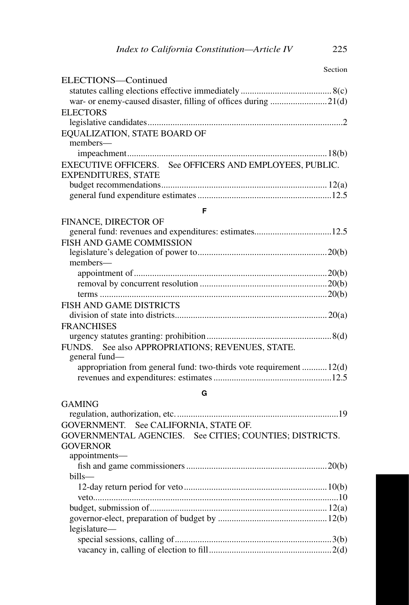| Section                                                             |
|---------------------------------------------------------------------|
| ELECTIONS-Continued                                                 |
|                                                                     |
| war- or enemy-caused disaster, filling of offices during 21(d)      |
| <b>ELECTORS</b>                                                     |
|                                                                     |
| EQUALIZATION, STATE BOARD OF<br>members-                            |
|                                                                     |
| EXECUTIVE OFFICERS. See OFFICERS AND EMPLOYEES, PUBLIC.             |
| <b>EXPENDITURES, STATE</b>                                          |
|                                                                     |
|                                                                     |
| F                                                                   |
| FINANCE, DIRECTOR OF                                                |
|                                                                     |
| <b>FISH AND GAME COMMISSION</b>                                     |
|                                                                     |
| members-                                                            |
|                                                                     |
|                                                                     |
|                                                                     |
| FISH AND GAME DISTRICTS                                             |
|                                                                     |
| <b>FRANCHISES</b>                                                   |
|                                                                     |
| FUNDS. See also APPROPRIATIONS; REVENUES, STATE.<br>general fund—   |
| appropriation from general fund: two-thirds vote requirement  12(d) |
|                                                                     |
| $\epsilon$                                                          |

#### **G**

| <b>GAMING</b>                                           |  |
|---------------------------------------------------------|--|
| GOVERNMENT. See CALIFORNIA, STATE OF.                   |  |
| GOVERNMENTAL AGENCIES. See CITIES; COUNTIES; DISTRICTS. |  |
| <b>GOVERNOR</b>                                         |  |
| appointments—                                           |  |
|                                                         |  |
| $b$ ills—                                               |  |
|                                                         |  |
|                                                         |  |
|                                                         |  |
|                                                         |  |
| legislature—                                            |  |
|                                                         |  |
|                                                         |  |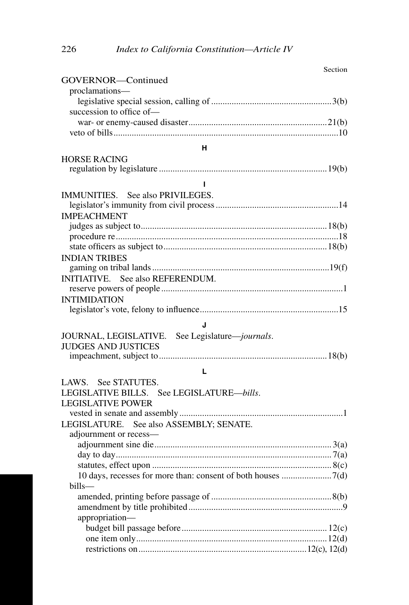|                                                 | Section |
|-------------------------------------------------|---------|
| GOVERNOR-Continued                              |         |
| proclamations-                                  |         |
|                                                 |         |
| succession to office of-                        |         |
|                                                 |         |
|                                                 |         |
| н                                               |         |
| <b>HORSE RACING</b>                             |         |
|                                                 |         |
| $\mathbf{I}$                                    |         |
| IMMUNITIES. See also PRIVILEGES.                |         |
|                                                 |         |
| <b>IMPEACHMENT</b>                              |         |
|                                                 |         |
|                                                 |         |
|                                                 |         |
| <b>INDIAN TRIBES</b>                            |         |
|                                                 |         |
| INITIATIVE. See also REFERENDUM.                |         |
|                                                 |         |
| <b>INTIMIDATION</b>                             |         |
|                                                 |         |
| J                                               |         |
| JOURNAL, LEGISLATIVE. See Legislature-journals. |         |
| <b>JUDGES AND JUSTICES</b>                      |         |
|                                                 |         |
|                                                 |         |
| L                                               |         |
| LAWS. See STATUTES.                             |         |
| LEGISLATIVE BILLS. See LEGISLATURE—bills.       |         |
| <b>LEGISLATIVE POWER</b>                        |         |
| LEGISLATURE. See also ASSEMBLY; SENATE.         |         |
| adjournment or recess-                          |         |
|                                                 |         |
|                                                 |         |
|                                                 |         |
|                                                 |         |
| bills—                                          |         |
|                                                 |         |
|                                                 |         |
| appropriation-                                  |         |
|                                                 |         |
|                                                 |         |
|                                                 |         |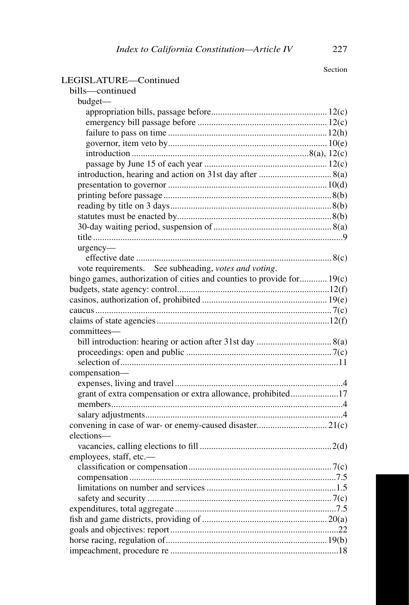# LEGISLATURE—Continued

| bills-continued                                                        |  |
|------------------------------------------------------------------------|--|
| budget-                                                                |  |
|                                                                        |  |
|                                                                        |  |
|                                                                        |  |
|                                                                        |  |
|                                                                        |  |
|                                                                        |  |
|                                                                        |  |
|                                                                        |  |
|                                                                        |  |
|                                                                        |  |
|                                                                        |  |
|                                                                        |  |
|                                                                        |  |
| urgency-                                                               |  |
|                                                                        |  |
| vote requirements. See subheading, votes and voting.                   |  |
| bingo games, authorization of cities and counties to provide for 19(c) |  |
|                                                                        |  |
|                                                                        |  |
|                                                                        |  |
|                                                                        |  |
| committees-                                                            |  |
|                                                                        |  |
|                                                                        |  |
|                                                                        |  |
| compensation-                                                          |  |
|                                                                        |  |
| grant of extra compensation or extra allowance, prohibited17           |  |
|                                                                        |  |
|                                                                        |  |
|                                                                        |  |
| elections-                                                             |  |
|                                                                        |  |
| employees, staff, etc.-                                                |  |
|                                                                        |  |
|                                                                        |  |
|                                                                        |  |
|                                                                        |  |
|                                                                        |  |
|                                                                        |  |
|                                                                        |  |
|                                                                        |  |
|                                                                        |  |
|                                                                        |  |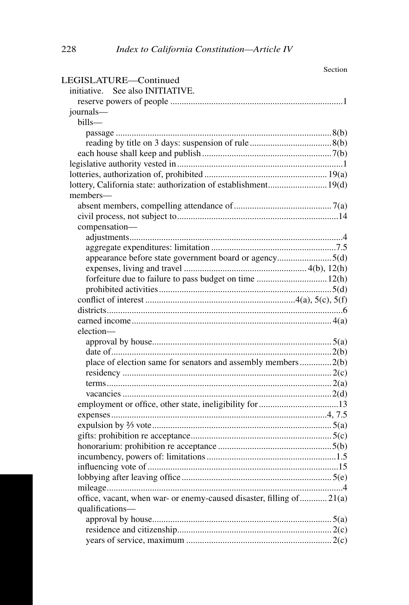|                                                                       | Section |
|-----------------------------------------------------------------------|---------|
| LEGISLATURE-Continued                                                 |         |
| initiative. See also INITIATIVE.                                      |         |
|                                                                       |         |
| journals-                                                             |         |
| $b$ ills—                                                             |         |
|                                                                       |         |
|                                                                       |         |
|                                                                       |         |
|                                                                       |         |
|                                                                       |         |
| lottery, California state: authorization of establishment 19(d)       |         |
| members-                                                              |         |
|                                                                       |         |
|                                                                       |         |
| compensation-                                                         |         |
|                                                                       |         |
|                                                                       |         |
|                                                                       |         |
|                                                                       |         |
|                                                                       |         |
|                                                                       |         |
|                                                                       |         |
|                                                                       |         |
|                                                                       |         |
| election-                                                             |         |
|                                                                       |         |
|                                                                       |         |
| place of election same for senators and assembly members2(b)          |         |
|                                                                       |         |
|                                                                       |         |
|                                                                       |         |
|                                                                       |         |
|                                                                       |         |
|                                                                       |         |
|                                                                       |         |
|                                                                       |         |
|                                                                       |         |
|                                                                       |         |
|                                                                       |         |
|                                                                       |         |
| office, vacant, when war- or enemy-caused disaster, filling of  21(a) |         |
| qualifications-                                                       |         |
|                                                                       |         |
|                                                                       |         |
|                                                                       |         |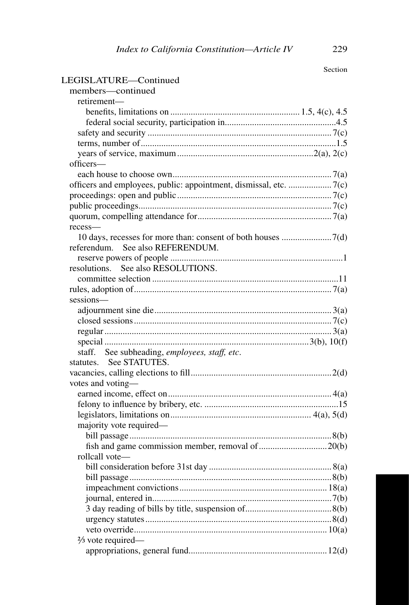| LEGISLATURE-Continued                                             |  |
|-------------------------------------------------------------------|--|
| members-continued                                                 |  |
| retirement-                                                       |  |
|                                                                   |  |
|                                                                   |  |
|                                                                   |  |
|                                                                   |  |
|                                                                   |  |
| officers-                                                         |  |
|                                                                   |  |
| officers and employees, public: appointment, dismissal, etc. 7(c) |  |
|                                                                   |  |
|                                                                   |  |
|                                                                   |  |
| recess-                                                           |  |
|                                                                   |  |
| referendum. See also REFERENDUM.                                  |  |
|                                                                   |  |
| resolutions. See also RESOLUTIONS.                                |  |
|                                                                   |  |
|                                                                   |  |
| sessions-                                                         |  |
|                                                                   |  |
|                                                                   |  |
|                                                                   |  |
|                                                                   |  |
| staff. See subheading, employees, staff, etc.                     |  |
| statutes. See STATUTES.                                           |  |
|                                                                   |  |
| votes and voting-                                                 |  |
|                                                                   |  |
|                                                                   |  |
|                                                                   |  |
| majority vote required—                                           |  |
|                                                                   |  |
|                                                                   |  |
| rollcall vote-                                                    |  |
|                                                                   |  |
|                                                                   |  |
|                                                                   |  |
|                                                                   |  |
|                                                                   |  |
|                                                                   |  |
|                                                                   |  |
| $\frac{2}{3}$ vote required—                                      |  |
|                                                                   |  |

# Section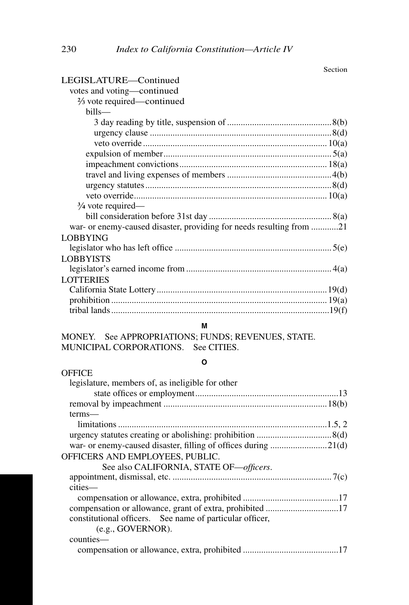| LEGISLATURE-Continued                                                |  |
|----------------------------------------------------------------------|--|
| votes and voting-continued                                           |  |
| $\frac{2}{3}$ vote required—continued                                |  |
| bills—                                                               |  |
|                                                                      |  |
|                                                                      |  |
|                                                                      |  |
|                                                                      |  |
|                                                                      |  |
|                                                                      |  |
|                                                                      |  |
|                                                                      |  |
| $\frac{3}{4}$ vote required—                                         |  |
|                                                                      |  |
| war- or enemy-caused disaster, providing for needs resulting from 21 |  |
| LOBBYING                                                             |  |
|                                                                      |  |
| <b>LOBBYISTS</b>                                                     |  |
|                                                                      |  |
| LOTTERIES                                                            |  |
|                                                                      |  |
|                                                                      |  |
|                                                                      |  |
|                                                                      |  |

#### **M**

MONEY. See APPROPRIATIONS; FUNDS; REVENUES, STATE. MUNICIPAL CORPORATIONS. See CITIES.

# **O**

| <b>OFFICE</b>                                                  |  |
|----------------------------------------------------------------|--|
| legislature, members of, as ineligible for other               |  |
|                                                                |  |
|                                                                |  |
| terms—                                                         |  |
|                                                                |  |
|                                                                |  |
| war- or enemy-caused disaster, filling of offices during 21(d) |  |
| OFFICERS AND EMPLOYEES, PUBLIC.                                |  |
| See also CALIFORNIA, STATE OF-officers.                        |  |
|                                                                |  |
| cities—                                                        |  |
|                                                                |  |
| compensation or allowance, grant of extra, prohibited 17       |  |
| constitutional officers. See name of particular officer,       |  |
| (e.g., GOVERNOR).                                              |  |
| counties—                                                      |  |
|                                                                |  |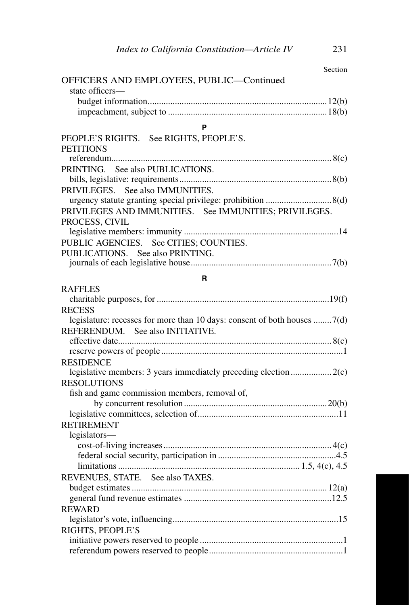| Section                                                                  |
|--------------------------------------------------------------------------|
| OFFICERS AND EMPLOYEES, PUBLIC-Continued                                 |
| state officers-                                                          |
|                                                                          |
|                                                                          |
| P                                                                        |
| PEOPLE'S RIGHTS. See RIGHTS, PEOPLE'S.                                   |
| <b>PETITIONS</b>                                                         |
|                                                                          |
| PRINTING. See also PUBLICATIONS.                                         |
|                                                                          |
| PRIVILEGES. See also IMMUNITIES.                                         |
|                                                                          |
| PRIVILEGES AND IMMUNITIES. See IMMUNITIES; PRIVILEGES.                   |
| PROCESS, CIVIL                                                           |
|                                                                          |
| PUBLIC AGENCIES. See CITIES; COUNTIES.                                   |
| PUBLICATIONS. See also PRINTING.                                         |
|                                                                          |
| R                                                                        |
| <b>RAFFLES</b>                                                           |
|                                                                          |
| <b>RECESS</b>                                                            |
| legislature: recesses for more than 10 days: consent of both houses 7(d) |
| REFERENDUM. See also INITIATIVE.                                         |
|                                                                          |
|                                                                          |
| <b>RESIDENCE</b>                                                         |
| legislative members: 3 years immediately preceding election 2(c)         |
| <b>RESOLUTIONS</b>                                                       |
| fish and game commission members, removal of,                            |
|                                                                          |
|                                                                          |
| <b>RETIREMENT</b><br>legislators-                                        |
|                                                                          |
|                                                                          |
|                                                                          |
| REVENUES, STATE. See also TAXES.                                         |
|                                                                          |
|                                                                          |
| <b>REWARD</b>                                                            |
|                                                                          |
|                                                                          |
|                                                                          |
| RIGHTS, PEOPLE'S                                                         |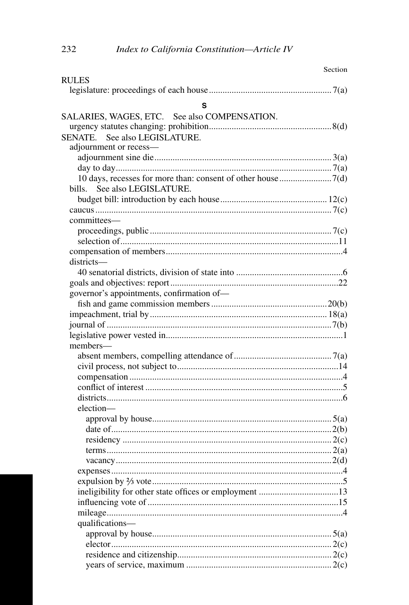|                                              | Section |
|----------------------------------------------|---------|
| <b>RULES</b>                                 |         |
|                                              |         |
| S                                            |         |
| SALARIES, WAGES, ETC. See also COMPENSATION. |         |
|                                              |         |
| SENATE. See also LEGISLATURE.                |         |
| adjournment or recess—                       |         |
|                                              |         |
|                                              |         |
|                                              |         |
| bills. See also LEGISLATURE.                 |         |
|                                              |         |
|                                              |         |
| committees—                                  |         |
|                                              |         |
|                                              |         |
|                                              |         |
| districts-                                   |         |
|                                              |         |
|                                              |         |
| governor's appointments, confirmation of-    |         |
|                                              |         |
|                                              |         |
|                                              |         |
|                                              |         |
| members—                                     |         |
|                                              |         |
|                                              |         |
|                                              |         |
|                                              |         |
|                                              |         |
| election—                                    |         |
|                                              |         |
|                                              |         |
|                                              |         |
|                                              |         |
|                                              |         |
|                                              |         |
|                                              |         |
|                                              |         |
|                                              |         |
|                                              |         |
| qualifications-                              |         |
|                                              |         |
|                                              |         |
|                                              |         |
|                                              |         |
|                                              |         |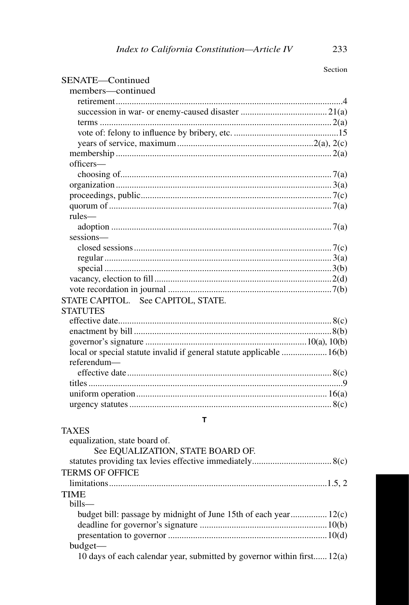#### Section

| SENATE-Continued                                                      |  |
|-----------------------------------------------------------------------|--|
| members-continued                                                     |  |
|                                                                       |  |
|                                                                       |  |
|                                                                       |  |
|                                                                       |  |
|                                                                       |  |
|                                                                       |  |
| officers—                                                             |  |
|                                                                       |  |
|                                                                       |  |
|                                                                       |  |
|                                                                       |  |
| rules-                                                                |  |
|                                                                       |  |
| sessions-                                                             |  |
|                                                                       |  |
|                                                                       |  |
|                                                                       |  |
|                                                                       |  |
|                                                                       |  |
| STATE CAPITOL. See CAPITOL, STATE.                                    |  |
| <b>STATUTES</b>                                                       |  |
|                                                                       |  |
|                                                                       |  |
|                                                                       |  |
| local or special statute invalid if general statute applicable  16(b) |  |
| referendum-                                                           |  |
|                                                                       |  |
|                                                                       |  |
|                                                                       |  |
|                                                                       |  |
| т                                                                     |  |
| <b>TAXES</b>                                                          |  |
| equalization, state board of.                                         |  |
| $\mathcal{C}_{\alpha\alpha}$ equial ization state roadd of            |  |

| See EQUALIZATION, STATE BUARD OF.                                       |
|-------------------------------------------------------------------------|
|                                                                         |
| <b>TERMS OF OFFICE</b>                                                  |
|                                                                         |
| <b>TIME</b>                                                             |
| $bills$ —                                                               |
|                                                                         |
|                                                                         |
|                                                                         |
| $budget$ —                                                              |
| 10 days of each calendar year, submitted by governor within first 12(a) |

233